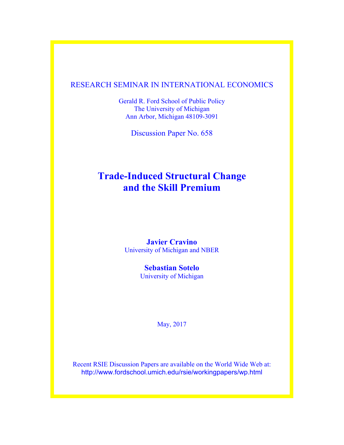## RESEARCH SEMINAR IN INTERNATIONAL ECONOMICS

Gerald R. Ford School of Public Policy The University of Michigan Ann Arbor, Michigan 48109-3091

Discussion Paper No. 658

# **Trade-Induced Structural Change and the Skill Premium**

## **Javier Cravino** University of Michigan and NBER

**Sebastian Sotelo** University of Michigan

May, 2017

Recent RSIE Discussion Papers are available on the World Wide Web at: http://www.fordschool.umich.edu/rsie/workingpapers/wp.html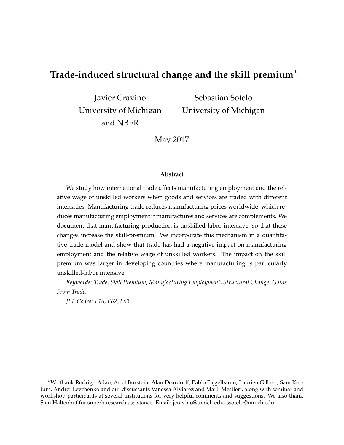## **Trade-induced structural change and the skill premium**<sup>∗</sup>

Javier Cravino University of Michigan and NBER

Sebastian Sotelo University of Michigan

May 2017

#### **Abstract**

We study how international trade affects manufacturing employment and the relative wage of unskilled workers when goods and services are traded with different intensities. Manufacturing trade reduces manufacturing prices worldwide, which reduces manufacturing employment if manufactures and services are complements. We document that manufacturing production is unskilled-labor intensive, so that these changes increase the skill-premium. We incorporate this mechanism in a quantitative trade model and show that trade has had a negative impact on manufacturing employment and the relative wage of unskilled workers. The impact on the skill premium was larger in developing countries where manufacturing is particularly unskilled-labor intensive.

*Keywords: Trade, Skill Premium, Manufacturing Employment, Structural Change, Gains From Trade.*

*JEL Codes: F16, F62, F63*

<sup>∗</sup>We thank Rodrigo Adao, Ariel Burstein, Alan Deardorff, Pablo Fajgelbaum, Laurien Gilbert, Sam Kortum, Andrei Levchenko and our discussants Vanessa Alviarez and Marti Mestieri, along with seminar and workshop participants at several institutions for very helpful comments and suggestions. We also thank Sam Haltenhof for superb research assistance. Email: jcravino@umich.edu, ssotelo@umich.edu.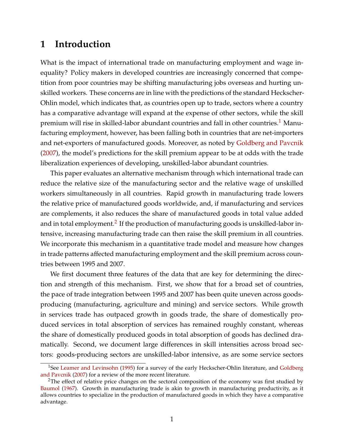# **1 Introduction**

What is the impact of international trade on manufacturing employment and wage inequality? Policy makers in developed countries are increasingly concerned that competition from poor countries may be shifting manufacturing jobs overseas and hurting unskilled workers. These concerns are in line with the predictions of the standard Heckscher-Ohlin model, which indicates that, as countries open up to trade, sectors where a country has a comparative advantage will expand at the expense of other sectors, while the skill premium will rise in skilled-labor abundant countries and fall in other countries.<sup>[1](#page-2-0)</sup> Manufacturing employment, however, has been falling both in countries that are net-importers and net-exporters of manufactured goods. Moreover, as noted by [Goldberg and Pavcnik](#page-44-0) [\(2007\)](#page-44-0), the model's predictions for the skill premium appear to be at odds with the trade liberalization experiences of developing, unskilled-labor abundant countries.

This paper evaluates an alternative mechanism through which international trade can reduce the relative size of the manufacturing sector and the relative wage of unskilled workers simultaneously in all countries. Rapid growth in manufacturing trade lowers the relative price of manufactured goods worldwide, and, if manufacturing and services are complements, it also reduces the share of manufactured goods in total value added and in total employment. $^2$  $^2$  If the production of manufacturing goods is unskilled-labor intensive, increasing manufacturing trade can then raise the skill premium in all countries. We incorporate this mechanism in a quantitative trade model and measure how changes in trade patterns affected manufacturing employment and the skill premium across countries between 1995 and 2007.

We first document three features of the data that are key for determining the direction and strength of this mechanism. First, we show that for a broad set of countries, the pace of trade integration between 1995 and 2007 has been quite uneven across goodsproducing (manufacturing, agriculture and mining) and service sectors. While growth in services trade has outpaced growth in goods trade, the share of domestically produced services in total absorption of services has remained roughly constant, whereas the share of domestically produced goods in total absorption of goods has declined dramatically. Second, we document large differences in skill intensities across broad sectors: goods-producing sectors are unskilled-labor intensive, as are some service sectors

<span id="page-2-0"></span><sup>&</sup>lt;sup>1</sup>See [Leamer and Levinsohn](#page-45-0) [\(1995\)](#page-45-0) for a survey of the early Heckscher-Ohlin literature, and [Goldberg](#page-44-0) [and Pavcnik](#page-44-0) [\(2007\)](#page-44-0) for a review of the more recent literature.

<span id="page-2-1"></span><sup>&</sup>lt;sup>2</sup>The effect of relative price changes on the sectoral composition of the economy was first studied by [Baumol](#page-43-0) [\(1967\)](#page-43-0). Growth in manufacturing trade is akin to growth in manufacturing productivity, as it allows countries to specialize in the production of manufactured goods in which they have a comparative advantage.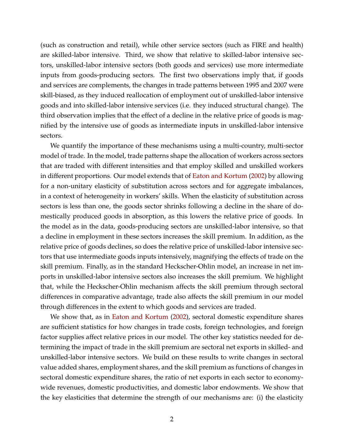(such as construction and retail), while other service sectors (such as FIRE and health) are skilled-labor intensive. Third, we show that relative to skilled-labor intensive sectors, unskilled-labor intensive sectors (both goods and services) use more intermediate inputs from goods-producing sectors. The first two observations imply that, if goods and services are complements, the changes in trade patterns between 1995 and 2007 were skill-biased, as they induced reallocation of employment out of unskilled-labor intensive goods and into skilled-labor intensive services (i.e. they induced structural change). The third observation implies that the effect of a decline in the relative price of goods is magnified by the intensive use of goods as intermediate inputs in unskilled-labor intensive sectors.

We quantify the importance of these mechanisms using a multi-country, multi-sector model of trade. In the model, trade patterns shape the allocation of workers across sectors that are traded with different intensities and that employ skilled and unskilled workers in different proportions. Our model extends that of [Eaton and Kortum](#page-44-1) [\(2002\)](#page-44-1) by allowing for a non-unitary elasticity of substitution across sectors and for aggregate imbalances, in a context of heterogeneity in workers' skills. When the elasticity of substitution across sectors is less than one, the goods sector shrinks following a decline in the share of domestically produced goods in absorption, as this lowers the relative price of goods. In the model as in the data, goods-producing sectors are unskilled-labor intensive, so that a decline in employment in these sectors increases the skill premium. In addition, as the relative price of goods declines, so does the relative price of unskilled-labor intensive sectors that use intermediate goods inputs intensively, magnifying the effects of trade on the skill premium. Finally, as in the standard Heckscher-Ohlin model, an increase in net imports in unskilled-labor intensive sectors also increases the skill premium. We highlight that, while the Heckscher-Ohlin mechanism affects the skill premium through sectoral differences in comparative advantage, trade also affects the skill premium in our model through differences in the extent to which goods and services are traded.

We show that, as in [Eaton and Kortum](#page-44-1) [\(2002\)](#page-44-1), sectoral domestic expenditure shares are sufficient statistics for how changes in trade costs, foreign technologies, and foreign factor supplies affect relative prices in our model. The other key statistics needed for determining the impact of trade in the skill premium are sectoral net exports in skilled- and unskilled-labor intensive sectors. We build on these results to write changes in sectoral value added shares, employment shares, and the skill premium as functions of changes in sectoral domestic expenditure shares, the ratio of net exports in each sector to economywide revenues, domestic productivities, and domestic labor endowments. We show that the key elasticities that determine the strength of our mechanisms are: (i) the elasticity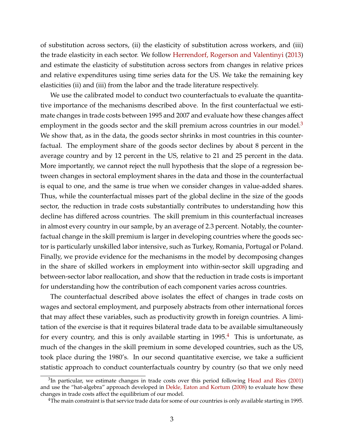of substitution across sectors, (ii) the elasticity of substitution across workers, and (iii) the trade elasticity in each sector. We follow [Herrendorf, Rogerson and Valentinyi](#page-44-2) [\(2013\)](#page-44-2) and estimate the elasticity of substitution across sectors from changes in relative prices and relative expenditures using time series data for the US. We take the remaining key elasticities (ii) and (iii) from the labor and the trade literature respectively.

We use the calibrated model to conduct two counterfactuals to evaluate the quantitative importance of the mechanisms described above. In the first counterfactual we estimate changes in trade costs between 1995 and 2007 and evaluate how these changes affect employment in the goods sector and the skill premium across countries in our model.<sup>[3](#page-4-0)</sup> We show that, as in the data, the goods sector shrinks in most countries in this counterfactual. The employment share of the goods sector declines by about 8 percent in the average country and by 12 percent in the US, relative to 21 and 25 percent in the data. More importantly, we cannot reject the null hypothesis that the slope of a regression between changes in sectoral employment shares in the data and those in the counterfactual is equal to one, and the same is true when we consider changes in value-added shares. Thus, while the counterfactual misses part of the global decline in the size of the goods sector, the reduction in trade costs substantially contributes to understanding how this decline has differed across countries. The skill premium in this counterfactual increases in almost every country in our sample, by an average of 2.3 percent. Notably, the counterfactual change in the skill premium is larger in developing countries where the goods sector is particularly unskilled labor intensive, such as Turkey, Romania, Portugal or Poland. Finally, we provide evidence for the mechanisms in the model by decomposing changes in the share of skilled workers in employment into within-sector skill upgrading and between-sector labor reallocation, and show that the reduction in trade costs is important for understanding how the contribution of each component varies across countries.

The counterfactual described above isolates the effect of changes in trade costs on wages and sectoral employment, and purposely abstracts from other international forces that may affect these variables, such as productivity growth in foreign countries. A limitation of the exercise is that it requires bilateral trade data to be available simultaneously for every country, and this is only available starting in  $1995<sup>4</sup>$  $1995<sup>4</sup>$  $1995<sup>4</sup>$  This is unfortunate, as much of the changes in the skill premium in some developed countries, such as the US, took place during the 1980's. In our second quantitative exercise, we take a sufficient statistic approach to conduct counterfactuals country by country (so that we only need

<span id="page-4-0"></span> ${}^{3}$ In particular, we estimate changes in trade costs over this period following [Head and Ries](#page-44-3) [\(2001\)](#page-44-3) and use the "hat-algebra" approach developed in [Dekle, Eaton and Kortum](#page-44-4) [\(2008\)](#page-44-4) to evaluate how these changes in trade costs affect the equilibrium of our model.

<span id="page-4-1"></span><sup>&</sup>lt;sup>4</sup>The main constraint is that service trade data for some of our countries is only available starting in 1995.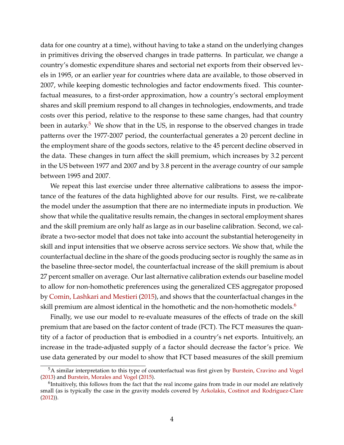data for one country at a time), without having to take a stand on the underlying changes in primitives driving the observed changes in trade patterns. In particular, we change a country's domestic expenditure shares and sectorial net exports from their observed levels in 1995, or an earlier year for countries where data are available, to those observed in 2007, while keeping domestic technologies and factor endowments fixed. This counterfactual measures, to a first-order approximation, how a country's sectoral employment shares and skill premium respond to all changes in technologies, endowments, and trade costs over this period, relative to the response to these same changes, had that country been in autarky.<sup>[5](#page-5-0)</sup> We show that in the US, in response to the observed changes in trade patterns over the 1977-2007 period, the counterfactual generates a 20 percent decline in the employment share of the goods sectors, relative to the 45 percent decline observed in the data. These changes in turn affect the skill premium, which increases by 3.2 percent in the US between 1977 and 2007 and by 3.8 percent in the average country of our sample between 1995 and 2007.

We repeat this last exercise under three alternative calibrations to assess the importance of the features of the data highlighted above for our results. First, we re-calibrate the model under the assumption that there are no intermediate inputs in production. We show that while the qualitative results remain, the changes in sectoral employment shares and the skill premium are only half as large as in our baseline calibration. Second, we calibrate a two-sector model that does not take into account the substantial heterogeneity in skill and input intensities that we observe across service sectors. We show that, while the counterfactual decline in the share of the goods producing sector is roughly the same as in the baseline three-sector model, the counterfactual increase of the skill premium is about 27 percent smaller on average. Our last alternative calibration extends our baseline model to allow for non-homothetic preferences using the generalized CES aggregator proposed by [Comin, Lashkari and Mestieri](#page-44-5) [\(2015\)](#page-44-5), and shows that the counterfactual changes in the skill premium are almost identical in the homothetic and the non-homothetic models.<sup>[6](#page-5-1)</sup>

Finally, we use our model to re-evaluate measures of the effects of trade on the skill premium that are based on the factor content of trade (FCT). The FCT measures the quantity of a factor of production that is embodied in a country's net exports. Intuitively, an increase in the trade-adjusted supply of a factor should decrease the factor's price. We use data generated by our model to show that FCT based measures of the skill premium

<span id="page-5-0"></span><sup>5</sup>A similar interpretation to this type of counterfactual was first given by [Burstein, Cravino and Vogel](#page-43-1) [\(2013\)](#page-43-1) and [Burstein, Morales and Vogel](#page-43-2) [\(2015\)](#page-43-2).

<span id="page-5-1"></span> $6$ Intuitively, this follows from the fact that the real income gains from trade in our model are relatively small (as is typically the case in the gravity models covered by [Arkolakis, Costinot and Rodriguez-Clare](#page-43-3) [\(2012\)](#page-43-3)).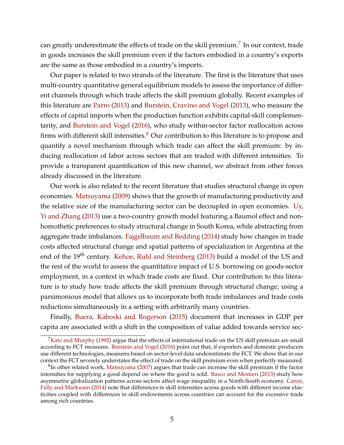can greatly underestimate the effects of trade on the skill premium. $^7$  $^7$  In our context, trade in goods increases the skill premium even if the factors embodied in a country's exports are the same as those embodied in a country's imports.

Our paper is related to two strands of the literature. The first is the literature that uses multi-country quantitative general equilibrium models to assess the importance of different channels through which trade affects the skill premium globally. Recent examples of this literature are [Parro](#page-45-1) [\(2013\)](#page-45-1) and [Burstein, Cravino and Vogel](#page-43-1) [\(2013\)](#page-43-1), who measure the effects of capital imports when the production function exhibits capital-skill complementarity, and [Burstein and Vogel](#page-43-4) [\(2016\)](#page-43-4), who study within-sector factor reallocation across firms with different skill intensities. $8$  Our contribution to this literature is to propose and quantify a novel mechanism through which trade can affect the skill premium: by inducing reallocation of labor across sectors that are traded with different intensities. To provide a transparent quantification of this new channel, we abstract from other forces already discussed in the literature.

Our work is also related to the recent literature that studies structural change in open economies. [Matsuyama](#page-45-2) [\(2009\)](#page-45-2) shows that the growth of manufacturing productivity and the relative size of the manufacturing sector can be decoupled in open economies. [Uy,](#page-45-3) [Yi and Zhang](#page-45-3) [\(2013\)](#page-45-3) use a two-country growth model featuring a Baumol effect and nonhomothetic preferences to study structural change in South Korea, while abstracting from aggregate trade imbalances. [Fajgelbaum and Redding](#page-44-6) [\(2014\)](#page-44-6) study how changes in trade costs affected structural change and spatial patterns of specialization in Argentina at the end of the 19<sup>th</sup> century. [Kehoe, Ruhl and Steinberg](#page-45-4) [\(2013\)](#page-45-4) build a model of the US and the rest of the world to assess the quantitative impact of U.S. borrowing on goods-sector employment, in a context in which trade costs are fixed. Our contribution to this literature is to study how trade affects the skill premium through structural change, using a parsimonious model that allows us to incorporate both trade imbalances and trade costs reductions simultaneously in a setting with arbitrarily many countries.

Finally, [Buera, Kaboski and Rogerson](#page-43-5) [\(2015\)](#page-43-5) document that increases in GDP per capita are associated with a shift in the composition of value added towards service sec-

<span id="page-6-0"></span> ${}^{7}$ [Katz and Murphy](#page-44-7) [\(1992\)](#page-44-7) argue that the effects of international trade on the US skill premium are small according to FCT measures. [Burstein and Vogel](#page-43-4) [\(2016\)](#page-43-4) point out that, if exporters and domestic producers use different technologies, measures based on sector-level data underestimate the FCT. We show that in our context the FCT severely understates the effect of trade on the skill premium even when perfectly measured.

<span id="page-6-1"></span> ${}^{8}$ In other related work, [Matsuyama](#page-45-5) [\(2007\)](#page-45-5) argues that trade can increase the skill premium if the factor intensities for supplying a good depend on where the good is sold. [Basco and Mestieri](#page-43-6) [\(2013\)](#page-43-6) study how asymmetric globalization patterns across sectors affect wage inequality in a North-South economy. [Caron,](#page-43-7) [Fally and Markusen](#page-43-7) [\(2014\)](#page-43-7) note that differences in skill intensities across goods with different income elasticities coupled with differences in skill endowments across countries can account for the excessive trade among rich countries.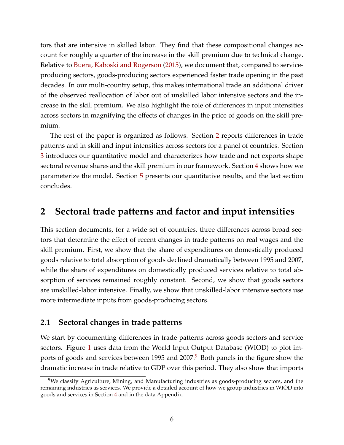tors that are intensive in skilled labor. They find that these compositional changes account for roughly a quarter of the increase in the skill premium due to technical change. Relative to [Buera, Kaboski and Rogerson](#page-43-5) [\(2015\)](#page-43-5), we document that, compared to serviceproducing sectors, goods-producing sectors experienced faster trade opening in the past decades. In our multi-country setup, this makes international trade an additional driver of the observed reallocation of labor out of unskilled labor intensive sectors and the increase in the skill premium. We also highlight the role of differences in input intensities across sectors in magnifying the effects of changes in the price of goods on the skill premium.

The rest of the paper is organized as follows. Section [2](#page-7-0) reports differences in trade patterns and in skill and input intensities across sectors for a panel of countries. Section [3](#page-11-0) introduces our quantitative model and characterizes how trade and net exports shape sectoral revenue shares and the skill premium in our framework. Section [4](#page-21-0) shows how we parameterize the model. Section [5](#page-25-0) presents our quantitative results, and the last section concludes.

## <span id="page-7-0"></span>**2 Sectoral trade patterns and factor and input intensities**

This section documents, for a wide set of countries, three differences across broad sectors that determine the effect of recent changes in trade patterns on real wages and the skill premium. First, we show that the share of expenditures on domestically produced goods relative to total absorption of goods declined dramatically between 1995 and 2007, while the share of expenditures on domestically produced services relative to total absorption of services remained roughly constant. Second, we show that goods sectors are unskilled-labor intensive. Finally, we show that unskilled-labor intensive sectors use more intermediate inputs from goods-producing sectors.

### **2.1 Sectoral changes in trade patterns**

We start by documenting differences in trade patterns across goods sectors and service sectors. Figure [1](#page-8-0) uses data from the World Input Output Database (WIOD) to plot im-ports of goods and services between 1[9](#page-7-1)95 and 2007.<sup>9</sup> Both panels in the figure show the dramatic increase in trade relative to GDP over this period. They also show that imports

<span id="page-7-1"></span> $9$ We classify Agriculture, Mining, and Manufacturing industries as goods-producing sectors, and the remaining industries as services. We provide a detailed account of how we group industries in WIOD into goods and services in Section [4](#page-21-0) and in the data Appendix.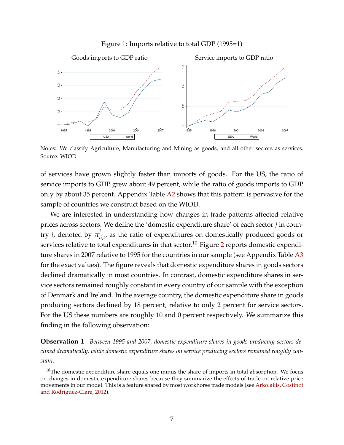Figure 1: Imports relative to total GDP (1995=1)

<span id="page-8-0"></span>

Notes: We classify Agriculture, Manufacturing and Mining as goods, and all other sectors as services. Source: WIOD.

of services have grown slightly faster than imports of goods. For the US, the ratio of service imports to GDP grew about 49 percent, while the ratio of goods imports to GDP only by about 35 percent. Appendix Table [A2](#page-65-0) shows that this pattern is pervasive for the sample of countries we construct based on the WIOD.

We are interested in understanding how changes in trade patterns affected relative prices across sectors. We define the 'domestic expenditure share' of each sector *j* in country *i*, denoted by  $\pi_i^j$  $\sum_{i,j,t'}$  as the ratio of expenditures on domestically produced goods or services relative to total expenditures in that sector.<sup>[10](#page-8-1)</sup> Figure [2](#page-9-0) reports domestic expenditure shares in 2007 relative to 1995 for the countries in our sample (see Appendix Table [A3](#page-65-1) for the exact values). The figure reveals that domestic expenditure shares in goods sectors declined dramatically in most countries. In contrast, domestic expenditure shares in service sectors remained roughly constant in every country of our sample with the exception of Denmark and Ireland. In the average country, the domestic expenditure share in goods producing sectors declined by 18 percent, relative to only 2 percent for service sectors. For the US these numbers are roughly 10 and 0 percent respectively. We summarize this finding in the following observation:

**Observation 1** *Between 1995 and 2007, domestic expenditure shares in goods producing sectors declined dramatically, while domestic expenditure shares on service producing sectors remained roughly constant.*

<span id="page-8-1"></span> $10$ The domestic expenditure share equals one minus the share of imports in total absorption. We focus on changes in domestic expenditure shares because they summarize the effects of trade on relative price movements in our model. This is a feature shared by most workhorse trade models (see [Arkolakis, Costinot](#page-43-3) [and Rodriguez-Clare,](#page-43-3) [2012\)](#page-43-3).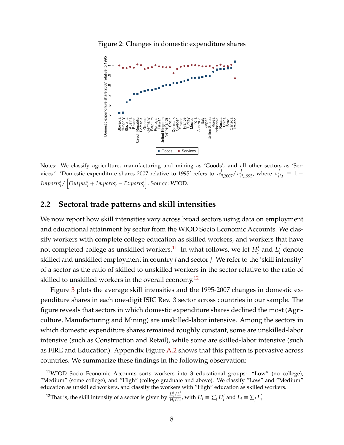<span id="page-9-0"></span>



Notes: We classify agriculture, manufacturing and mining as 'Goods', and all other sectors as 'Services.' 'Domestic expenditure shares 2007 relative to 1995' refers to  $\pi^j_{ii,2007}/\pi^j_{ii,1995}$ , where  $\pi^j_{ii,t}\equiv 1 Imports^j_t / \left[Output^j_i + Imports^j_i - Exports^j_i\right]$ . Source: WIOD.

## **2.2 Sectoral trade patterns and skill intensities**

We now report how skill intensities vary across broad sectors using data on employment and educational attainment by sector from the WIOD Socio Economic Accounts. We classify workers with complete college education as skilled workers, and workers that have not completed college as unskilled workers. $^{11}$  $^{11}$  $^{11}$  In what follows, we let  $H_i^j$  $\frac{j}{i}$  and  $L_i^j$ *i* denote skilled and unskilled employment in country *i* and sector *j*. We refer to the 'skill intensity' of a sector as the ratio of skilled to unskilled workers in the sector relative to the ratio of skilled to unskilled workers in the overall economy.<sup>[12](#page-9-2)</sup>

Figure [3](#page-10-0) plots the average skill intensities and the 1995-2007 changes in domestic expenditure shares in each one-digit ISIC Rev. 3 sector across countries in our sample. The figure reveals that sectors in which domestic expenditure shares declined the most (Agriculture, Manufacturing and Mining) are unskilled-labor intensive. Among the sectors in which domestic expenditure shares remained roughly constant, some are unskilled-labor intensive (such as Construction and Retail), while some are skilled-labor intensive (such as FIRE and Education). Appendix Figure [A.2](#page-61-0) shows that this pattern is pervasive across countries. We summarize these findings in the following observation:

<span id="page-9-1"></span><sup>11</sup>WIOD Socio Economic Accounts sorts workers into 3 educational groups: "Low" (no college), "Medium" (some college), and "High" (college graduate and above). We classify "Low" and "Medium" education as unskilled workers, and classify the workers with "High" education as skilled workers.

<span id="page-9-2"></span><sup>&</sup>lt;sup>12</sup>That is, the skill intensity of a sector is given by  $\frac{H_i^j/L_i^j}{H_i/L_i}$ , with  $H_i \equiv \sum_j H_i^j$  $L_i$  and  $L_i \equiv \sum_j L_i^j$ *i*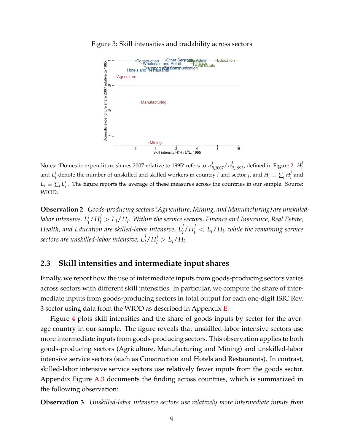

<span id="page-10-0"></span>Figure 3: Skill intensities and tradability across sectors

Notes: 'Domestic expenditure shares 2007 relative to 1995' refers to  $\pi^j_{ii,2007}/\pi^j_{ii,1995}$ , defined in Figure [2.](#page-9-0)  $H^j_i$ *i* and  $L^j_i$  $\frac{d}{dt}$  denote the number of unskilled and skilled workers in country *i* and sector *j*, and  $H_i \equiv \sum_j H_i^j$  $i$ <sup> $j$ </sup> and  $L_i \equiv \sum_j L_i^j$ *i* . The figure reports the average of these measures across the countries in our sample. Source: WIOD.

**Observation 2** *Goods-producing sectors (Agriculture, Mining, and Manufacturing) are unskilled*labor intensive,  $L^j_i/H^j_i > L_i/H_i.$  Within the service sectors, Finance and Insurance, Real Estate,  $H$ ealth, and Education are skilled-labor intensive,  $L^j_i/H^j_i < L_i/H_i$ , while the remaining service *sectors are unskilled-labor intensive,*  $L_i^j/H_i^j > L_i/H_i$ *.* 

## **2.3 Skill intensities and intermediate input shares**

Finally, we report how the use of intermediate inputs from goods-producing sectors varies across sectors with different skill intensities. In particular, we compute the share of intermediate inputs from goods-producing sectors in total output for each one-digit ISIC Rev. 3 sector using data from the WIOD as described in Appendix [E.](#page-57-0)

Figure [4](#page-11-1) plots skill intensities and the share of goods inputs by sector for the average country in our sample. The figure reveals that unskilled-labor intensive sectors use more intermediate inputs from goods-producing sectors. This observation applies to both goods-producing sectors (Agriculture, Manufacturing and Mining) and unskilled-labor intensive service sectors (such as Construction and Hotels and Restaurants). In contrast, skilled-labor intensive service sectors use relatively fewer inputs from the goods sector. Appendix Figure [A.3](#page-61-1) documents the finding across countries, which is summarized in the following observation:

**Observation 3** *Unskilled-labor intensive sectors use relatively more intermediate inputs from*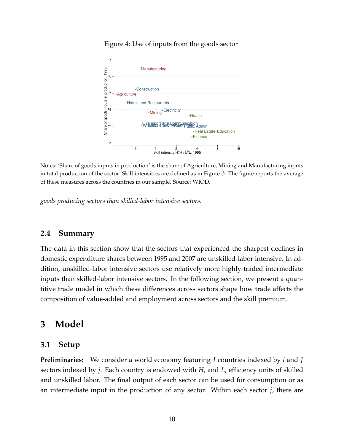#### Figure 4: Use of inputs from the goods sector

<span id="page-11-1"></span>

Notes: 'Share of goods inputs in production' is the share of Agriculture, Mining and Manufacturing inputs in total production of the sector. Skill intensities are defined as in Figure [3](#page-10-0). The figure reports the average of these measures across the countries in our sample. Source: WIOD.

*goods producing sectors than skilled-labor intensive sectors.*

## **2.4 Summary**

The data in this section show that the sectors that experienced the sharpest declines in domestic expenditure shares between 1995 and 2007 are unskilled-labor intensive. In addition, unskilled-labor intensive sectors use relatively more highly-traded intermediate inputs than skilled-labor intensive sectors. In the following section, we present a quantitive trade model in which these differences across sectors shape how trade affects the composition of value-added and employment across sectors and the skill premium.

## <span id="page-11-0"></span>**3 Model**

#### <span id="page-11-2"></span>**3.1 Setup**

**Preliminaries:** We consider a world economy featuring *I* countries indexed by *i* and *J* sectors indexed by *j*. Each country is endowed with *H<sup>i</sup>* and *L<sup>i</sup>* efficiency units of skilled and unskilled labor. The final output of each sector can be used for consumption or as an intermediate input in the production of any sector. Within each sector *j*, there are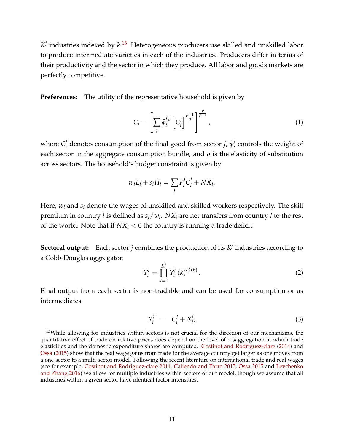*K j* industries indexed by *k*. [13](#page-12-0) Heterogeneous producers use skilled and unskilled labor to produce intermediate varieties in each of the industries. Producers differ in terms of their productivity and the sector in which they produce. All labor and goods markets are perfectly competitive.

**Preferences:** The utility of the representative household is given by

<span id="page-12-3"></span>
$$
C_i = \left[\sum_j \bar{\phi}_i^{j\frac{1}{\rho}} \left[C_i^j\right]^{\frac{\rho-1}{\rho}}\right]^{\frac{\rho}{\rho-1}},\tag{1}
$$

where  $C_i^j$  $\bar{q}^j$  denotes consumption of the final good from sector *j*,  $\bar{\phi}^j_i$  $\frac{1}{i}$  controls the weight of each sector in the aggregate consumption bundle, and  $\rho$  is the elasticity of substitution across sectors. The household's budget constraint is given by

$$
w_i L_i + s_i H_i = \sum_j P_i^j C_i^j + N X_i.
$$

Here, *w<sup>i</sup>* and *s<sup>i</sup>* denote the wages of unskilled and skilled workers respectively. The skill premium in country *i* is defined as *si*/*w<sup>i</sup>* . *NX<sup>i</sup>* are net transfers from country *i* to the rest of the world. Note that if  $NX_i < 0$  the country is running a trade deficit.

**Sectoral output:** Each sector *j* combines the production of its  $K^j$  industries according to a Cobb-Douglas aggregator:

<span id="page-12-1"></span>
$$
Y_i^j = \prod_{k=1}^{K^j} Y_i^j (k)^{\sigma_i^j (k)}.
$$
 (2)

Final output from each sector is non-tradable and can be used for consumption or as intermediates

<span id="page-12-2"></span>
$$
Y_i^j = C_i^j + X_i^j,\tag{3}
$$

<span id="page-12-0"></span><sup>&</sup>lt;sup>13</sup>While allowing for industries within sectors is not crucial for the direction of our mechanisms, the quantitative effect of trade on relative prices does depend on the level of disaggregation at which trade elasticities and the domestic expenditure shares are computed. [Costinot and Rodriguez-clare](#page-44-8) [\(2014\)](#page-44-8) and [Ossa](#page-45-6) [\(2015\)](#page-45-6) show that the real wage gains from trade for the average country get larger as one moves from a one-sector to a multi-sector model. Following the recent literature on international trade and real wages (see for example, [Costinot and Rodriguez-clare](#page-44-8) [2014,](#page-44-8) [Caliendo and Parro](#page-43-8) [2015,](#page-43-8) [Ossa](#page-45-6) [2015](#page-45-6) and [Levchenko](#page-45-7) [and Zhang](#page-45-7) [2016\)](#page-45-7) we allow for multiple industries within sectors of our model, though we assume that all industries within a given sector have identical factor intensities.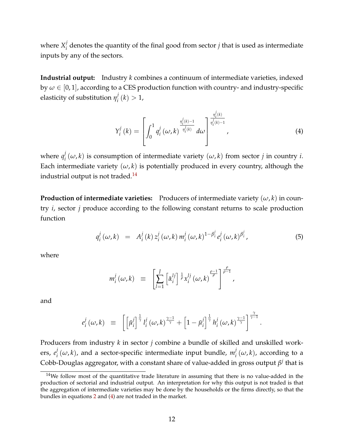where  $X_i^j$  $\mathbf{F}_i$  denotes the quantity of the final good from sector  $j$  that is used as intermediate inputs by any of the sectors.

**Industrial output:** Industry *k* combines a continuum of intermediate varieties, indexed by  $\omega \in [0,1]$ , according to a CES production function with country- and industry-specific elasticity of substitution  $\eta_i^j$  $i<sub>i</sub>$ <sup> $j$ </sup> $(k) > 1$ ,

<span id="page-13-1"></span>
$$
Y_{i}^{j}(k) = \left[\int_{0}^{1} q_{i}^{j}(\omega, k) \frac{\eta_{i}^{j}(k) - 1}{\eta_{i}^{j}(k)} d\omega \right]^{\frac{\eta_{i}^{j}(k)}{\eta_{i}^{j}(k) - 1}}, \qquad (4)
$$

*j*

where  $q_i^j$  $\mathcal{I}_i^J(\omega, k)$  is consumption of intermediate variety  $(\omega, k)$  from sector *j* in country *i*. Each intermediate variety  $(\omega, k)$  is potentially produced in every country, although the industrial output is not traded.<sup>[14](#page-13-0)</sup>

**Production of intermediate varieties:** Producers of intermediate variety  $(\omega, k)$  in country *i*, sector *j* produce according to the following constant returns to scale production function

<span id="page-13-2"></span>
$$
q_i^j(\omega, k) = A_i^j(k) z_i^j(\omega, k) m_i^j(\omega, k)^{1 - \beta_i^j} e_i^j(\omega, k)^{\beta_i^j}, \qquad (5)
$$

where

$$
m_i^j(\omega,k) \equiv \left[\sum_{l=1}^J \left[\bar{\alpha}_i^{lj}\right] \frac{1}{\rho} x_i^{lj}(\omega,k)\right]^{\frac{\rho}{\rho-1}}.
$$

and

$$
e_i^j(\omega,k) \equiv \left[ \left[ \bar{\mu}_i^j \right]^{\frac{1}{\gamma}} l_i^j(\omega,k)^{\frac{\gamma-1}{\gamma}} + \left[ 1 - \bar{\mu}_i^j \right]^{\frac{1}{\gamma}} h_i^j(\omega,k)^{\frac{\gamma-1}{\gamma}} \right]^{\frac{\gamma}{\gamma-1}}.
$$

Producers from industry *k* in sector *j* combine a bundle of skilled and unskilled workers, *e j*  $\int_a^j(\omega,k)$ , and a sector-specific intermediate input bundle,  $m_i^j$  $\int_i^f$   $(\omega, k)$ , according to a Cobb-Douglas aggregator, with a constant share of value-added in gross output *β j* that is

<span id="page-13-0"></span><sup>&</sup>lt;sup>14</sup>We follow most of the quantitative trade literature in assuming that there is no value-added in the production of sectorial and industrial output. An interpretation for why this output is not traded is that the aggregation of intermediate varieties may be done by the households or the firms directly, so that the bundles in equations [2](#page-12-1) and [\(4\)](#page-13-1) are not traded in the market.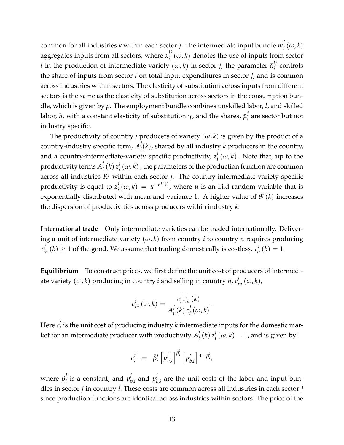common for all industries *k* within each sector *j*. The intermediate input bundle *m j*  $\int_i^j$   $(\omega, k)$ aggregates inputs from all sectors, where *x lj*  $\int_{i}^{ij}$  ( $\omega$ , *k*) denotes the use of inputs from sector *l* in the production of intermediate variety  $(\omega, k)$  in sector *j*; the parameter  $\bar{\alpha}_i^{lj}$ *i* controls the share of inputs from sector *l* on total input expenditures in sector *j*, and is common across industries within sectors. The elasticity of substitution across inputs from different sectors is the same as the elasticity of substitution across sectors in the consumption bundle, which is given by *ρ*. The employment bundle combines unskilled labor, *l*, and skilled labor, *h,* with a constant elasticity of substitution  $\gamma$ , and the shares,  $\bar{\mu}_i^j$ *i* are sector but not industry specific.

The productivity of country *i* producers of variety  $(\omega, k)$  is given by the product of a country-industry specific term, *A j i* (*k*), shared by all industry *k* producers in the country, and a country-intermediate-variety specific productivity, *z j*  $\int_{i}^{j}$   $(\omega, k)$ . Note that, up to the productivity terms  $A_i^j$  $\frac{j}{i}(k) z_i^j$  $\mathcal{L}_i^{\prime}(\omega,k)$  , the parameters of the production function are common across all industries  $K^j$  within each sector *j*. The country-intermediate-variety specific productivity is equal to *z j*  $\int_a^j (\omega, k) = u^{-\theta^j(k)}$ , where *u* is an i.i.d random variable that is exponentially distributed with mean and variance 1. A higher value of *θ j* (*k*) increases the dispersion of productivities across producers within industry *k*.

**International trade** Only intermediate varieties can be traded internationally. Delivering a unit of intermediate variety  $(\omega, k)$  from country *i* to country *n* requires producing  $\tau^j_{in}(k) \geq 1$  of the good. We assume that trading domestically is costless,  $\tau^j_{ii}(k) = 1$ .

**Equilibrium** To construct prices, we first define the unit cost of producers of intermediate variety  $(\omega, k)$  producing in country *i* and selling in country *n*,  $c_{in}^{j}$   $(\omega, k)$ ,

$$
c_{in}^j(\omega,k) = \frac{c_i^j \tau_{in}^j(k)}{A_i^j(k) z_i^j(\omega,k)}.
$$

Here *c j*  $\mathbf{v}_i'$  is the unit cost of producing industry  $k$  intermediate inputs for the domestic market for an intermediate producer with productivity *A j*  $\int_i^j(k) z_i^j$  $\int_i^j (\omega, k) = 1$ , and is given by:

$$
c_i^j = \bar{\beta}_i^j \left[ p_{v,i}^j \right]^{\beta_i^j} \left[ p_{b,i}^j \right]^{1-\beta_i^j},
$$

where  $\bar{\beta}_i^j$  $j$ <sub>*i*</sub> is a constant, and  $p_i^j$  $v_{v,i}$  and  $p_l^j$  $b_{b,i}$  are the unit costs of the labor and input bundles in sector *j* in country *i*. These costs are common across all industries in each sector *j* since production functions are identical across industries within sectors. The price of the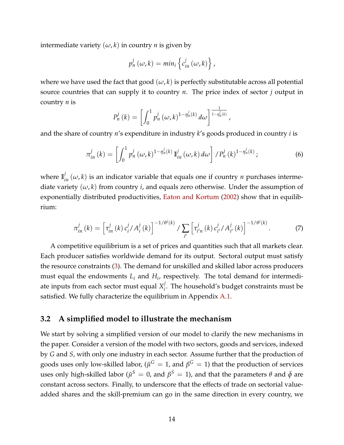intermediate variety  $(\omega, k)$  in country *n* is given by

$$
p_n^j(\omega,k)=min_i\left\{c_{in}^j(\omega,k)\right\},\,
$$

where we have used the fact that good  $(\omega, k)$  is perfectly substitutable across all potential source countries that can supply it to country *n*. The price index of sector *j* output in country *n* is

$$
P_n^j(k)=\left[\int_0^1 p_n^j\left(\omega,k\right)^{1-\eta_n^j(k)}d\omega\right]^{\frac{1}{1-\eta_n^j(k)}},
$$

and the share of country *n*'s expenditure in industry *k*'s goods produced in country *i* is

$$
\pi_{in}^j(k) = \left[\int_0^1 p_n^j(\omega,k)^{1-\eta_n^j(k)}\,\mathbb{I}_{in}^j(\omega,k)\,d\omega\right]/P_n^j(k)^{1-\eta_n^j(k)}\,,\tag{6}
$$

where  $\mathbb{I}^j_{in}(\omega,k)$  is an indicator variable that equals one if country *n* purchases intermediate variety  $(\omega, k)$  from country *i*, and equals zero otherwise. Under the assumption of exponentially distributed productivities, [Eaton and Kortum](#page-44-1) [\(2002\)](#page-44-1) show that in equilibrium:

<span id="page-15-0"></span>
$$
\pi_{in}^{j}(k) = \left[\tau_{in}^{j}(k) c_{i}^{j}/A_{i}^{j}(k)\right]^{-1/\theta^{j}(k)}/\sum_{i'} \left[\tau_{i'n}^{j}(k) c_{i'}^{j}/A_{i'}^{j}(k)\right]^{-1/\theta^{j}(k)}.
$$
 (7)

A competitive equilibrium is a set of prices and quantities such that all markets clear. Each producer satisfies worldwide demand for its output. Sectoral output must satisfy the resource constraints [\(3\)](#page-12-2). The demand for unskilled and skilled labor across producers must equal the endowments *L<sup>i</sup>* and *H<sup>i</sup>* , respectively. The total demand for intermediate inputs from each sector must equal *X j*  $\mathbf{f}_i^j$ . The household's budget constraints must be satisfied. We fully characterize the equilibrium in Appendix [A.1.](#page-47-0)

## **3.2 A simplified model to illustrate the mechanism**

We start by solving a simplified version of our model to clarify the new mechanisms in the paper. Consider a version of the model with two sectors, goods and services, indexed by *G* and *S*, with only one industry in each sector. Assume further that the production of goods uses only low-skilled labor, ( $\bar{\mu}^G = 1$ , and  $\beta^G = 1$ ) that the production of services uses only high-skilled labor ( $\bar{\mu}^S = 0$ , and  $\beta^S = 1$ ), and that the parameters θ and  $\bar{\phi}$  are constant across sectors. Finally, to underscore that the effects of trade on sectorial valueadded shares and the skill-premium can go in the same direction in every country, we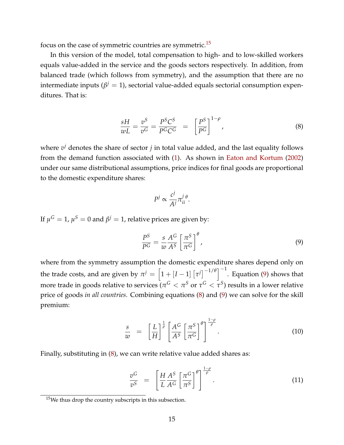focus on the case of symmetric countries are symmetric.[15](#page-16-0)

In this version of the model, total compensation to high- and to low-skilled workers equals value-added in the service and the goods sectors respectively. In addition, from balanced trade (which follows from symmetry), and the assumption that there are no intermediate inputs ( $β<sup>j</sup> = 1$ ), sectorial value-added equals sectorial consumption expenditures. That is:

<span id="page-16-2"></span>
$$
\frac{sH}{wL} = \frac{v^S}{v^G} = \frac{P^SC^S}{P^GC^G} = \left[\frac{P^S}{P^G}\right]^{1-\rho},\tag{8}
$$

where  $v^j$  denotes the share of sector  $j$  in total value added, and the last equality follows from the demand function associated with [\(1\)](#page-12-3). As shown in [Eaton and Kortum](#page-44-1) [\(2002\)](#page-44-1) under our same distributional assumptions, price indices for final goods are proportional to the domestic expenditure shares:

$$
P^j \propto \frac{c^j}{Ai^j} \pi_{ii}^j \theta.
$$

If  $\mu^G = 1$ ,  $\mu^S = 0$  and  $\beta^j = 1$ , relative prices are given by:

<span id="page-16-1"></span>
$$
\frac{P^S}{P^G} = \frac{s}{w} \frac{A^G}{A^S} \left[ \frac{\pi^S}{\pi^G} \right]^{\theta},\tag{9}
$$

where from the symmetry assumption the domestic expenditure shares depend only on the trade costs, and are given by  $\pi^{j} = \left[1 + \left[I-1\right]\left[\tau^{j}\right]^{-1/\theta}\right]^{-1}$ . Equation [\(9\)](#page-16-1) shows that more trade in goods relative to services ( $\pi^G<\pi^S$  or  $\tau^G<\tau^S$ ) results in a lower relative price of goods *in all countries*. Combining equations [\(8\)](#page-16-2) and [\(9\)](#page-16-1) we can solve for the skill premium:

<span id="page-16-3"></span>
$$
\frac{s}{w} = \left[\frac{L}{H}\right]^{\frac{1}{\rho}} \left[\frac{A^G}{A^S} \left[\frac{\pi^S}{\pi^G}\right]^{\theta}\right]^{\frac{1-\rho}{\rho}}.
$$
\n(10)

Finally, substituting in [\(8\)](#page-16-2), we can write relative value added shares as:

<span id="page-16-4"></span>
$$
\frac{v^G}{v^S} = \left[\frac{H}{L}\frac{A^S}{A^G}\left[\frac{\pi^G}{\pi^S}\right]^{\theta}\right]^{\frac{1-\rho}{\rho}}.\tag{11}
$$

<span id="page-16-0"></span><sup>15</sup>We thus drop the country subscripts in this subsection.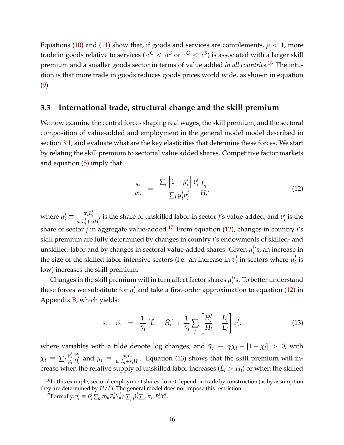Equations [\(10\)](#page-16-3) and [\(11\)](#page-16-4) show that, if goods and services are complements,  $\rho < 1$ , more trade in goods relative to services ( $\pi^G<\pi^S$  or  $\tau^G<\tau^S$ ) is associated with a larger skill premium and a smaller goods sector in terms of value added *in all countries*. [16](#page-17-0) The intuition is that more trade in goods reduces goods prices world wide, as shown in equation [\(9\)](#page-16-1).

## <span id="page-17-4"></span>**3.3 International trade, structural change and the skill premium**

We now examine the central forces shaping real wages, the skill premium, and the sectoral composition of value-added and employment in the general model model described in section [3.1,](#page-11-2) and evaluate what are the key elasticities that determine these forces. We start by relating the skill premium to sectorial value added shares. Competitive factor markets and equation [\(5\)](#page-13-2) imply that

<span id="page-17-2"></span>
$$
\frac{s_i}{w_i} = \frac{\sum_j \left[1 - \mu_i^j\right] v_i^j}{\sum_j \mu_i^j v_i^j} \frac{L_i}{H_i'},\tag{12}
$$

where  $\mu_i^j \equiv \frac{w_i L_i^j}{w_i L^j + s}$ *i*  $w_i L_i'$  is the share of unskilled labor in sector *j*'s value-added, and  $v_i'$  *i*  $w_i L_i' + s_i H_i'$ *i* share of sector *j* in aggregate value-added.[17](#page-17-1) From equation [\(12\)](#page-17-2), changes in country *i*'s  $i_{i}^{\prime}$  is the skill premium are fully determined by changes in country *i*'s endowments of skilled- and unskilled-labor and by changes in sectoral value-added shares. Given  $\mu_i^j$  $\int_{i}^{i}$ 's, an increase in the size of the skilled labor intensive sectors (i.e. an increase in  $v_j^j$  $\mu^j_i$  in sectors where  $\mu^j_i$  $i$ <sup>*i*</sup> is low) increases the skill premium.

Changes in the skill premium will in turn affect factor shares  $\mu_i^j$ *i* 's. To better understand these forces we substitute for  $\mu_i^j$ *i* and take a first-order approximation to equation [\(12\)](#page-17-2) in Appendix [B,](#page-53-0) which yields:

<span id="page-17-3"></span>
$$
\tilde{s}_i - \tilde{w}_i = \frac{1}{\bar{\gamma}_i} \left[ \tilde{L}_i - \tilde{H}_i \right] + \frac{1}{\bar{\gamma}_i} \sum_j \left[ \frac{H_i^j}{H_i} - \frac{L_i^j}{L_i} \right] \tilde{v}_{i'}^j \tag{13}
$$

where variables with a tilde denote log changes, and  $\bar{\gamma}_i \equiv \gamma \chi_i + [1 - \chi_i] > 0$ , with  $\chi_i \equiv \sum_j \frac{\mu_i^j}{\mu_i}$ *i µi H j*  $\frac{H_i^2}{H_i}$  and  $\mu_i \equiv \frac{w_i L_i}{w_i L_i + s}$  $\frac{w_i L_i}{w_i L_i + s_i H_i}$ . Equation [\(13\)](#page-17-3) shows that the skill premium will increase when the relative supply of unskilled labor increases ( $\tilde{L}_i > \tilde{H}_i$ ) or when the skilled

<span id="page-17-0"></span><sup>&</sup>lt;sup>16</sup>In this example, sectoral employment shares do not depend on trade by construction (as by assumption they are determined by *H*/*L*). The general model does not impose this restriction.

<span id="page-17-1"></span><sup>&</sup>lt;sup>17</sup>Formally,  $v_i^j \equiv \beta_i^j \sum_n \pi_{in} P_n^j Y_n^j / \sum_j \beta_i^j \sum_n \pi_{in} P_n^j Y_n^j$ .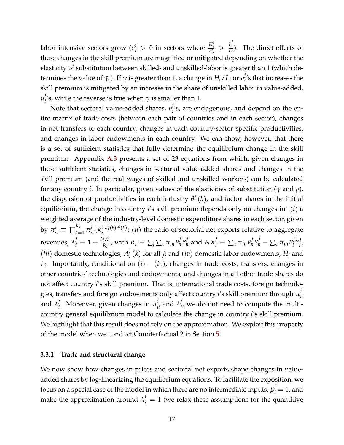labor intensive sectors grow ( $\tilde{v}_i^j > 0$  in sectors where  $\frac{H_i^j}{H_i}$  $\frac{H_i^j}{H_i} > \frac{L_i^j}{L_i}$  $\frac{L_i}{L_i}$ ). The direct effects of these changes in the skill premium are magnified or mitigated depending on whether the elasticity of substitution between skilled- and unskilled-labor is greater than 1 (which determines the value of  $\bar{\gamma}_i$ ). If  $\gamma$  is greater than 1, a change in  $H_i/L_i$  or  $v_i^j$  $i$ <sup>'</sup>s that increases the skill premium is mitigated by an increase in the share of unskilled labor in value-added,  $\mu_i^j$  $\gamma'$ 's, while the reverse is true when  $\gamma$  is smaller than 1.

Note that sectoral value-added shares, *v j*  $\mathcal{C}'$ 's, are endogenous, and depend on the entire matrix of trade costs (between each pair of countries and in each sector), changes in net transfers to each country, changes in each country-sector specific productivities, and changes in labor endowments in each country. We can show, however, that there is a set of sufficient statistics that fully determine the equilibrium change in the skill premium. Appendix [A.3](#page-51-0) presents a set of 23 equations from which, given changes in these sufficient statistics, changes in sectorial value-added shares and changes in the skill premium (and the real wages of skilled and unskilled workers) can be calculated for any country *i*. In particular, given values of the elasticities of substitution (*γ* and *ρ*), the dispersion of productivities in each industry  $\theta^j(k)$ , and factor shares in the initial equilibrium, the change in country *i*'s skill premium depends only on changes in: (*i*) a weighted average of the industry-level domestic expenditure shares in each sector, given by  $\pi_{ii}^j \equiv \prod_{k=1}^{K_j}$  $\sum_{k=1}^{K_j} \pi_{ii}^j(k) \frac{\sigma_i^j}{j}$  $\mathcal{L}_i^{(k)\theta^j(k)}$ ; (*ii*) the ratio of sectorial net exports relative to aggregate revenues,  $\lambda_i^j \equiv 1 + \frac{NX_i^j}{R_i}$ , with  $R_i \equiv \sum_j \sum_n \pi_{in} P_n^j Y_n^j$  and  $NX_i^j \equiv \sum_n \pi_{in} P_n^j Y_n^j - \sum_n \pi_{ni} P_i^j$  $i^j Y_i^j$ *i* , (*iii*) domestic technologies, *A j*  $\mathcal{F}_i^{f}(k)$  for all *j*; and  $(iv)$  domestic labor endowments,  $H_i$  and *Li* . Importantly, conditional on (*i*) − (*iv*), changes in trade costs, transfers, changes in other countries' technologies and endowments, and changes in all other trade shares do not affect country *i*'s skill premium. That is, international trade costs, foreign technologies, transfers and foreign endowments only affect country  $i^{\prime}$ s skill premium through  $\pi_i^j$ *ii* and  $\lambda_i^j$  $\sigma_i^j$ . Moreover, given changes in  $\pi_{ii}^j$  and  $\lambda_i^j$  $\mathbf{f}_{i}^{'}$ , we do not need to compute the multicountry general equilibrium model to calculate the change in country *i*'s skill premium. We highlight that this result does not rely on the approximation. We exploit this property of the model when we conduct Counterfactual 2 in Section [5.](#page-25-0)

#### **3.3.1 Trade and structural change**

We now show how changes in prices and sectorial net exports shape changes in valueadded shares by log-linearizing the equilibrium equations. To facilitate the exposition, we focus on a special case of the model in which there are no intermediate inputs,  $\beta_i^j = 1$ , and make the approximation around  $\lambda_i^j = 1$  (we relax these assumptions for the quantitive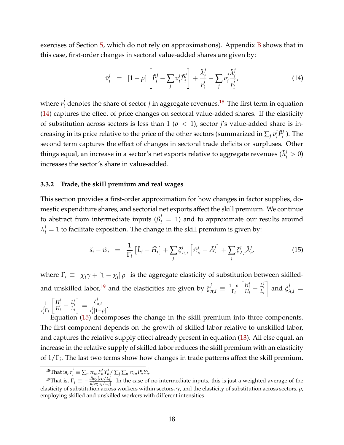exercises of Section [5,](#page-25-0) which do not rely on approximations). Appendix  $\overline{B}$  $\overline{B}$  $\overline{B}$  shows that in this case, first-order changes in sectoral value-added shares are given by:

<span id="page-19-1"></span>
$$
\tilde{v}_i^j = [1 - \rho] \left[ \tilde{P}_i^j - \sum_j v_i^j \tilde{P}_i^j \right] + \frac{\tilde{\lambda}_i^j}{r_i^j} - \sum_j v_i^j \frac{\tilde{\lambda}_i^j}{r_i^j}, \tag{14}
$$

where  $r_i^j$  $\mathbf{z}_i^j$  denotes the share of sector  $j$  in aggregate revenues.<sup>[18](#page-19-0)</sup> The first term in equation [\(14\)](#page-19-1) captures the effect of price changes on sectoral value-added shares. If the elasticity of substitution across sectors is less than 1 ( $\rho$  < 1), sector *j's* value-added share is increasing in its price relative to the price of the other sectors (summarized in  $\sum_j v_i^j$  $i$ <sup>*P* $i$ </sup>  $\binom{p}{i}$ . The second term captures the effect of changes in sectoral trade deficits or surpluses. Other things equal, an increase in a sector's net exports relative to aggregate revenues  $(\tilde{\lambda}_i^j > 0)$ increases the sector's share in value-added.

#### **3.3.2 Trade, the skill premium and real wages**

This section provides a first-order approximation for how changes in factor supplies, domestic expenditure shares, and sectorial net exports affect the skill premium. We continue to abstract from intermediate inputs ( $\beta_i^j = 1$ ) and to approximate our results around  $\lambda_i^j = 1$  to facilitate exposition. The change in the skill premium is given by:

<span id="page-19-3"></span>
$$
\tilde{s}_i - \tilde{w}_i = \frac{1}{\Gamma_i} \left[ \tilde{L}_i - \tilde{H}_i \right] + \sum_j \xi^j_{\pi,i} \left[ \tilde{\pi}^j_{ii} - \tilde{A}^j_i \right] + \sum_j \xi^j_{\lambda,i} \tilde{\lambda}^j_{i'}
$$
\n(15)

where  $\Gamma_i \equiv \chi_i \gamma + [1 - \chi_i] \rho$  is the aggregate elasticity of substitution between skilled-and unskilled labor,<sup>[19](#page-19-2)</sup> and the elasticities are given by  $\xi_{\pi,i}^j \equiv \frac{1-\rho}{\Gamma_i}$ Γ*i*  $\left[ H_i^j \right]$  $\frac{H_i^j}{H_i} - \frac{L_i^j}{L_i}$ *i Li* 1 and  $\zeta_{\lambda,i}^j =$ 1  $\left[ H_i^j \right]$  $\frac{H_i^j}{H_i} - \frac{L_i^j}{L_i}$ *i Li*  $\Big] = \frac{\xi_j^j}{\xi_j}$ *π*,*i*  $\frac{\frac{1}{2} \pi r}{\frac{1}{2} [1-\rho]}$ .

*r j i* Γ*i r j* Equation [\(15\)](#page-19-3) decomposes the change in the skill premium into three components. The first component depends on the growth of skilled labor relative to unskilled labor, and captures the relative supply effect already present in equation [\(13\)](#page-17-3). All else equal, an increase in the relative supply of skilled labor reduces the skill premium with an elasticity of 1/Γ*<sup>i</sup>* . The last two terms show how changes in trade patterns affect the skill premium.

<span id="page-19-2"></span><span id="page-19-0"></span> $f^1$ <sup>8</sup>That is,  $r_i^j \equiv \sum_n \pi_{in} P_n^j Y_n^j / \sum_j \sum_n \pi_{in} P_n^j Y_n^j$ .

 $^{19}$ That is,  $\Gamma_i \equiv -\frac{dlog[H_i/L_i]}{dlog[s_i/w_i]}$  $\frac{d\log[11/|E_i|]}{dlog[s_i/w_i]}$ . In the case of no intermediate inputs, this is just a weighted average of the elasticity of substitution across workers within sectors, *γ*, and the elasticity of substitution across sectors, *ρ*, employing skilled and unskilled workers with different intensities.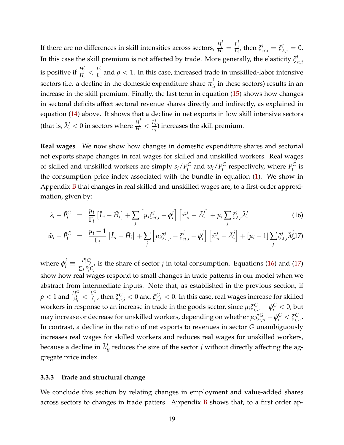If there are no differences in skill intensities across sectors,  $\frac{H^j_i}{H^j_i}$  $\frac{H_i^j}{H_i} = \frac{L_i^j}{L_i}$ *L*<sup>*i*</sup></sup><sub>*L*</sub></sub>, then  $\zeta_{\pi,i}^j = \zeta_{\lambda,i}^j = 0$ . In this case the skill premium is not affected by trade. More generally, the elasticity  $\zeta^j_j$ *π*,*i* is positive if  $\frac{H_i^j}{H_i}$  $\frac{H_i^j}{H_i} < \frac{L_i^j}{L_i}$  $\frac{L_i}{L_i}$  and  $\rho < 1$ . In this case, increased trade in unskilled-labor intensive sectors (i.e. a decline in the domestic expenditure share  $\pi_{ii}^j$  in these sectors) results in an increase in the skill premium. Finally, the last term in equation [\(15\)](#page-19-3) shows how changes in sectoral deficits affect sectoral revenue shares directly and indirectly, as explained in equation [\(14\)](#page-19-1) above. It shows that a decline in net exports in low skill intensive sectors (that is,  $\tilde{\lambda}_i^j < 0$  in sectors where  $\frac{H_i^j}{H_i}$  $\frac{H_i^j}{H_i} < \frac{L_i^j}{L_i}$  $\frac{L_i}{L_i}$ ) increases the skill premium.

**Real wages** We now show how changes in domestic expenditure shares and sectorial net exports shape changes in real wages for skilled and unskilled workers. Real wages of skilled and unskilled workers are simply  $s_i/P_i^C$  $w_i^C$  and  $w_i$  /  $P_i^C$  $P_i^C$  respectively, where  $P_i^C$  $\int_{i}^{\mathcal{L}}$  is the consumption price index associated with the bundle in equation [\(1\)](#page-12-3). We show in Appendix [B](#page-53-0) that changes in real skilled and unskilled wages are, to a first-order approximation, given by:

<span id="page-20-0"></span>
$$
\tilde{s}_i - \tilde{P}_i^C = \frac{\mu_i}{\Gamma_i} \left[ \tilde{L}_i - \tilde{H}_i \right] + \sum_j \left[ \mu_i \xi_{\pi,i}^j - \phi_i^j \right] \left[ \tilde{\pi}_{ii}^j - \tilde{A}_i^j \right] + \mu_i \sum_j \xi_{\lambda,i}^j \tilde{\lambda}_i^j \tag{16}
$$

$$
\tilde{w}_i - \tilde{P}_i^C = \frac{\mu_i - 1}{\Gamma_i} \left[ \tilde{L}_i - \tilde{H}_i \right] + \sum_j \left[ \mu_i \xi_{\pi,i}^j - \xi_{\pi,i}^j - \phi_i^j \right] \left[ \tilde{\pi}_{ii}^j - \tilde{A}_i^j \right] + \left[ \mu_i - 1 \right] \sum_j \xi_{\lambda,i}^j \tilde{\lambda}_k^j
$$

where  $\phi_i^j \equiv \frac{P_i^j}{\sum_i j}$  $i$ <sup>*j*</sup> $C_i^j$ *i*  $\sum_j P_i^j$  $i$ <sup>*C*</sup> $i$ *i* is the share of sector *j* in total consumption. Equations [\(16\)](#page-20-0) and [\(17\)](#page-20-0) show how real wages respond to small changes in trade patterns in our model when we abstract from intermediate inputs. Note that, as established in the previous section, if  $\rho < 1$  and  $\frac{H_i^G}{H_i} < \frac{L_i^G}{L_i}$ , then  $\xi_{\pi,i}^G < 0$  and  $\xi_{i,\lambda}^G < 0$ . In this case, real wages increase for skilled workers in response to an increase in trade in the goods sector, since  $\mu_i \xi_{i,\pi}^G - \phi_i^G < 0$ , but may increase or decrease for unskilled workers, depending on whether  $\mu_i \xi_{i,\pi}^G - \phi_i^G < \xi_{i,i}^G$ *i*,*π* . In contrast, a decline in the ratio of net exports to revenues in sector *G* unambiguously increases real wages for skilled workers and reduces real wages for unskilled workers, because a decline in  $\tilde{\lambda}_{ii}^j$  reduces the size of the sector *j* without directly affecting the aggregate price index.

#### **3.3.3 Trade and structural change**

We conclude this section by relating changes in employment and value-added shares across sectors to changes in trade patters. Appendix [B](#page-53-0) shows that, to a first order ap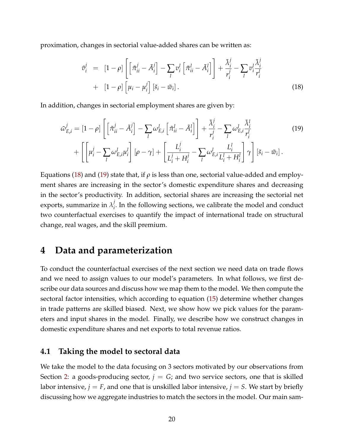proximation, changes in sectorial value-added shares can be written as:

<span id="page-21-2"></span><span id="page-21-1"></span>
$$
\tilde{v}_i^j = [1 - \rho] \left[ \left[ \tilde{\pi}_{ii}^j - \tilde{A}_i^j \right] - \sum_l v_i^l \left[ \tilde{\pi}_{ii}^l - \tilde{A}_i^l \right] \right] + \frac{\tilde{\lambda}_i^j}{r_i^j} - \sum_l v_i^l \frac{\tilde{\lambda}_i^j}{r_i^l} + [1 - \rho] \left[ \mu_i - \mu_i^j \right] \left[ \tilde{s}_i - \tilde{w}_i \right]. \tag{18}
$$

In addition, changes in sectorial employment shares are given by:

$$
\tilde{\omega}_{E,i}^{j} = [1 - \rho] \left[ \left[ \tilde{\pi}_{ii}^{j} - \tilde{A}_{i}^{j} \right] - \sum_{l} \omega_{E,i}^{l} \left[ \tilde{\pi}_{ii}^{l} - \tilde{A}_{i}^{l} \right] \right] + \frac{\tilde{\lambda}_{i}^{j}}{r_{i}^{j}} - \sum_{l} \omega_{E,i}^{l} \frac{\tilde{\lambda}_{i}^{l}}{r_{i}^{l}} + \left[ \left[ \mu_{i}^{j} - \sum_{l} \omega_{E,i}^{l} \mu_{i}^{l} \right] \left[ \rho - \gamma \right] + \left[ \frac{L_{i}^{j}}{L_{i}^{j} + H_{i}^{j}} - \sum_{l} \omega_{E,i}^{l} \frac{L_{i}^{l}}{L_{i}^{l} + H_{i}^{l}} \right] \gamma \right] \left[ \tilde{s}_{i} - \tilde{w}_{i} \right].
$$
\n(19)

Equations [\(18\)](#page-21-1) and [\(19\)](#page-21-2) state that, if  $\rho$  is less than one, sectorial value-added and employment shares are increasing in the sector's domestic expenditure shares and decreasing in the sector's productivity. In addition, sectorial shares are increasing the sectorial net exports, summarize in  $\lambda_i^j$  $\mathbf{F}_i$ . In the following sections, we calibrate the model and conduct two counterfactual exercises to quantify the impact of international trade on structural change, real wages, and the skill premium.

# <span id="page-21-0"></span>**4 Data and parameterization**

To conduct the counterfactual exercises of the next section we need data on trade flows and we need to assign values to our model's parameters. In what follows, we first describe our data sources and discuss how we map them to the model. We then compute the sectoral factor intensities, which according to equation [\(15\)](#page-19-3) determine whether changes in trade patterns are skilled biased. Next, we show how we pick values for the parameters and input shares in the model. Finally, we describe how we construct changes in domestic expenditure shares and net exports to total revenue ratios.

#### **4.1 Taking the model to sectoral data**

We take the model to the data focusing on 3 sectors motivated by our observations from Section [2:](#page-7-0) a goods-producing sector,  $j = G$ ; and two service sectors, one that is skilled labor intensive,  $j = F$ , and one that is unskilled labor intensive,  $j = S$ . We start by briefly discussing how we aggregate industries to match the sectors in the model. Our main sam-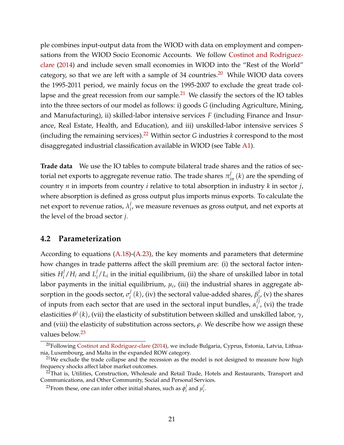ple combines input-output data from the WIOD with data on employment and compensations from the WIOD Socio Economic Accounts. We follow [Costinot and Rodriguez](#page-44-8)[clare](#page-44-8) [\(2014\)](#page-44-8) and include seven small economies in WIOD into the "Rest of the World" category, so that we are left with a sample of  $34$  countries.<sup>[20](#page-22-0)</sup> While WIOD data covers the 1995-2011 period, we mainly focus on the 1995-2007 to exclude the great trade col-lapse and the great recession from our sample.<sup>[21](#page-22-1)</sup> We classify the sectors of the IO tables into the three sectors of our model as follows: i) goods *G* (including Agriculture, Mining, and Manufacturing), ii) skilled-labor intensive services *F* (including Finance and Insurance, Real Estate, Health, and Education), and iii) unskilled-labor intensive services *S* (including the remaining services).[22](#page-22-2) Within sector *G* industries *k* correspond to the most disaggregated industrial classification available in WIOD (see Table [A1\)](#page-64-0).

**Trade data** We use the IO tables to compute bilateral trade shares and the ratios of sectorial net exports to aggregate revenue ratio. The trade shares  $\pi_{in}^j\left(k\right)$  are the spending of country *n* in imports from country *i* relative to total absorption in industry *k* in sector *j*, where absorption is defined as gross output plus imports minus exports. To calculate the net export to revenue ratios,  $\lambda_i^j$  $\mathbf{f}_{i'}$ , we measure revenues as gross output, and net exports at the level of the broad sector *j*.

### **4.2 Parameterization**

According to equations [\(A.18\)](#page-51-1)-[\(A.23\)](#page-51-2), the key moments and parameters that determine how changes in trade patterns affect the skill premium are: (i) the sectoral factor intensities  $H_i^j$  $\frac{j}{i}/H_i$  and  $L_i^j$  $\int_{i}^{j}$  *L*<sub>*i*</sub> in the initial equilibrium, (ii) the share of unskilled labor in total labor payments in the initial equilibrium*,*  $\mu_i$ *,* (iii) the industrial shares in aggregate absorption in the goods sector,  $\sigma_i^j$  $\frac{d}{dt}$  $(k)$ , (iv) the sectoral value-added shares,  $\beta_{jk}^{j}$  $\mathbf{r}'_i$ , (v) the shares of inputs from each sector that are used in the sectoral input bundles,  $\alpha_i^{lj}$  $i'$ , (vi) the trade elasticities *θ j* (*k*), (vii) the elasticity of substitution between skilled and unskilled labor, *γ*, and (viii) the elasticity of substitution across sectors, *ρ*. We describe how we assign these values below.<sup>[23](#page-22-3)</sup>

<span id="page-22-0"></span> $20$ Following [Costinot and Rodriguez-clare](#page-44-8) [\(2014\)](#page-44-8), we include Bulgaria, Cyprus, Estonia, Latvia, Lithuania, Luxembourg, and Malta in the expanded ROW category.

<span id="page-22-1"></span> $21$ We exclude the trade collapse and the recession as the model is not designed to measure how high frequency shocks affect labor market outcomes.

<span id="page-22-2"></span> $22$ That is, Utilities, Construction, Wholesale and Retail Trade, Hotels and Restaurants, Transport and Communications, and Other Community, Social and Personal Services.

<span id="page-22-3"></span><sup>&</sup>lt;sup>23</sup>From these, one can infer other initial shares, such as  $\phi_i^j$  $j$ <sub>*i*</sub> and  $\mu_i^j$ *i* .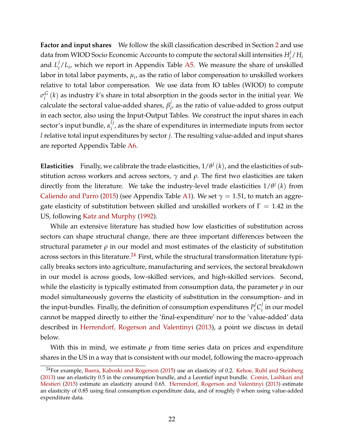**Factor and input shares** We follow the skill classification described in Section [2](#page-7-0) and use data from WIOD Socio Economic Accounts to compute the sectoral skill intensities *H j*  $i$ <sup>*/H<sub>i</sub>*</sup> and  $L^j_i$  $\mathcal{L}_i/L_i$ , which we report in Appendix Table [A5.](#page-67-0) We measure the share of unskilled labor in total labor payments*,*  $\mu_i$ *,* as the ratio of labor compensation to unskilled workers relative to total labor compensation. We use data from IO tables (WIOD) to compute  $\sigma_i^G$  $\frac{G}{i}(k)$  as industry  $k$ 's share in total absorption in the goods sector in the initial year. We calculate the sectoral value-added shares,  $\beta_i^j$ *i* , as the ratio of value-added to gross output in each sector, also using the Input-Output Tables. We construct the input shares in each sector's input bundle, *α lj*  $i_j$ , as the share of expenditures in intermediate inputs from sector *l* relative total input expenditures by sector *j*. The resulting value-added and input shares are reported Appendix Table [A6.](#page-68-0)

**Elasticities** Finally, we calibrate the trade elasticities,  $1/\theta^j$  (*k*), and the elasticities of substitution across workers and across sectors, *γ* and *ρ*. The first two elasticities are taken directly from the literature. We take the industry-level trade elasticities  $1/\theta^j$   $(k)$  from [Caliendo and Parro](#page-43-8) [\(2015\)](#page-43-8) (see Appendix Table [A1\)](#page-64-0). We set  $\gamma = 1.51$ , to match an aggregate elasticity of substitution between skilled and unskilled workers of  $\Gamma = 1.42$  in the US, following [Katz and Murphy](#page-44-7) [\(1992\)](#page-44-7).

While an extensive literature has studied how low elasticities of substitution across sectors can shape structural change, there are three important differences between the structural parameter  $\rho$  in our model and most estimates of the elasticity of substitution across sectors in this literature.<sup>[24](#page-23-0)</sup> First, while the structural transformation literature typically breaks sectors into agriculture, manufacturing and services, the sectoral breakdown in our model is across goods, low-skilled services, and high-skilled services. Second, while the elasticity is typically estimated from consumption data, the parameter *ρ* in our model simultaneously governs the elasticity of substitution in the consumption- and in the input-bundles. Finally, the definition of consumption expenditures *P j*  $i$ <sup>*j*</sup> $C_i$ <sup>*j*</sup>  $i$ <sub>i</sub> in our model cannot be mapped directly to either the 'final-expenditure' nor to the 'value-added' data described in [Herrendorf, Rogerson and Valentinyi](#page-44-2) [\(2013\)](#page-44-2), a point we discuss in detail below.

With this in mind, we estimate  $\rho$  from time series data on prices and expenditure shares in the US in a way that is consistent with our model, following the macro-approach

<span id="page-23-0"></span> $24$ For example, [Buera, Kaboski and Rogerson](#page-43-5) [\(2015\)](#page-43-5) use an elasticity of 0.2. [Kehoe, Ruhl and Steinberg](#page-45-4) [\(2013\)](#page-45-4) use an elasticity 0.5 in the consumption bundle, and a Leontief input bundle. [Comin, Lashkari and](#page-44-5) [Mestieri](#page-44-5) [\(2015\)](#page-44-5) estimate an elasticity around 0.65. [Herrendorf, Rogerson and Valentinyi](#page-44-2) [\(2013\)](#page-44-2) estimate an elasticity of 0.85 using final consumption expenditure data, and of roughly 0 when using value-added expenditure data.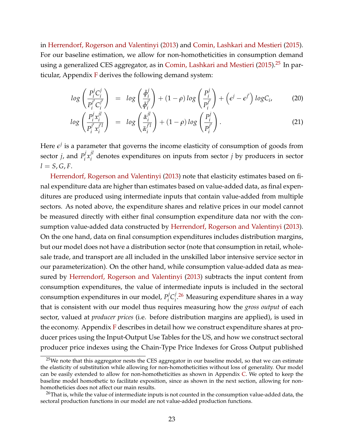in [Herrendorf, Rogerson and Valentinyi](#page-44-2) [\(2013\)](#page-44-2) and [Comin, Lashkari and Mestieri](#page-44-5) [\(2015\)](#page-44-5). For our baseline estimation, we allow for non-homotheticities in consumption demand using a generalized CES aggregator, as in [Comin, Lashkari and Mestieri](#page-44-5) [\(2015\)](#page-44-5).<sup>[25](#page-24-0)</sup> In particular, Appendix  $F$  derives the following demand system:

<span id="page-24-2"></span>
$$
log\left(\frac{P_i^j C_i^j}{P_i^{j'} C_i^{j'}}\right) = log\left(\frac{\bar{\phi}_i^j}{\bar{\phi}_i^{j'}}\right) + (1-\rho) log\left(\frac{P_i^j}{P_i^{j'}}\right) + \left(\epsilon^j - \epsilon^{j'}\right) log C_i, \quad (20)
$$

$$
log\left(\frac{P_i^j x_i^{jl}}{P_i^{j'} x_i^{j'l}}\right) = log\left(\frac{\bar{\alpha}_i^{jl}}{\bar{\alpha}_i^{j'l}}\right) + (1-\rho) log\left(\frac{P_i^j}{P_i^{j'}}\right).
$$
\n(21)

Here  $\epsilon^j$  is a parameter that governs the income elasticity of consumption of goods from sector *j*, and  $P_i^j$  $\int\limits_i^j x_i^{jl}$  $a_i^{\mu}$  denotes expenditures on inputs from sector *j* by producers in sector  $l = S$ ,  $G$ ,  $F$ .

[Herrendorf, Rogerson and Valentinyi](#page-44-2) [\(2013\)](#page-44-2) note that elasticity estimates based on final expenditure data are higher than estimates based on value-added data, as final expenditures are produced using intermediate inputs that contain value-added from multiple sectors. As noted above, the expenditure shares and relative prices in our model cannot be measured directly with either final consumption expenditure data nor with the consumption value-added data constructed by [Herrendorf, Rogerson and Valentinyi](#page-44-2) [\(2013\)](#page-44-2). On the one hand, data on final consumption expenditures includes distribution margins, but our model does not have a distribution sector (note that consumption in retail, wholesale trade, and transport are all included in the unskilled labor intensive service sector in our parameterization). On the other hand, while consumption value-added data as measured by [Herrendorf, Rogerson and Valentinyi](#page-44-2) [\(2013\)](#page-44-2) subtracts the input content from consumption expenditures, the value of intermediate inputs is included in the sectoral consumption expenditures in our model, *P j*  $i$ <sup>*j*</sup> $C_i$ <sup>*j*</sup> <sup>*l*</sup>.<sup>[26](#page-24-1)</sup> Measuring expenditure shares in a way that is consistent with our model thus requires measuring how the *gross output* of each sector, valued at *producer prices* (i.e. before distribution margins are applied), is used in the economy. Appendix [F](#page-59-0) describes in detail how we construct expenditure shares at producer prices using the Input-Output Use Tables for the US, and how we construct sectoral producer price indexes using the Chain-Type Price Indexes for Gross Output published

<span id="page-24-0"></span> $25$ We note that this aggregator nests the CES aggregator in our baseline model, so that we can estimate the elasticity of substitution while allowing for non-homotheticities without loss of generality. Our model can be easily extended to allow for non-homotheticities as shown in Appendix [C.](#page-55-0) We opted to keep the baseline model homothetic to facilitate exposition, since as shown in the next section, allowing for nonhomotheticies does not affect our main results.

<span id="page-24-1"></span> $^{26}$ That is, while the value of intermediate inputs is not counted in the consumption value-added data, the sectoral production functions in our model are not value-added production functions.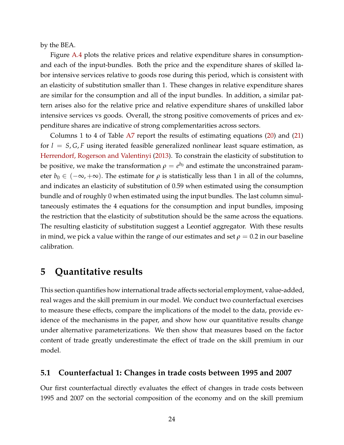by the BEA.

Figure [A.4](#page-62-0) plots the relative prices and relative expenditure shares in consumptionand each of the input-bundles. Both the price and the expenditure shares of skilled labor intensive services relative to goods rose during this period, which is consistent with an elasticity of substitution smaller than 1. These changes in relative expenditure shares are similar for the consumption and all of the input bundles. In addition, a similar pattern arises also for the relative price and relative expenditure shares of unskilled labor intensive services vs goods. Overall, the strong positive comovements of prices and expenditure shares are indicative of strong complementarities across sectors.

Columns 1 to 4 of Table [A7](#page-69-0) report the results of estimating equations [\(20\)](#page-24-2) and [\(21\)](#page-24-2) for *l* = *S*, *G*, *F* using iterated feasible generalized nonlinear least square estimation, as [Herrendorf, Rogerson and Valentinyi](#page-44-2) [\(2013\)](#page-44-2). To constrain the elasticity of substitution to be positive, we make the transformation  $\rho = e^{b_0}$  and estimate the unconstrained parameter  $b_0 \in (-\infty, +\infty)$ . The estimate for  $\rho$  is statistically less than 1 in all of the columns, and indicates an elasticity of substitution of 0.59 when estimated using the consumption bundle and of roughly 0 when estimated using the input bundles. The last column simultaneously estimates the 4 equations for the consumption and input bundles, imposing the restriction that the elasticity of substitution should be the same across the equations. The resulting elasticity of substitution suggest a Leontief aggregator. With these results in mind, we pick a value within the range of our estimates and set  $\rho = 0.2$  in our baseline calibration.

# <span id="page-25-0"></span>**5 Quantitative results**

This section quantifies how international trade affects sectorial employment, value-added, real wages and the skill premium in our model. We conduct two counterfactual exercises to measure these effects, compare the implications of the model to the data, provide evidence of the mechanisms in the paper, and show how our quantitative results change under alternative parameterizations. We then show that measures based on the factor content of trade greatly underestimate the effect of trade on the skill premium in our model.

## **5.1 Counterfactual 1: Changes in trade costs between 1995 and 2007**

Our first counterfactual directly evaluates the effect of changes in trade costs between 1995 and 2007 on the sectorial composition of the economy and on the skill premium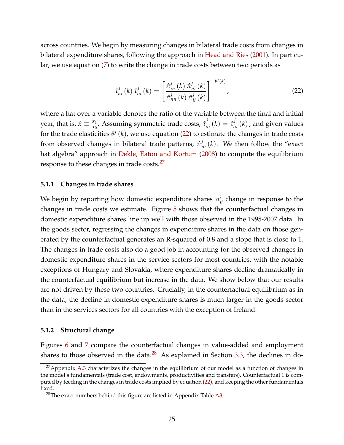across countries. We begin by measuring changes in bilateral trade costs from changes in bilateral expenditure shares, following the approach in [Head and Ries](#page-44-3) [\(2001\)](#page-44-3). In particular, we use equation [\(7\)](#page-15-0) to write the change in trade costs between two periods as

<span id="page-26-0"></span>
$$
\hat{\tau}_{ni}^{j}\left(k\right)\hat{\tau}_{in}^{j}\left(k\right)=\left[\frac{\hat{\pi}_{in}^{j}\left(k\right)\hat{\pi}_{ni}^{j}\left(k\right)}{\hat{\pi}_{in}^{j}\left(k\right)\hat{\pi}_{ii}^{j}\left(k\right)}\right]^{-\theta^{j}\left(k\right)},\tag{22}
$$

where a hat over a variable denotes the ratio of the variable between the final and initial year, that is,  $\hat{x} \equiv \frac{x_1}{x_0}$  $\frac{x_1}{x_0}$ . Assuming symmetric trade costs,  $\hat{\tau}^j_{ni}(k) = \hat{\tau}^j_{in}(k)$  , and given values for the trade elasticities *θ j* (*k*), we use equation [\(22\)](#page-26-0) to estimate the changes in trade costs from observed changes in bilateral trade patterns,  $\hat{\pi}_{ni}^{j}(k)$ . We then follow the "exact hat algebra" approach in [Dekle, Eaton and Kortum](#page-44-4) [\(2008\)](#page-44-4) to compute the equilibrium response to these changes in trade costs.<sup>[27](#page-26-1)</sup>

#### **5.1.1 Changes in trade shares**

We begin by reporting how domestic expenditure shares  $\pi_{ii}^j$  change in response to the changes in trade costs we estimate. Figure [5](#page-27-0) shows that the counterfactual changes in domestic expenditure shares line up well with those observed in the 1995-2007 data. In the goods sector, regressing the changes in expenditure shares in the data on those generated by the counterfactual generates an R-squared of 0.8 and a slope that is close to 1. The changes in trade costs also do a good job in accounting for the observed changes in domestic expenditure shares in the service sectors for most countries, with the notable exceptions of Hungary and Slovakia, where expenditure shares decline dramatically in the counterfactual equilibrium but increase in the data. We show below that our results are not driven by these two countries. Crucially, in the counterfactual equilibrium as in the data, the decline in domestic expenditure shares is much larger in the goods sector than in the services sectors for all countries with the exception of Ireland.

#### **5.1.2 Structural change**

Figures [6](#page-29-0) and [7](#page-30-0) compare the counterfactual changes in value-added and employment shares to those observed in the data. $^{28}$  $^{28}$  $^{28}$  As explained in Section [3.3,](#page-17-4) the declines in do-

<span id="page-26-1"></span> $^{27}$ Appendix [A.3](#page-51-0) characterizes the changes in the equilibrium of our model as a function of changes in the model's fundamentals (trade cost, endowments, productivities and transfers). Counterfactual 1 is computed by feeding in the changes in trade costs implied by equation [\(22\)](#page-26-0), and keeping the other fundamentals fixed.

<span id="page-26-2"></span> $28$ The exact numbers behind this figure are listed in Appendix Table [A8.](#page-70-0)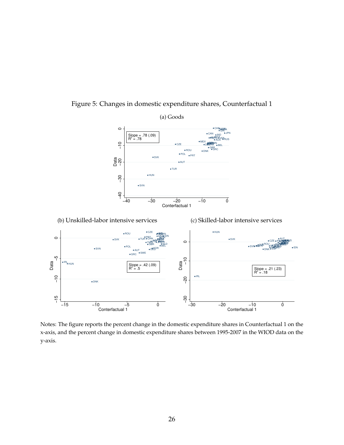<span id="page-27-0"></span>

## Figure 5: Changes in domestic expenditure shares, Counterfactual 1

Notes: The figure reports the percent change in the domestic expenditure shares in Counterfactual 1 on the x-axis, and the percent change in domestic expenditure shares between 1995-2007 in the WIOD data on the y-axis.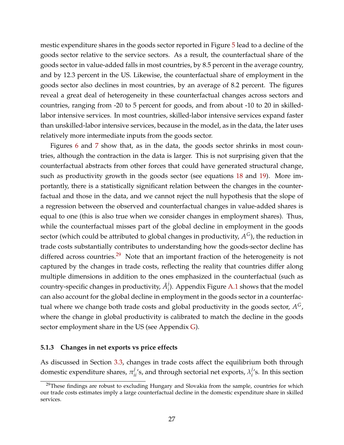mestic expenditure shares in the goods sector reported in Figure [5](#page-27-0) lead to a decline of the goods sector relative to the service sectors. As a result, the counterfactual share of the goods sector in value-added falls in most countries, by 8.5 percent in the average country, and by 12.3 percent in the US. Likewise, the counterfactual share of employment in the goods sector also declines in most countries, by an average of 8.2 percent. The figures reveal a great deal of heterogeneity in these counterfactual changes across sectors and countries, ranging from -20 to 5 percent for goods, and from about -10 to 20 in skilledlabor intensive services. In most countries, skilled-labor intensive services expand faster than unskilled-labor intensive services, because in the model, as in the data, the later uses relatively more intermediate inputs from the goods sector.

Figures [6](#page-29-0) and [7](#page-30-0) show that, as in the data, the goods sector shrinks in most countries, although the contraction in the data is larger. This is not surprising given that the counterfactual abstracts from other forces that could have generated structural change, such as productivity growth in the goods sector (see equations [18](#page-21-1) and [19\)](#page-21-2). More importantly, there is a statistically significant relation between the changes in the counterfactual and those in the data, and we cannot reject the null hypothesis that the slope of a regression between the observed and counterfactual changes in value-added shares is equal to one (this is also true when we consider changes in employment shares). Thus, while the counterfactual misses part of the global decline in employment in the goods sector (which could be attributed to global changes in productivity, *A <sup>G</sup>*), the reduction in trade costs substantially contributes to understanding how the goods-sector decline has differed across countries.<sup>[29](#page-28-0)</sup> Note that an important fraction of the heterogeneity is not captured by the changes in trade costs, reflecting the reality that countries differ along multiple dimensions in addition to the ones emphasized in the counterfactual (such as country-specific changes in productivity,  $\tilde{A}_i^j$ *i* ). Appendix Figure [A.1](#page-60-0) shows that the model can also account for the global decline in employment in the goods sector in a counterfactual where we change both trade costs and global productivity in the goods sector,  $A^G$ , where the change in global productivity is calibrated to match the decline in the goods sector employment share in the US (see Appendix [G\)](#page-60-1).

#### **5.1.3 Changes in net exports vs price effects**

As discussed in Section [3.3,](#page-17-4) changes in trade costs affect the equilibrium both through domestic expenditure shares,  $\pi_{ii}^j$ 's, and through sectorial net exports,  $\lambda_i^j$  $i$ <sup>'</sup>s. In this section

<span id="page-28-0"></span><sup>&</sup>lt;sup>29</sup>These findings are robust to excluding Hungary and Slovakia from the sample, countries for which our trade costs estimates imply a large counterfactual decline in the domestic expenditure share in skilled services.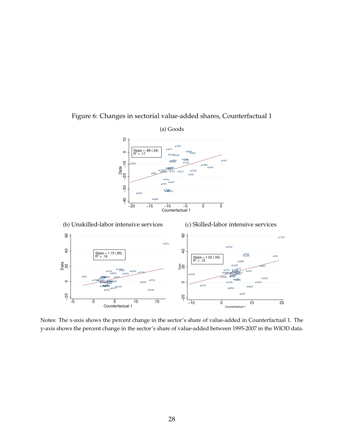<span id="page-29-0"></span>

## Figure 6: Changes in sectorial value-added shares, Counterfactual 1

Notes: The x-axis shows the percent change in the sector's share of value-added in Counterfactual 1. The y-axis shows the percent change in the sector's share of value-added between 1995-2007 in the WIOD data.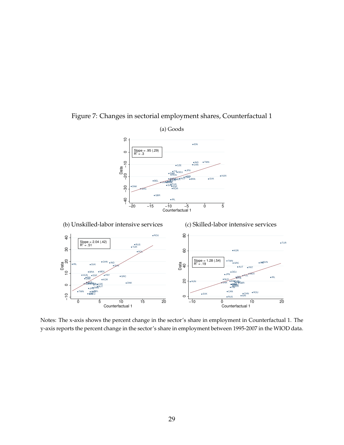<span id="page-30-0"></span>

Figure 7: Changes in sectorial employment shares, Counterfactual 1

Notes: The x-axis shows the percent change in the sector's share in employment in Counterfactual 1. The y-axis reports the percent change in the sector's share in employment between 1995-2007 in the WIOD data.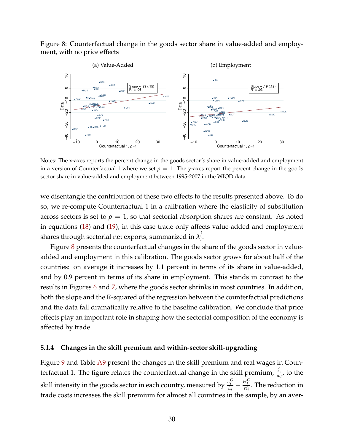<span id="page-31-0"></span>Figure 8: Counterfactual change in the goods sector share in value-added and employment, with no price effects



Notes: The x-axes reports the percent change in the goods sector's share in value-added and employment in a version of Counterfactual 1 where we set  $\rho = 1$ . The y-axes report the percent change in the goods sector share in value-added and employment between 1995-2007 in the WIOD data.

we disentangle the contribution of these two effects to the results presented above. To do so, we re-compute Counterfactual 1 in a calibration where the elasticity of substitution across sectors is set to  $\rho = 1$ , so that sectorial absorption shares are constant. As noted in equations [\(18\)](#page-21-1) and [\(19\)](#page-21-2), in this case trade only affects value-added and employment shares through sectorial net exports, summarized in  $\lambda_i^j$ *i* .

Figure [8](#page-31-0) presents the counterfactual changes in the share of the goods sector in valueadded and employment in this calibration. The goods sector grows for about half of the countries: on average it increases by 1.1 percent in terms of its share in value-added, and by 0.9 percent in terms of its share in employment. This stands in contrast to the results in Figures [6](#page-29-0) and [7,](#page-30-0) where the goods sector shrinks in most countries. In addition, both the slope and the R-squared of the regression between the counterfactual predictions and the data fall dramatically relative to the baseline calibration. We conclude that price effects play an important role in shaping how the sectorial composition of the economy is affected by trade.

#### **5.1.4 Changes in the skill premium and within-sector skill-upgrading**

Figure [9](#page-32-0) and Table [A9](#page-71-0) present the changes in the skill premium and real wages in Counterfactual 1. The figure relates the counterfactual change in the skill premium,  $\frac{\hat{s_i}}{w_i}$ , to the skill intensity in the goods sector in each country, measured by  $\frac{L_i^G}{L_i}-\frac{H_i^G}{H_i}$ . The reduction in trade costs increases the skill premium for almost all countries in the sample, by an aver-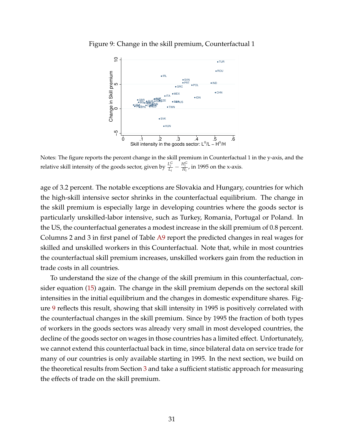

<span id="page-32-0"></span>Figure 9: Change in the skill premium, Counterfactual 1

Notes: The figure reports the percent change in the skill premium in Counterfactual 1 in the y-axis, and the relative skill intensity of the goods sector, given by  $\frac{L_i^G}{L_i} - \frac{H_i^G}{H_i}$ , in 1995 on the x-axis.

age of 3.2 percent. The notable exceptions are Slovakia and Hungary, countries for which the high-skill intensive sector shrinks in the counterfactual equilibrium. The change in the skill premium is especially large in developing countries where the goods sector is particularly unskilled-labor intensive, such as Turkey, Romania, Portugal or Poland. In the US, the counterfactual generates a modest increase in the skill premium of 0.8 percent. Columns 2 and 3 in first panel of Table [A9](#page-71-0) report the predicted changes in real wages for skilled and unskilled workers in this Counterfactual. Note that, while in most countries the counterfactual skill premium increases, unskilled workers gain from the reduction in trade costs in all countries.

To understand the size of the change of the skill premium in this counterfactual, consider equation [\(15\)](#page-19-3) again. The change in the skill premium depends on the sectoral skill intensities in the initial equilibrium and the changes in domestic expenditure shares. Figure [9](#page-32-0) reflects this result, showing that skill intensity in 1995 is positively correlated with the counterfactual changes in the skill premium. Since by 1995 the fraction of both types of workers in the goods sectors was already very small in most developed countries, the decline of the goods sector on wages in those countries has a limited effect. Unfortunately, we cannot extend this counterfactual back in time, since bilateral data on service trade for many of our countries is only available starting in 1995. In the next section, we build on the theoretical results from Section [3](#page-11-0) and take a sufficient statistic approach for measuring the effects of trade on the skill premium.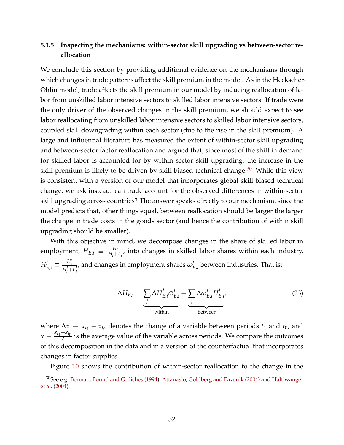## **5.1.5 Inspecting the mechanisms: within-sector skill upgrading vs between-sector reallocation**

We conclude this section by providing additional evidence on the mechanisms through which changes in trade patterns affect the skill premium in the model. As in the Heckscher-Ohlin model, trade affects the skill premium in our model by inducing reallocation of labor from unskilled labor intensive sectors to skilled labor intensive sectors. If trade were the only driver of the observed changes in the skill premium, we should expect to see labor reallocating from unskilled labor intensive sectors to skilled labor intensive sectors, coupled skill downgrading within each sector (due to the rise in the skill premium). A large and influential literature has measured the extent of within-sector skill upgrading and between-sector factor reallocation and argued that, since most of the shift in demand for skilled labor is accounted for by within sector skill upgrading, the increase in the skill premium is likely to be driven by skill biased technical change.<sup>[30](#page-33-0)</sup> While this view is consistent with a version of our model that incorporates global skill biased technical change, we ask instead: can trade account for the observed differences in within-sector skill upgrading across countries? The answer speaks directly to our mechanism, since the model predicts that, other things equal, between reallocation should be larger the larger the change in trade costs in the goods sector (and hence the contribution of within skill upgrading should be smaller).

With this objective in mind, we decompose changes in the share of skilled labor in employment,  $H_{E,i} \, \equiv \, \frac{H_i}{H_i + 1}$  $\frac{H_i}{H_i+L_i}$ , into changes in skilled labor shares within each industry,  $H_{E,i}^j \equiv \frac{H_i^j}{H^j + 1}$ *i*  $H_i^j+L_i^j$ *i* , and changes in employment shares  $\omega^j_I$  $E_{L,i}$  between industries. That is:

<span id="page-33-1"></span>
$$
\Delta H_{E,i} = \underbrace{\sum_{j} \Delta H_{E,i}^{j} \bar{\omega}_{E,i}^{j}}_{\text{within}} + \underbrace{\sum_{j} \Delta \omega_{E,i}^{j} \bar{H}_{E,i}^{j}}_{\text{between}}
$$
(23)

where  $\Delta x \equiv x_{t_1} - x_{t_0}$  denotes the change of a variable between periods  $t_1$  and  $t_0$ , and  $\bar{x} \equiv \frac{x_{t_1} + x_{t_0}}{2}$  $\frac{1}{2}$  is the average value of the variable across periods. We compare the outcomes of this decomposition in the data and in a version of the counterfactual that incorporates changes in factor supplies.

Figure [10](#page-34-0) shows the contribution of within-sector reallocation to the change in the

<span id="page-33-0"></span><sup>&</sup>lt;sup>30</sup>See e.g. [Berman, Bound and Griliches](#page-43-9) [\(1994\)](#page-43-9), [Attanasio, Goldberg and Pavcnik](#page-43-10) [\(2004\)](#page-43-10) and [Haltiwanger](#page-44-9) [et al.](#page-44-9) [\(2004\)](#page-44-9).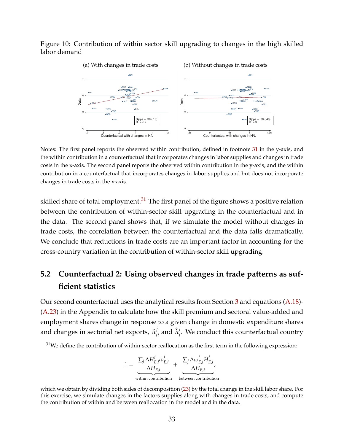### <span id="page-34-0"></span>Figure 10: Contribution of within sector skill upgrading to changes in the high skilled labor demand



Notes: The first panel reports the observed within contribution, defined in footnote [31](#page-34-1) in the y-axis, and the within contribution in a counterfactual that incorporates changes in labor supplies and changes in trade costs in the x-axis. The second panel reports the observed within contribution in the y-axis, and the within contribution in a counterfactual that incorporates changes in labor supplies and but does not incorporate changes in trade costs in the x-axis.

skilled share of total employment. $31$  The first panel of the figure shows a positive relation between the contribution of within-sector skill upgrading in the counterfactual and in the data. The second panel shows that, if we simulate the model without changes in trade costs, the correlation between the counterfactual and the data falls dramatically. We conclude that reductions in trade costs are an important factor in accounting for the cross-country variation in the contribution of within-sector skill upgrading.

# **5.2 Counterfactual 2: Using observed changes in trade patterns as sufficient statistics**

Our second counterfactual uses the analytical results from Section [3](#page-11-0) and equations [\(A.18\)](#page-51-1)- [\(A.23\)](#page-51-2) in the Appendix to calculate how the skill premium and sectoral value-added and employment shares change in response to a given change in domestic expenditure shares and changes in sectorial net exports,  $\hat{\pi}^j_{ii}$  and  $\hat{\lambda}^j_i$ *i* . We conduct this counterfactual country

$$
1 = \underbrace{\frac{\sum_{j} \Delta H_{E,i}^{j} \bar{\omega}_{E,i}^{j}}{\Delta H_{E,i}}}_{\text{within contribution}} + \underbrace{\frac{\sum_{j} \Delta \omega_{E,i}^{j} \bar{H}_{E,i}^{j}}{\Delta H_{E,i}}}_{\text{between contribution}},
$$

<span id="page-34-1"></span> $31$ We define the contribution of within-sector reallocation as the first term in the following expression:

which we obtain by dividing both sides of decomposition [\(23\)](#page-33-1) by the total change in the skill labor share. For this exercise, we simulate changes in the factors supplies along with changes in trade costs, and compute the contribution of within and between reallocation in the model and in the data.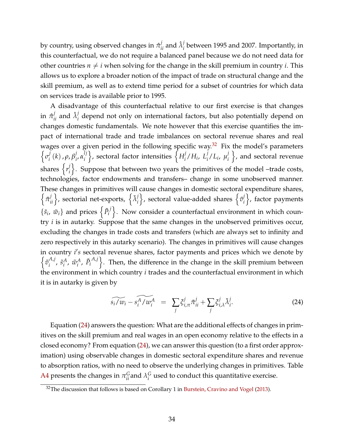by country, using observed changes in  $\hat{\pi}^j_{ii}$  and  $\hat{\lambda}^j_i$ *i* between 1995 and 2007. Importantly, in this counterfactual, we do not require a balanced panel because we do not need data for other countries  $n \neq i$  when solving for the change in the skill premium in country *i*. This allows us to explore a broader notion of the impact of trade on structural change and the skill premium, as well as to extend time period for a subset of countries for which data on services trade is available prior to 1995.

A disadvantage of this counterfactual relative to our first exercise is that changes  $\inf$   $\hat{\pi}_{ii}^j$  and  $\hat{\lambda}_i^j$ *i* depend not only on international factors, but also potentially depend on changes domestic fundamentals. We note however that this exercise quantifies the impact of international trade and trade imbalances on sectoral revenue shares and real wages over a given period in the following specific way. $32$  Fix the model's parameters  $\left\{ \sigma_i^j \right\}$  $\frac{j}{i}(k)$  ,  $\rho$ ,  $\beta_i^j$ *i* , *α lj i*  $\}$ , sectoral factor intensities  $\{H_i^j\}$  $i$ <sup>*/H<sub>i</sub>*, *L*<sup>*j*</sup></sup>  $\int_i^j / L_i$ ,  $\mu_i^j$ *i*  $\}$ , and sectoral revenue shares  $\left\{r_i^j\right\}$ *i* o . Suppose that between two years the primitives of the model –trade costs, technologies, factor endowments and transfers– change in some unobserved manner. These changes in primitives will cause changes in domestic sectoral expenditure shares,  $\left\{\tilde{\pi}_{ii}^j\right\}$ , sectorial net-exports,  $\left\{\tilde{\lambda}_i^j\right\}$ *i*  $\}$ , sectoral value-added shares  $\{\tilde{v}_i^j\}$ *i* o , factor payments  $\{\tilde{s}_i, \tilde{w}_i\}$  and prices  $\left\{\tilde{P}_i\right\}$  $\{ \mu^j \}$ . Now consider a counterfactual environment in which country *i* is in autarky. Suppose that the same changes in the unobserved primitives occur, excluding the changes in trade costs and transfers (which are always set to infinity and zero respectively in this autarky scenario). The changes in primitives will cause changes in country *i's* sectoral revenue shares, factor payments and prices which we denote by  $\left\{\tilde{v}_i^{A,j}\right\}$  $\tilde{s}_i^A$ ,  $\tilde{s}_i^A$  $^A_i$ ,  $\tilde{w}^A_i$  $^A_i$ ,  $\tilde{P}_i$  $\{A, \tilde{j}\}$ . Then, the difference in the change in the skill premium between the environment in which country *i* trades and the counterfactual environment in which it is in autarky is given by

<span id="page-35-1"></span>
$$
\widetilde{s_i/w_i} - \widetilde{s_i^A/w_i^A} = \sum_j \zeta_{i,\pi}^j \widetilde{\pi}_{ii}^j + \sum_j \zeta_{i,\lambda}^j \widetilde{\lambda}_i^j.
$$
 (24)

Equation [\(24\)](#page-35-1) answers the question: What are the additional effects of changes in primitives on the skill premium and real wages in an open economy relative to the effects in a closed economy? From equation [\(24\)](#page-35-1), we can answer this question (to a first order approximation) using observable changes in domestic sectoral expenditure shares and revenue to absorption ratios, with no need to observe the underlying changes in primitives. Table [A4](#page-66-0) presents the changes in  $\pi_{ii}^G$  and  $\lambda_i^G$  $G_i$  used to conduct this quantitative exercise.

<span id="page-35-0"></span> $32$ The discussion that follows is based on Corollary 1 in [Burstein, Cravino and Vogel](#page-43-1) [\(2013\)](#page-43-1).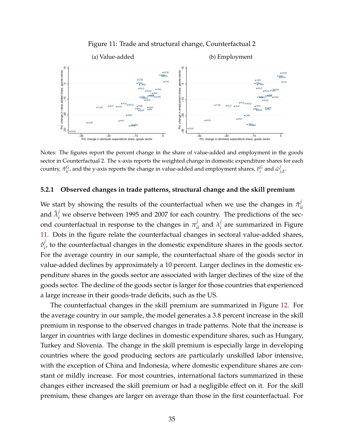

<span id="page-36-0"></span>

Notes: The figures report the percent change in the share of value-added and employment in the goods sector in Counterfactual 2. The x-axis reports the weighted change in domestic expenditure shares for each country,  $\hat{\pi}_{ii}^G$ , and the y-axis reports the change in value-added and employment shares,  $\hat{v}_i^G$  and  $\hat{\omega}_i^j$ *i*,*E* .

#### **5.2.1 Observed changes in trade patterns, structural change and the skill premium**

We start by showing the results of the counterfactual when we use the changes in  $\hat{\pi}^j_i$ *ii* and  $\hat{\lambda}^j_i$  we observe between 1995 and 2007 for each country. The predictions of the second counterfactual in response to the changes in  $\pi_{ii}^j$  and  $\lambda_i^j$ *i* are summarized in Figure [11.](#page-36-0) Dots in the figure relate the counterfactual changes in sectoral value-added shares,  $\hat{v}_i^j$ *i* , to the counterfactual changes in the domestic expenditure shares in the goods sector. For the average country in our sample, the counterfactual share of the goods sector in value-added declines by approximately a 10 percent. Larger declines in the domestic expenditure shares in the goods sector are associated with larger declines of the size of the goods sector. The decline of the goods sector is larger for those countries that experienced a large increase in their goods-trade deficits, such as the US.

The counterfactual changes in the skill premium are summarized in Figure [12.](#page-37-0) For the average country in our sample, the model generates a 3.8 percent increase in the skill premium in response to the observed changes in trade patterns. Note that the increase is larger in countries with large declines in domestic expenditure shares, such as Hungary, Turkey and Slovenia. The change in the skill premium is especially large in developing countries where the good producing sectors are particularly unskilled labor intensive, with the exception of China and Indonesia, where domestic expenditure shares are constant or mildly increase. For most countries, international factors summarized in these changes either increased the skill premium or had a negligible effect on it. For the skill premium, these changes are larger on average than those in the first counterfactual. For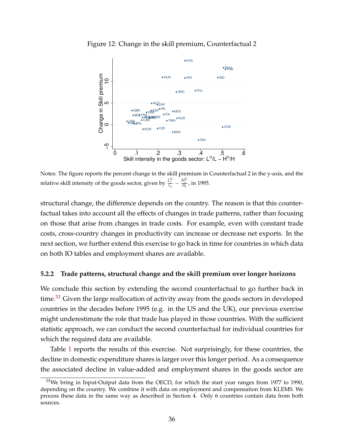

<span id="page-37-0"></span>Figure 12: Change in the skill premium, Counterfactual 2

Notes: The figure reports the percent change in the skill premium in Counterfactual 2 in the y-axis, and the relative skill intensity of the goods sector, given by  $\frac{L_i^G}{L_i} - \frac{H_i^G}{H_i}$ , in 1995.

structural change, the difference depends on the country. The reason is that this counterfactual takes into account all the effects of changes in trade patterns, rather than focusing on those that arise from changes in trade costs. For example, even with constant trade costs, cross-country changes in productivity can increase or decrease net exports. In the next section, we further extend this exercise to go back in time for countries in which data on both IO tables and employment shares are available.

#### <span id="page-37-2"></span>**5.2.2 Trade patterns, structural change and the skill premium over longer horizons**

We conclude this section by extending the second counterfactual to go further back in time.<sup>[33](#page-37-1)</sup> Given the large reallocation of activity away from the goods sectors in developed countries in the decades before 1995 (e.g. in the US and the UK), our previous exercise might underestimate the role that trade has played in those countries. With the sufficient statistic approach, we can conduct the second counterfactual for individual countries for which the required data are available.

Table [1](#page-38-0) reports the results of this exercise. Not surprisingly, for these countries, the decline in domestic expenditure shares is larger over this longer period. As a consequence the associated decline in value-added and employment shares in the goods sector are

<span id="page-37-1"></span> $33$ We bring in Input-Output data from the OECD, for which the start year ranges from 1977 to 1990, depending on the country. We combine it with data on employment and compensation from KLEMS. We process these data in the same way as described in Section 4. Only 6 countries contain data from both sources.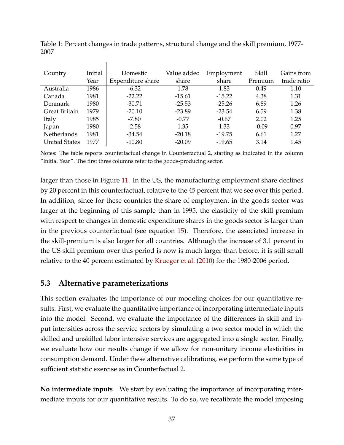| Country              | Initial | Domestic          | Value added | Employment | Skill   | Gains from  |
|----------------------|---------|-------------------|-------------|------------|---------|-------------|
|                      | Year    | Expenditure share | share       | share      | Premium | trade ratio |
| Australia            | 1986    | $-6.32$           | 1.78        | 1.83       | 0.49    | 1.10        |
| Canada               | 1981    | $-22.22$          | $-15.61$    | $-15.22$   | 4.38    | 1.31        |
| Denmark              | 1980    | $-30.71$          | $-25.53$    | $-25.26$   | 6.89    | 1.26        |
| <b>Great Britain</b> | 1979    | $-20.10$          | $-23.89$    | $-23.54$   | 6.59    | 1.38        |
| Italy                | 1985    | $-7.80$           | $-0.77$     | $-0.67$    | 2.02    | 1.25        |
| Japan                | 1980    | $-2.58$           | 1.35        | 1.33       | $-0.09$ | 0.97        |
| Netherlands          | 1981    | $-34.54$          | $-20.18$    | $-19.75$   | 6.61    | 1.27        |
| <b>United States</b> | 1977    | $-10.80$          | $-20.09$    | $-19.65$   | 3.14    | 1.45        |

<span id="page-38-0"></span>Table 1: Percent changes in trade patterns, structural change and the skill premium, 1977- 2007

Notes: The table reports counterfactual change in Counterfactual 2, starting as indicated in the column "Initial Year". The first three columns refer to the goods-producing sector.

larger than those in Figure [11.](#page-36-0) In the US, the manufacturing employment share declines by 20 percent in this counterfactual, relative to the 45 percent that we see over this period. In addition, since for these countries the share of employment in the goods sector was larger at the beginning of this sample than in 1995, the elasticity of the skill premium with respect to changes in domestic expenditure shares in the goods sector is larger than in the previous counterfactual (see equation [15\)](#page-19-0). Therefore, the associated increase in the skill-premium is also larger for all countries. Although the increase of 3.1 percent in the US skill premium over this period is now is much larger than before, it is still small relative to the 40 percent estimated by [Krueger et al.](#page-45-0) [\(2010\)](#page-45-0) for the 1980-2006 period.

### <span id="page-38-1"></span>**5.3 Alternative parameterizations**

 $\overline{\phantom{a}}$ 

This section evaluates the importance of our modeling choices for our quantitative results. First, we evaluate the quantitative importance of incorporating intermediate inputs into the model. Second, we evaluate the importance of the differences in skill and input intensities across the service sectors by simulating a two sector model in which the skilled and unskilled labor intensive services are aggregated into a single sector. Finally, we evaluate how our results change if we allow for non-unitary income elasticities in consumption demand. Under these alternative calibrations, we perform the same type of sufficient statistic exercise as in Counterfactual 2.

**No intermediate inputs** We start by evaluating the importance of incorporating intermediate inputs for our quantitative results. To do so, we recalibrate the model imposing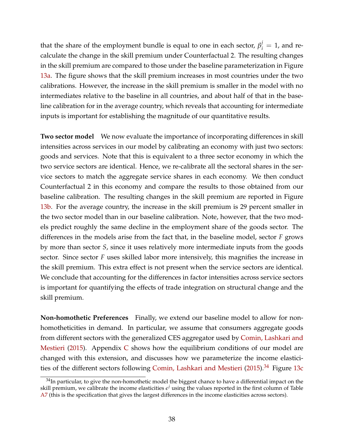that the share of the employment bundle is equal to one in each sector,  $\beta_i^j = 1$ , and recalculate the change in the skill premium under Counterfactual 2. The resulting changes in the skill premium are compared to those under the baseline parameterization in Figure [13a.](#page-40-0) The figure shows that the skill premium increases in most countries under the two calibrations. However, the increase in the skill premium is smaller in the model with no intermediates relative to the baseline in all countries, and about half of that in the baseline calibration for in the average country, which reveals that accounting for intermediate inputs is important for establishing the magnitude of our quantitative results.

**Two sector model** We now evaluate the importance of incorporating differences in skill intensities across services in our model by calibrating an economy with just two sectors: goods and services. Note that this is equivalent to a three sector economy in which the two service sectors are identical. Hence, we re-calibrate all the sectoral shares in the service sectors to match the aggregate service shares in each economy. We then conduct Counterfactual 2 in this economy and compare the results to those obtained from our baseline calibration. The resulting changes in the skill premium are reported in Figure [13b.](#page-40-1) For the average country, the increase in the skill premium is 29 percent smaller in the two sector model than in our baseline calibration. Note, however, that the two models predict roughly the same decline in the employment share of the goods sector. The differences in the models arise from the fact that, in the baseline model, sector *F* grows by more than sector *S*, since it uses relatively more intermediate inputs from the goods sector. Since sector *F* uses skilled labor more intensively, this magnifies the increase in the skill premium. This extra effect is not present when the service sectors are identical. We conclude that accounting for the differences in factor intensities across service sectors is important for quantifying the effects of trade integration on structural change and the skill premium.

**Non-homothetic Preferences** Finally, we extend our baseline model to allow for nonhomotheticities in demand. In particular, we assume that consumers aggregate goods from different sectors with the generalized CES aggregator used by [Comin, Lashkari and](#page-44-0) [Mestieri](#page-44-0) [\(2015\)](#page-44-0). Appendix [C](#page-55-0) shows how the equilibrium conditions of our model are changed with this extension, and discusses how we parameterize the income elastici-ties of the different sectors following [Comin, Lashkari and Mestieri](#page-44-0) [\(2015\)](#page-44-0).<sup>[34](#page-39-0)</sup> Figure [13c](#page-40-2)

<span id="page-39-0"></span> $34$ In particular, to give the non-homothetic model the biggest chance to have a differential impact on the skill premium, we calibrate the income elasticities  $\epsilon^j$  using the values reported in the first column of Table [A7](#page-69-0) (this is the specification that gives the largest differences in the income elasticities across sectors).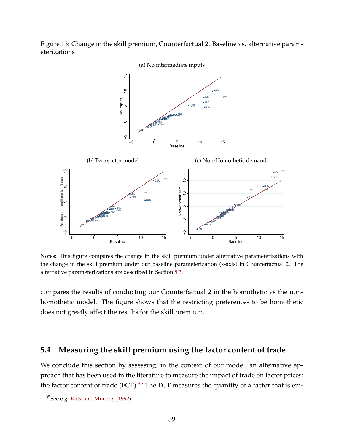

<span id="page-40-2"></span><span id="page-40-0"></span>

<span id="page-40-1"></span>Notes: This figure compares the change in the skill premium under alternative parameterizations with the change in the skill premium under our baseline parameterization (x-axis) in Counterfactual 2. The alternative parameterizations are described in Section [5.3.](#page-38-1)

compares the results of conducting our Counterfactual 2 in the homothetic vs the nonhomothetic model. The figure shows that the restricting preferences to be homothetic does not greatly affect the results for the skill premium.

### **5.4 Measuring the skill premium using the factor content of trade**

We conclude this section by assessing, in the context of our model, an alternative approach that has been used in the literature to measure the impact of trade on factor prices: the factor content of trade (FCT). $35$  The FCT measures the quantity of a factor that is em-

<span id="page-40-3"></span><sup>35</sup>See e.g. [Katz and Murphy](#page-44-1) [\(1992\)](#page-44-1).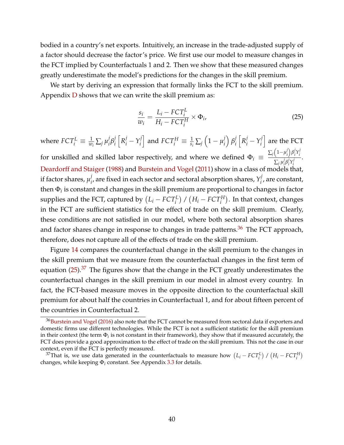bodied in a country's net exports. Intuitively, an increase in the trade-adjusted supply of a factor should decrease the factor's price. We first use our model to measure changes in the FCT implied by Counterfactuals 1 and 2. Then we show that these measured changes greatly underestimate the model's predictions for the changes in the skill premium.

We start by deriving an expression that formally links the FCT to the skill premium. Appendix [D](#page-55-1) shows that we can write the skill premium as:

<span id="page-41-1"></span>
$$
\frac{s_i}{w_i} = \frac{L_i - FCT_i^L}{H_i - FCT_i^H} \times \Phi_i,\tag{25}
$$

where  $FCT_i^L \equiv \frac{1}{w_i} \sum_j \mu_i^j$ *i β j i*  $R_i^j - Y_i^j$ *i*  $\Big]$  and  $FCT^H_i \equiv \frac{1}{s_i}\sum_j \Big(1-\mu^{j}_i\Big)$ *i β j i*  $R_i^j - Y_i^j$ *i* i are the FCT for unskilled and skilled labor respectively, and where we defined  $\Phi_i \equiv \frac{\sum_j (1-\mu_i^j)^2}{\sum_j J_j g_j^j}$ *i β j*  $i<sup>j</sup>Y<sub>i</sub>$ <sup>*i*</sup> *i*  $\frac{\sum_j \mu_i^j \beta_i^j Y_i^j}{\sum_j \mu_i^j \beta_i^j Y_i^j}$ . *i i i* [Deardorff and Staiger](#page-44-2) [\(1988\)](#page-44-2) and [Burstein and Vogel](#page-43-0) [\(2011\)](#page-43-0) show in a class of models that, if factor shares,  $\mu_i^j$  $\hat{p}_i^j$ , are fixed in each sector and sectoral absorption shares,  $Y_i^j$ *i* , are constant, then Φ*<sup>i</sup>* is constant and changes in the skill premium are proportional to changes in factor supplies and the FCT, captured by  $(L_i - FCT_i^L)$  /  $(H_i - FCT_i^H)$ . In that context, changes in the FCT are sufficient statistics for the effect of trade on the skill premium. Clearly, these conditions are not satisfied in our model, where both sectoral absorption shares and factor shares change in response to changes in trade patterns.<sup>[36](#page-41-0)</sup> The FCT approach, therefore, does not capture all of the effects of trade on the skill premium.

Figure [14](#page-42-0) compares the counterfactual change in the skill premium to the changes in the skill premium that we measure from the counterfactual changes in the first term of equation  $(25)$ .<sup>[37](#page-41-2)</sup> The figures show that the change in the FCT greatly underestimates the counterfactual changes in the skill premium in our model in almost every country. In fact, the FCT-based measure moves in the opposite direction to the counterfactual skill premium for about half the countries in Counterfactual 1, and for about fifteen percent of the countries in Counterfactual 2.

<span id="page-41-0"></span><sup>&</sup>lt;sup>36</sup>[Burstein and Vogel](#page-43-1) [\(2016\)](#page-43-1) also note that the FCT cannot be measured from sectoral data if exporters and domestic firms use different technologies. While the FCT is not a sufficient statistic for the skill premium in their context (the term  $\Phi_i$  is not constant in their framework), they show that if measured accurately, the FCT does provide a good approximation to the effect of trade on the skill premium. This not the case in our context, even if the FCT is perfectly measured.

<span id="page-41-2"></span><sup>&</sup>lt;sup>37</sup>That is, we use data generated in the counterfactuals to measure how  $(L_i - FCT_i^L) / (H_i - FCT_i^H)$ changes, while keeping Φ*<sup>i</sup>* constant. See Appendix [3.3](#page-17-0) for details.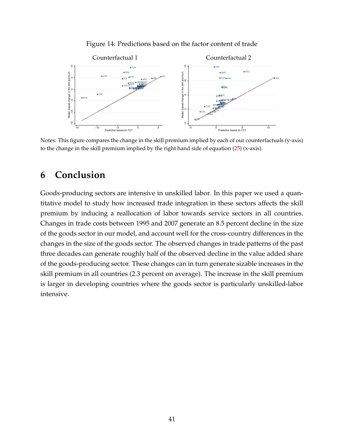

<span id="page-42-0"></span>

Notes: This figure compares the change in the skill premium implied by each of our counterfactuals (y-axis) to the change in the skill premium implied by the right hand side of equation  $(25)$  (x-axis).

# **6 Conclusion**

Goods-producing sectors are intensive in unskilled labor. In this paper we used a quantitative model to study how increased trade integration in these sectors affects the skill premium by inducing a reallocation of labor towards service sectors in all countries. Changes in trade costs between 1995 and 2007 generate an 8.5 percent decline in the size of the goods sector in our model, and account well for the cross-country differences in the changes in the size of the goods sector. The observed changes in trade patterns of the past three decades can generate roughly half of the observed decline in the value added share of the goods-producing sector. These changes can in turn generate sizable increases in the skill premium in all countries (2.3 percent on average). The increase in the skill premium is larger in developing countries where the goods sector is particularly unskilled-labor intensive.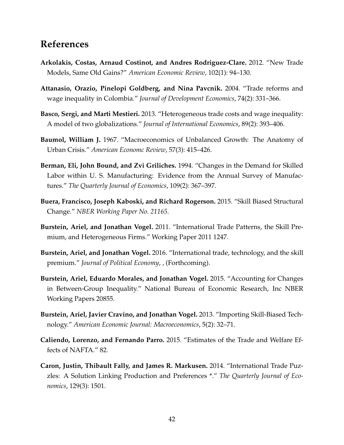# **References**

- **Arkolakis, Costas, Arnaud Costinot, and Andres Rodriguez-Clare.** 2012. "New Trade Models, Same Old Gains?" *American Economic Review*, 102(1): 94–130.
- **Attanasio, Orazio, Pinelopi Goldberg, and Nina Pavcnik.** 2004. "Trade reforms and wage inequality in Colombia." *Journal of Development Economics*, 74(2): 331–366.
- **Basco, Sergi, and Marti Mestieri.** 2013. "Heterogeneous trade costs and wage inequality: A model of two globalizations." *Journal of International Economics*, 89(2): 393–406.
- **Baumol, William J.** 1967. "Macroeconomics of Unbalanced Growth: The Anatomy of Urban Crisis." *American Economc Review*, 57(3): 415–426.
- **Berman, Eli, John Bound, and Zvi Griliches.** 1994. "Changes in the Demand for Skilled Labor within U. S. Manufacturing: Evidence from the Annual Survey of Manufactures." *The Quarterly Journal of Economics*, 109(2): 367–397.
- **Buera, Francisco, Joseph Kaboski, and Richard Rogerson.** 2015. "Skill Biased Structural Change." *NBER Working Paper No. 21165*.
- <span id="page-43-0"></span>**Burstein, Ariel, and Jonathan Vogel.** 2011. "International Trade Patterns, the Skill Premium, and Heterogeneous Firms." Working Paper 2011 1247.
- <span id="page-43-1"></span>**Burstein, Ariel, and Jonathan Vogel.** 2016. "International trade, technology, and the skill premium." *Journal of Political Economy*, , (Forthcoming).
- **Burstein, Ariel, Eduardo Morales, and Jonathan Vogel.** 2015. "Accounting for Changes in Between-Group Inequality." National Bureau of Economic Research, Inc NBER Working Papers 20855.
- **Burstein, Ariel, Javier Cravino, and Jonathan Vogel.** 2013. "Importing Skill-Biased Technology." *American Economic Journal: Macroeconomics*, 5(2): 32–71.
- <span id="page-43-2"></span>**Caliendo, Lorenzo, and Fernando Parro.** 2015. "Estimates of the Trade and Welfare Effects of NAFTA." 82.
- **Caron, Justin, Thibault Fally, and James R. Markusen.** 2014. "International Trade Puzzles: A Solution Linking Production and Preferences \*." *The Quarterly Journal of Economics*, 129(3): 1501.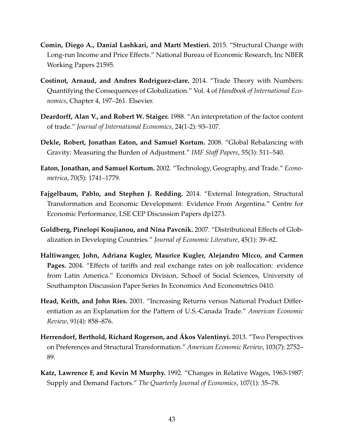- <span id="page-44-0"></span>**Comin, Diego A., Danial Lashkari, and Martí Mestieri.** 2015. "Structural Change with Long-run Income and Price Effects." National Bureau of Economic Research, Inc NBER Working Papers 21595.
- **Costinot, Arnaud, and Andres Rodriguez-clare.** 2014. "Trade Theory with Numbers: Quantifying the Consequences of Globalization." Vol. 4 of *Handbook of International Economics*, Chapter 4, 197–261. Elsevier.
- <span id="page-44-2"></span>**Deardorff, Alan V., and Robert W. Staiger.** 1988. "An interpretation of the factor content of trade." *Journal of International Economics*, 24(1-2): 93–107.
- <span id="page-44-4"></span>**Dekle, Robert, Jonathan Eaton, and Samuel Kortum.** 2008. "Global Rebalancing with Gravity: Measuring the Burden of Adjustment." *IMF Staff Papers*, 55(3): 511–540.
- <span id="page-44-3"></span>**Eaton, Jonathan, and Samuel Kortum.** 2002. "Technology, Geography, and Trade." *Econometrica*, 70(5): 1741–1779.
- **Fajgelbaum, Pablo, and Stephen J. Redding.** 2014. "External Integration, Structural Transformation and Economic Development: Evidence From Argentina." Centre for Economic Performance, LSE CEP Discussion Papers dp1273.
- **Goldberg, Pinelopi Koujianou, and Nina Pavcnik.** 2007. "Distributional Effects of Globalization in Developing Countries." *Journal of Economic Literature*, 45(1): 39–82.
- **Haltiwanger, John, Adriana Kugler, Maurice Kugler, Alejandro Micco, and Carmen Pages.** 2004. "Effects of tariffs and real exchange rates on job reallocation: evidence from Latin America." Economics Division, School of Social Sciences, University of Southampton Discussion Paper Series In Economics And Econometrics 0410.
- **Head, Keith, and John Ries.** 2001. "Increasing Returns versus National Product Differentiation as an Explanation for the Pattern of U.S.-Canada Trade." *American Economic Review*, 91(4): 858–876.
- **Herrendorf, Berthold, Richard Rogerson, and Ákos Valentinyi.** 2013. "Two Perspectives on Preferences and Structural Transformation." *American Economic Review*, 103(7): 2752– 89.
- <span id="page-44-1"></span>**Katz, Lawrence F, and Kevin M Murphy.** 1992. "Changes in Relative Wages, 1963-1987: Supply and Demand Factors." *The Quarterly Journal of Economics*, 107(1): 35–78.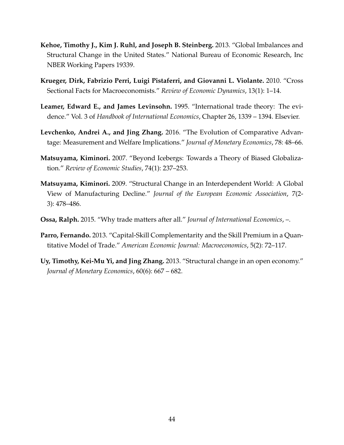- **Kehoe, Timothy J., Kim J. Ruhl, and Joseph B. Steinberg.** 2013. "Global Imbalances and Structural Change in the United States." National Bureau of Economic Research, Inc NBER Working Papers 19339.
- <span id="page-45-0"></span>**Krueger, Dirk, Fabrizio Perri, Luigi Pistaferri, and Giovanni L. Violante.** 2010. "Cross Sectional Facts for Macroeconomists." *Review of Economic Dynamics*, 13(1): 1–14.
- **Leamer, Edward E., and James Levinsohn.** 1995. "International trade theory: The evidence." Vol. 3 of *Handbook of International Economics*, Chapter 26, 1339 – 1394. Elsevier.
- **Levchenko, Andrei A., and Jing Zhang.** 2016. "The Evolution of Comparative Advantage: Measurement and Welfare Implications." *Journal of Monetary Economics*, 78: 48–66.
- **Matsuyama, Kiminori.** 2007. "Beyond Icebergs: Towards a Theory of Biased Globalization." *Review of Economic Studies*, 74(1): 237–253.
- **Matsuyama, Kiminori.** 2009. "Structural Change in an Interdependent World: A Global View of Manufacturing Decline." *Journal of the European Economic Association*, 7(2- 3): 478–486.
- **Ossa, Ralph.** 2015. "Why trade matters after all." *Journal of International Economics*, –.
- **Parro, Fernando.** 2013. "Capital-Skill Complementarity and the Skill Premium in a Quantitative Model of Trade." *American Economic Journal: Macroeconomics*, 5(2): 72–117.
- **Uy, Timothy, Kei-Mu Yi, and Jing Zhang.** 2013. "Structural change in an open economy." *Journal of Monetary Economics*, 60(6): 667 – 682.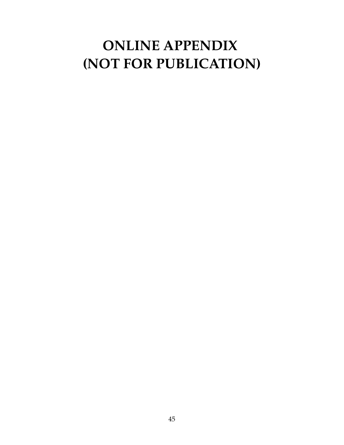# **ONLINE APPENDIX (NOT FOR PUBLICATION)**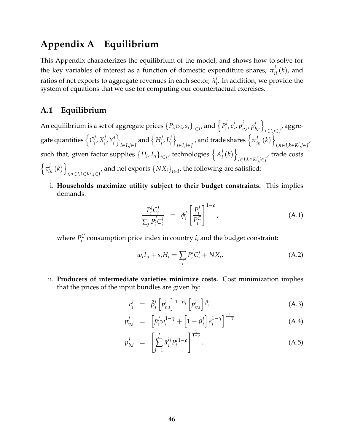# **Appendix A Equilibrium**

This Appendix characterizes the equilibrium of the model, and shows how to solve for the key variables of interest as a function of domestic expenditure shares,  $\pi_{ii}^j(k)$ , and ratios of net exports to aggregate revenues in each sector,  $\lambda_i^j$ *i* . In addition, we provide the system of equations that we use for computing our counterfactual exercises.

### **A.1 Equilibrium**

An equilibrium is a set of aggregate prices  $\left\{P_i \text{,} w_i \text{,} s_i\right\}_{i \in I}$  , and  $\left\{P_i^j \text{,} s_i \text{,} s_i\right\}_{i \in I}$ *i* , *c j i* , *p j v*,*i* , *p j b*,*i* o *i*∈*I*,*j*∈*J* , aggregate quantities  $\left\{ C_{i}^{j}\right\}$  $i$ ,  $X_i^j$  $i$ ,  $Y_i^j$ *i* o  $\sum_{i \in I, j \in J}$  and  $\left\{ H_i^j \right\}$  $i$ ,  $L_i^j$ *i* o  $\left\{ \pi_{in}^j\left(k\right)\right\}$  , and trade shares  $\left\{ \pi_{in}^j\left(k\right)\right\}$ *i*,*n*∈*I*,*k*∈*K<sup>j</sup>* ,*j*∈*J* , such that, given factor supplies  $\left\{H_i, L_i\right\}_{i \in I}$ , technologies  $\left\{A_i^j\right\}_{j \in I}$  $\left\{ \begin{array}{c} i \end{array} \right\}$ *i*∈*I*,*k*∈*K<sup>j</sup>* ,*j*∈*J* , trade costs  $\left\{\tau_{in}^j\left(k\right)\right\}$ *i*,*n*∈*I*,*k*∈*K<sup>j</sup>*,*j*∈*J*</sub><sup> $\prime$ </sup> and net exports  $\{NX_i\}_{i \in I}$ , the following are satisfied:

i. **Households maximize utility subject to their budget constraints.** This implies demands:

<span id="page-47-0"></span>
$$
\frac{P_i^j C_i^j}{\sum_j P_i^j C_i^j} = \bar{\phi}_i^j \left[ \frac{P_i^j}{P_i^C} \right]^{1-\rho}, \tag{A.1}
$$

where  $P_i^C$  $\mathcal{C}_i^{\mathsf{C}}$  consumption price index in country *i*, and the budget constraint:

<span id="page-47-2"></span>
$$
w_i L_i + s_i H_i = \sum_j P_i^j C_i^j + N X_i.
$$
\n(A.2)

ii. **Producers of intermediate varieties minimize costs.** Cost minimization implies that the prices of the input bundles are given by:

<span id="page-47-1"></span>
$$
c_i^j = \bar{\beta}_i^j \left[ p_{b,i}^j \right]^{1-\beta_j} \left[ p_{v,i}^j \right] ^{\beta_j} \tag{A.3}
$$

$$
p_{v,i}^j = \left[ \bar{\mu}_i^j w_i^{1-\gamma} + \left[ 1 - \bar{\mu}_i^j \right] s_i^{1-\gamma} \right]^{\frac{1}{1-\gamma}}
$$
(A.4)

$$
p_{b,i}^j = \left[ \sum_{l=1}^J \bar{\alpha}_i^{lj} P_i^{l1-\rho} \right]^{\frac{1}{1-\rho}}.
$$
\n(A.5)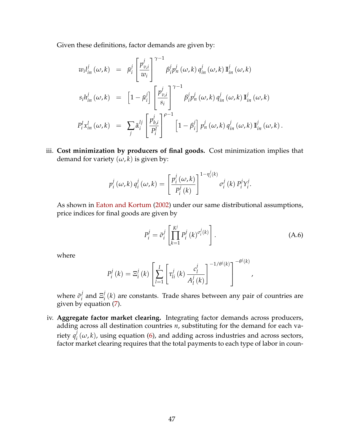Given these definitions, factor demands are given by:

$$
w_i l_{in}^j(\omega, k) = \bar{\mu}_i^j \left[ \frac{p_{v,i}^j}{w_i} \right]^{\gamma - 1} \beta_i^j p_n^j(\omega, k) q_{in}^j(\omega, k) \mathbb{I}_{in}^j(\omega, k)
$$
  
\n
$$
s_i h_{in}^j(\omega, k) = \left[1 - \bar{\mu}_i^j\right] \left[ \frac{p_{v,i}^j}{s_i} \right]^{\gamma - 1} \beta_i^j p_n^j(\omega, k) q_{in}^j(\omega, k) \mathbb{I}_{in}^j(\omega, k)
$$
  
\n
$$
P_i^l x_{in}^l(\omega, k) = \sum_j \bar{\alpha}_i^{lj} \left[ \frac{p_{b,i}^j}{P_i^l} \right]^{\rho - 1} \left[1 - \beta_i^j\right] p_n^j(\omega, k) q_{in}^j(\omega, k) \mathbb{I}_{in}^j(\omega, k).
$$

iii. **Cost minimization by producers of final goods.** Cost minimization implies that demand for variety  $(\omega, k)$  is given by:

$$
p_i^j(\omega,k) q_i^j(\omega,k) = \left[\frac{p_i^j(\omega,k)}{P_i^j(k)}\right]^{1-\eta_i^j(k)} \sigma_i^j(k) P_i^j Y_i^j.
$$

As shown in [Eaton and Kortum](#page-44-3) [\(2002\)](#page-44-3) under our same distributional assumptions, price indices for final goods are given by

<span id="page-48-0"></span>
$$
P_i^j = \bar{\sigma}_i^j \left[ \prod_{k=1}^{K^j} P_i^j(k)^{\sigma_i^j(k)} \right].
$$
 (A.6)

where

$$
P_i^j(k) = \Xi_i^j(k) \left[ \sum_{l=1}^I \left[ \tau_{li}^j(k) \frac{c_l^j}{A_l^j(k)} \right]^{-1/\theta^j(k)} \right]^{-\theta^j(k)},
$$

where  $\bar{\sigma}^j_i$  $\frac{j}{i}$  and  $\Xi_i^j$  $\mathcal{L}_i^{\prime}(k)$  are constants. Trade shares between any pair of countries are given by equation [\(7\)](#page-15-0).

iv. **Aggregate factor market clearing.** Integrating factor demands across producers, adding across all destination countries *n*, substituting for the demand for each variety *q j*  $\mathcal{L}_i^f(\omega,k)$ , using equation [\(6\)](#page-15-1), and adding across industries and across sectors, factor market clearing requires that the total payments to each type of labor in coun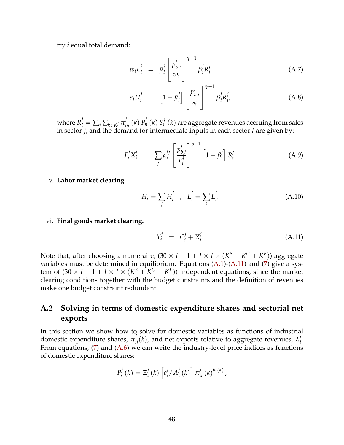try *i* equal total demand:

<span id="page-49-1"></span>
$$
w_i L_i^j = \bar{\mu}_i^j \left[ \frac{p_{v,i}^j}{w_i} \right]^{\gamma - 1} \beta_i^j R_i^j \tag{A.7}
$$

$$
s_i H_i^j = \left[1 - \bar{\mu}_i^j\right] \left[\frac{p_{v,i}^j}{s_i}\right]^{\gamma - 1} \beta_i^j R_{i'}^j \tag{A.8}
$$

where  $R_i^j=\sum_n\sum_{k\in K^j}\pi_{in}^j$   $(k)$   $P_n^j$   $(k)$   $Y_n^j$   $(k)$  are aggregate revenues accruing from sales in sector *j*, and the demand for intermediate inputs in each sector *l* are given by:

<span id="page-49-2"></span>
$$
P_i^l X_i^l = \sum_j \bar{\alpha}_i^{lj} \left[ \frac{p_{b,i}^j}{P_i^l} \right]^{\rho - 1} \left[ 1 - \beta_i^j \right] R_i^j.
$$
 (A.9)

v. **Labor market clearing.**

$$
H_i = \sum_j H_i^j \quad ; \quad L_i^j = \sum_j L_i^j.
$$
 (A.10)

vi. **Final goods market clearing.**

<span id="page-49-0"></span>
$$
Y_i^j = C_i^j + X_i^j. \tag{A.11}
$$

Note that, after choosing a numeraire,  $(30 \times I - 1 + I \times I \times (K^S + K^G + K^F))$  aggregate variables must be determined in equilibrium. Equations [\(A.1\)](#page-47-0)-[\(A.11\)](#page-49-0) and [\(7\)](#page-15-0) give a system of  $(30 \times I - 1 + I \times I \times (K^S + K^G + K^F))$  independent equations, since the market clearing conditions together with the budget constraints and the definition of revenues make one budget constraint redundant.

### **A.2 Solving in terms of domestic expenditure shares and sectorial net exports**

In this section we show how to solve for domestic variables as functions of industrial domestic expenditure shares,  $\pi_{ii}^j(k)$ , and net exports relative to aggregate revenues,  $\lambda_i^j$ *i* . From equations, [\(7\)](#page-15-0) and [\(A.6\)](#page-48-0) we can write the industry-level price indices as functions of domestic expenditure shares:

$$
P_i^j(k) = \Xi_i^j(k) \left[ c_i^j / A_i^j(k) \right] \pi_{ii}^j(k)^{\theta^j(k)},
$$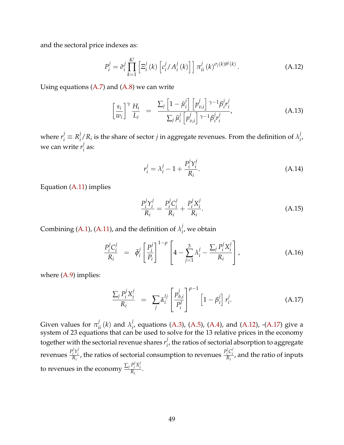and the sectoral price indexes as:

<span id="page-50-0"></span>
$$
P_i^j = \bar{\sigma}_i^j \prod_{k=1}^{K^j} \left[ \Xi_i^j(k) \left[ c_i^j / A_i^j(k) \right] \right] \pi_{ii}^j(k)^{\sigma_j(k)\theta^j(k)}.
$$
 (A.12)

Using equations  $(A.7)$  and  $(A.8)$  we can write

<span id="page-50-2"></span>
$$
\left[\frac{s_i}{w_i}\right]^\gamma \frac{H_i}{L_i} = \frac{\sum_j \left[1 - \bar{\mu}_i^j\right] \left[p_{v,i}^j\right]^{\gamma - 1} \beta_i^j r_i^j}{\sum_j \bar{\mu}_i^j \left[p_{v,i}^j\right]^{\gamma - 1} \beta_i^j r_i^j},\tag{A.13}
$$

where  $r_i^j \equiv R_i^j$  $j/R_i$  is the share of sector *j* in aggregate revenues. From the definition of  $\lambda_i^j$ *i* , we can write *r j*  $i^{\prime}$  as:

$$
r_i^j = \lambda_i^j - 1 + \frac{P_i^j Y_i^j}{R_i}.
$$
\n(A.14)

Equation [\(A.11\)](#page-49-0) implies

$$
\frac{P_i^j Y_i^j}{R_i} = \frac{P_i^j C_i^j}{R_i} + \frac{P_i^j X_i^j}{R_i}.
$$
\n(A.15)

Combining [\(A.1\)](#page-47-0), [\(A.11\)](#page-49-0), and the definition of  $\lambda_i^j$  $\mathbf{v}_i^{\prime}$ , we obtain

$$
\frac{P_i^j C_i^j}{R_i} = \bar{\phi}_i^j \left[ \frac{P_i^j}{P_i} \right]^{1-\rho} \left[ 4 - \sum_{j=1}^3 \lambda_i^j - \frac{\sum_j P_i^j X_i^j}{R_i} \right], \tag{A.16}
$$

where  $(A.9)$  implies:

<span id="page-50-1"></span>
$$
\frac{\sum_{j} P_{i}^{j} X_{i}^{j}}{R_{i}} = \sum_{j} \bar{\alpha}_{i}^{lj} \left[ \frac{p_{b,i}^{j}}{P_{i}^{l}} \right]^{\rho - 1} \left[ 1 - \beta_{i}^{j} \right] r_{i}^{j}.
$$
\n(A.17)

Given values for  $\pi_{ii}^j(k)$  and  $\lambda_i^j$ <sup>*i*</sup><sub>*i*</sub> equations [\(A.3\)](#page-47-1), [\(A.5\)](#page-47-1), [\(A.4\)](#page-47-1), and [\(A.12\)](#page-50-0), -[\(A.17\)](#page-50-1) give a system of 23 equations that can be used to solve for the 13 relative prices in the economy together with the sectorial revenue shares  $r_i^j$  $\mathbf{f}_{i}^{j}$ , the ratios of sectorial absorption to aggregate revenues *P j*  $i^j Y_i^j$  $\frac{p_i^j Y_i^j}{R_i}$ , the ratios of sectorial consumption to revenues  $\frac{p_i^j}{R_i}$ *i C j*  $\frac{i}{R_i}$ , and the ratio of inputs to revenues in the economy  $\frac{\sum_j P_i^j}{R_j}$  $i^j X_i^j$  $\frac{I_i^{I_1}}{R_i}$ .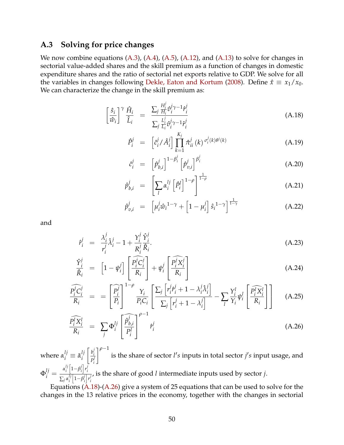#### **A.3 Solving for price changes**

We now combine equations  $(A.3)$ ,  $(A.4)$ ,  $(A.5)$ ,  $(A.12)$ , and  $(A.13)$  to solve for changes in sectorial value-added shares and the skill premium as a function of changes in domestic expenditure shares and the ratio of sectorial net exports relative to GDP. We solve for all the variables in changes following [Dekle, Eaton and Kortum](#page-44-4) [\(2008\)](#page-44-4). Define  $\hat{x} \equiv x_1/x_0$ . We can characterize the change in the skill premium as:

<span id="page-51-0"></span>
$$
\left[\frac{\hat{s}_i}{\hat{w}_i}\right]^\gamma \frac{\hat{H}_i}{\hat{L}_i} = \frac{\sum_j \frac{H_i^j}{H_i} \hat{v}_i^j \gamma - 1 \hat{r}_i^j}{\sum_j \frac{L_i^j}{L_i} \hat{v}_i^j \gamma - 1 \hat{r}_i^j}
$$
\n(A.18)

$$
\hat{P}_i^j = \left[ \hat{c}_i^j / \hat{A}_i^j \right] \prod_{k=1}^{K_j} \hat{\pi}_{ii}^j(k) \, \sigma_i^j(k) \theta^j(k) \tag{A.19}
$$

$$
\hat{c}_i^j = \left[ \hat{p}_{b,i}^j \right]^{1-\beta_i^j} \left[ \hat{p}_{v,i}^j \right]^{\beta_i^j}
$$
\n(A.20)

$$
\hat{p}_{b,i}^j = \left[ \sum_l \alpha_i^{lj} \left[ \hat{p}_i^l \right]^{1-\rho} \right]^{\frac{1}{1-\rho}}
$$
\n(A.21)

$$
\hat{p}_{v,i}^j = \left[ \mu_i^j \hat{w}_i^{1-\gamma} + \left[ 1 - \mu_i^j \right] \hat{s}_i^{1-\gamma} \right]^{\frac{1}{1-\gamma}}
$$
(A.22)

and

<span id="page-51-1"></span>
$$
\hat{r}_i^j = \frac{\lambda_i^j}{r_i^j} \hat{\lambda}_i^j - 1 + \frac{Y_i^j}{R_i^j} \frac{\hat{Y}_i^j}{\hat{R}_i}.
$$
\n(A.23)

$$
\frac{\hat{Y}_i^j}{\hat{R}_i} = \left[1 - \psi_i^j\right] \left[\frac{\widehat{P}_i^j \widehat{C}_i^j}{R_i}\right] + \psi_i^j \left[\frac{\widehat{P}_i^j \widehat{X}_i^j}{R_i}\right]
$$
\n(A.24)

$$
\frac{\widehat{P_i^j}C_i^j}{R_i} = \left[\frac{\widehat{P_i^j}}{P_i}\right]^{1-\rho} \frac{\gamma_i}{P_iC_i} \left[\frac{\sum_j \left[r_i^j \hat{r}_i^j + 1 - \lambda_i^j \hat{\lambda}_i^j\right]}{\sum_j \left[r_i^j + 1 - \lambda_i^j\right]} - \sum_l \frac{\gamma_i^l}{Y_i} \psi_i^l \left[\frac{\widehat{P_i^l}X_i^l}{R_i}\right]\right] \tag{A.25}
$$

$$
\frac{\widehat{P_i^l X_i^l}}{R_i} = \sum_j \Phi_i^{lj} \left[ \frac{\widehat{p}_{b,i}^j}{P_i^l} \right]^{\rho-1} \widehat{r}_i^j \tag{A.26}
$$

where  $\alpha_i^{lj} \equiv \bar{\alpha}_i^{lj}$ *i*  $\left[\begin{array}{c}b^j_i\end{array}\right]$ *i P j i ρ*−<sup>1</sup> is the share of sector *l's* inputs in total sector *j's* input usage, and  $\Phi_i^{lj} = \frac{\alpha_i^{lj}}{\sum_i \alpha_i^{lj}}$  $\int_i^{lj} \left[1-\beta_i^j\right]$  $\int\limits_i^j \left\vert r_i^j \right\vert$ *i* ∑*<sup>j</sup> α lj*  $\int_i^{lj} \left[1-\beta_i^j\right]$ *i* i *r j i* , is the share of good *l* intermediate inputs used by sector *j*.

Equations  $(A.18)$ - $(A.26)$  give a system of 25 equations that can be used to solve for the changes in the 13 relative prices in the economy, together with the changes in sectorial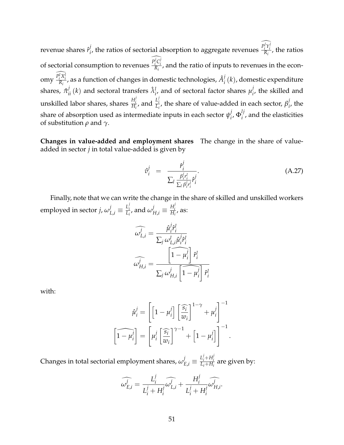revenue shares  $\hat{r}^j_i$  $\frac{d}{dt}$ , the ratios of sectorial absorption to aggregate revenues  $\frac{P_i^j Y_i^j}{R_i}$ *i Y j*  $\frac{i}{R_i}$ , the ratios of sectorial consumption to revenues  $\frac{P_i^j C_j^j}{R_i}$  $\frac{i}{R_i}$ , and the ratio of inputs to revenues in the economy  $\frac{P_i^l X_i^l}{R_i}$ , as a function of changes in domestic technologies,  $\hat{A}_i^j$  $\mathcal{L}_i^f(k)$ , domestic expenditure shares,  $\hat{\pi}^j_{ii}(k)$  and sectoral transfers  $\hat{\lambda}^l_{i}$ , and of sectoral factor shares  $\mu^j_i$  $\mathbf{r}'_i$ , the skilled and unskilled labor shares, shares  $\frac{H_i^j}{H_i}$  $\frac{H_i^j}{H_i}$ , and  $\frac{L_i^j}{L_i}$  $L_i^L$ , the share of value-added in each sector,  $\beta_i^j$  $i'$ , the share of absorption used as intermediate inputs in each sector  $\psi_i^j$  $\int_i^j$ ,  $\Phi_i^{lj}$  $i'$ , and the elasticities of substitution *ρ* and *γ*.

**Changes in value-added and employment shares** The change in the share of valueadded in sector *j* in total value-added is given by

<span id="page-52-0"></span>
$$
\hat{v}_i^j = \frac{\hat{r}_i^j}{\sum_l \frac{\beta_i^j r_i^l}{\sum_l \beta_i^j r_i^l} \hat{r}_i^j}.
$$
\n(A.27)

Finally, note that we can write the change in the share of skilled and unskilled workers employed in sector *j,*  $\omega_{L,i}^j \equiv \frac{L_i^j}{L_i}$  $\frac{L_i^j}{L_i}$ , and  $\omega_{H,i}^j \equiv \frac{H_i^j}{H_i}$  $\frac{H_i}{H_i}$ , as:

$$
\widehat{\omega_{L,i}^j} = \frac{\widehat{\mu}_i^j \widehat{r}_i^l}{\sum_j \omega_{L,i}^l \widehat{\mu}_i^j \widehat{r}_i^l}
$$

$$
\widehat{\omega_{H,i}^j} = \frac{\left[\widehat{1 - \mu_i^j}\right] \widehat{r}_i^l}{\sum_j \omega_{H,i}^j \left[\widehat{1 - \mu_i^j}\right] \widehat{r}_i^l}
$$

with:

$$
\hat{\mu}_i^j = \left[ \left[ 1 - \mu_i^j \right] \left[ \frac{\widehat{s}_i}{w_i} \right]^{1-\gamma} + \mu_i^j \right]^{-1}
$$

$$
\left[ \widehat{1 - \mu_i^j} \right] = \left[ \mu_i^j \left[ \frac{\widehat{s}_i}{w_i} \right]^{\gamma - 1} + \left[ 1 - \mu_i^j \right] \right]^{-1}.
$$

Changes in total sectorial employment shares,  $\omega_{E,i}^j \equiv \frac{L_i^j + H_i^j}{L_i + H_i}$  $\frac{L_i + H_i}{L_i + H_i}$  are given by:

$$
\widehat{\omega_{E,i}^j} = \frac{L_i^j}{L_i^j + H_i^j} \widehat{\omega_{L,i}^j} + \frac{H_i^j}{L_i^j + H_i^j} \widehat{\omega_{H,i}^j}.
$$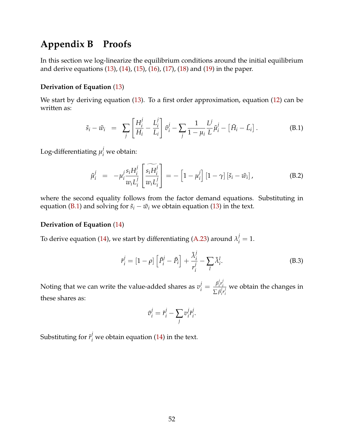# **Appendix B Proofs**

In this section we log-linearize the equilibrium conditions around the initial equilibrium and derive equations [\(13\)](#page-17-1), [\(14\)](#page-19-1), [\(15\)](#page-19-0), [\(16\)](#page-20-0), [\(17\)](#page-20-0), [\(18\)](#page-21-0) and [\(19\)](#page-21-1) in the paper.

#### **Derivation of Equation** [\(13\)](#page-17-1)

We start by deriving equation [\(13\)](#page-17-1). To a first order approximation, equation [\(12\)](#page-17-2) can be written as:

<span id="page-53-0"></span>
$$
\tilde{s}_i - \tilde{w}_i = \sum_j \left[ \frac{H_i^j}{H_i} - \frac{L_i^j}{L_i} \right] \tilde{v}_i^j - \sum_j \frac{1}{1 - \mu_i} \frac{L^j}{L} \tilde{\mu}_i^j - \left[ \tilde{H}_i - \tilde{L}_i \right]. \tag{B.1}
$$

Log-differentiating  $\mu_i^j$  we obtain:

<span id="page-53-2"></span>
$$
\tilde{\mu}_i^j = -\mu_i^j \frac{s_i H_i^j}{w_i L_i^j} \left[ \frac{\widetilde{s_i H_i^j}}{w_i L_i^j} \right] = -\left[1 - \mu_i^j\right] \left[1 - \gamma\right] \left[\widetilde{s}_i - \widetilde{w}_i\right],\tag{B.2}
$$

where the second equality follows from the factor demand equations. Substituting in equation [\(B.1\)](#page-53-0) and solving for  $\tilde{s}_i - \tilde{w}_i$  we obtain equation [\(13\)](#page-17-1) in the text.

#### **Derivation of Equation** [\(14\)](#page-19-1)

To derive equation [\(14\)](#page-19-1), we start by differentiating [\(A.23\)](#page-51-1) around  $\lambda_i^j = 1$ .

$$
\tilde{r}_i^j = [1 - \rho] \left[ \tilde{P}_i^j - \tilde{P}_i \right] + \frac{\tilde{\lambda}_i^j}{r_i^j} - \sum_l \tilde{\lambda}_i^l.
$$
 (B.3)

Noting that we can write the value-added shares as  $v_i^j = \frac{\beta_i^j}{\sum_j p_j^j}$ *i r j i*  $\sum \beta_i^j$ *i r j i* we obtain the changes in these shares as:

<span id="page-53-1"></span>
$$
\tilde{v}_i^j = \tilde{r}_i^j - \sum_j v_i^j \tilde{r}_i^j.
$$

Substituting for  $\tilde{r}_i^j$  we obtain equation [\(14\)](#page-19-1) in the text.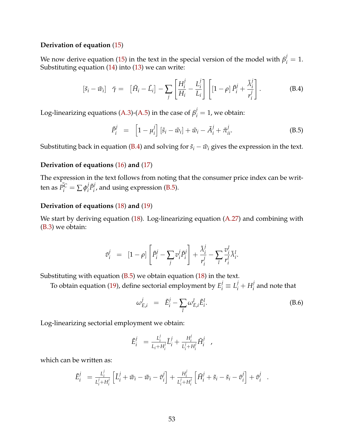#### **Derivation of equation** [\(15\)](#page-19-0)

We now derive equation [\(15\)](#page-19-0) in the text in the special version of the model with  $\beta_i^j = 1$ . Substituting equation  $(14)$  into  $(13)$  we can write:

<span id="page-54-0"></span>
$$
\begin{bmatrix} \tilde{s}_i - \tilde{w}_i \end{bmatrix} \quad \tilde{\gamma} = \quad \begin{bmatrix} \tilde{H}_i - \tilde{L}_i \end{bmatrix} - \sum_j \begin{bmatrix} H_i^j \\ \overline{H}_i - \frac{L_i^j}{L_i} \end{bmatrix} \begin{bmatrix} 1 - \rho \end{bmatrix} \tilde{P}_i^j + \frac{\tilde{\lambda}_i^j}{r_i^j} \end{bmatrix} . \tag{B.4}
$$

Log-linearizing equations [\(A.3\)](#page-47-1)-[\(A.5\)](#page-47-1) in the case of  $\beta_i^j = 1$ , we obtain:

<span id="page-54-1"></span>
$$
\tilde{P}_i^j = \left[1 - \mu_i^j\right] \left[\tilde{s}_i - \tilde{w}_i\right] + \tilde{w}_i - \tilde{A}_i^j + \tilde{\pi}_{ii}^j.
$$
\n(B.5)

Substituting back in equation [\(B.4\)](#page-54-0) and solving for  $\tilde{s}_i - \tilde{w}_i$  gives the expression in the text.

#### **Derivation of equations** [\(16\)](#page-20-0) **and** [\(17\)](#page-20-0)

The expression in the text follows from noting that the consumer price index can be written as  $\tilde{P}_i^C = \sum \phi_i^j$  $i$ <sup>*p* $j$ </sup> $i$  $\mathbf{u}'_i$ , and using expression [\(B.5\)](#page-54-1).

#### **Derivation of equations** [\(18\)](#page-21-0) **and** [\(19\)](#page-21-1)

We start by deriving equation  $(18)$ . Log-linearizing equation  $(A.27)$  and combining with [\(B.3\)](#page-53-1) we obtain:

$$
\tilde{v}_i^j = [1 - \rho] \left[ \tilde{P}_i^j - \sum_j v_i^j \tilde{P}_i^j \right] + \frac{\tilde{\lambda}_i^j}{r_i^j} - \sum_l \frac{v_i^l}{r_i^l} \tilde{\lambda}_i^l.
$$

Substituting with equation  $(B.5)$  we obtain equation  $(18)$  in the text.

To obtain equation [\(19\)](#page-21-1), define sectorial employment by  $E_i^j \equiv L_i^j + H_i^j$  $\frac{1}{i}$  and note that

<span id="page-54-2"></span>
$$
\omega_{E,i}^j = \tilde{E}_i^j - \sum_l \omega_{E,i}^l \tilde{E}_i^l.
$$
 (B.6)

Log-linearizing sectorial employment we obtain:

$$
\tilde{E}_i^j = \frac{L_i^j}{L_i + H_i^j} \tilde{L}_i^j + \frac{H_i^j}{L_i^j + H_i^j} \tilde{H}_i^j,
$$

which can be written as:

$$
\tilde{E}_{i}^{j} = \frac{L_{i}^{j}}{L_{i}^{j} + H_{i}^{j}} \left[ \tilde{L}_{i}^{j} + \tilde{w}_{i} - \tilde{w}_{i} - \tilde{v}_{i}^{j} \right] + \frac{H_{i}^{j}}{L_{i}^{j} + H_{i}^{j}} \left[ \tilde{H}_{i}^{j} + \tilde{s}_{i} - \tilde{s}_{i} - \tilde{v}_{i}^{j} \right] + \tilde{v}_{i}^{j}.
$$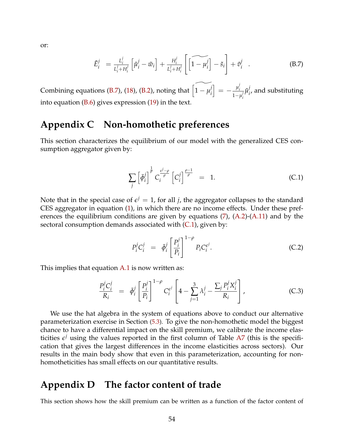or:

<span id="page-55-2"></span>
$$
\tilde{E}_{i}^{j} = \frac{L_{i}^{j}}{L_{i}^{j} + H_{i}^{j}} \left[ \tilde{\mu}_{i}^{j} - \tilde{w}_{i} \right] + \frac{H_{i}^{j}}{L_{i}^{j} + H_{i}^{j}} \left[ \left[ \widetilde{1 - \mu_{i}^{j}} \right] - \tilde{s}_{i} \right] + \tilde{v}_{i}^{j} . \tag{B.7}
$$

Combining equations [\(B.7\)](#page-55-2), [\(18\)](#page-21-0), [\(B.2\)](#page-53-2), noting that  $\widetilde{\left(1-\mu_i^j\right)}$ *i*  $\Big] = -\frac{\mu_i^j}{\lambda_i^j}$ *i* 1−*µ j i*  $\tilde{\mu}_i^j$ *i* , and substituting into equation [\(B.6\)](#page-54-2) gives expression [\(19\)](#page-21-1) in the text.

# <span id="page-55-0"></span>**Appendix C Non-homothetic preferences**

This section characterizes the equilibrium of our model with the generalized CES consumption aggregator given by:

<span id="page-55-3"></span>
$$
\sum_{j} \left[ \bar{\phi}_i^j \right]^{\frac{1}{\rho}} C_i^{\frac{e^j - \rho}{\rho}} \left[ C_i^j \right]^{\frac{\rho - 1}{\rho}} = 1. \tag{C.1}
$$

Note that in the special case of  $\epsilon^j = 1$ , for all *j*, the aggregator collapses to the standard CES aggregator in equation [\(1\)](#page-12-0), in which there are no income effects. Under these preferences the equilibrium conditions are given by equations [\(7\)](#page-15-0), [\(A.2\)](#page-47-2)-[\(A.11\)](#page-49-0) and by the sectoral consumption demands associated with  $(C.1)$ , given by:

<span id="page-55-4"></span>
$$
P_i^j C_i^j = \bar{\phi}_i^j \left[ \frac{P_i^j}{P_i} \right]^{1-\rho} P_i C_i^{\epsilon^j}.
$$
 (C.2)

This implies that equation  $A.1$  is now written as:

$$
\frac{P_i^j C_i^j}{R_i} = \bar{\phi}_i^j \left[ \frac{P_i^j}{P_i} \right]^{1-\rho} C_i^{e^j} \left[ 4 - \sum_{j=1}^3 \lambda_i^j - \frac{\sum_j P_i^j X_i^j}{R_i} \right],
$$
\n(C.3)

We use the hat algebra in the system of equations above to conduct our alternative parameterization exercise in Section [\(5.3\)](#page-38-1). To give the non-homothetic model the biggest chance to have a differential impact on the skill premium, we calibrate the income elasticities  $e^j$  using the values reported in the first column of Table [A7](#page-69-0) (this is the specification that gives the largest differences in the income elasticities across sectors). Our results in the main body show that even in this parameterization, accounting for nonhomotheticities has small effects on our quantitative results.

### <span id="page-55-1"></span>**Appendix D The factor content of trade**

This section shows how the skill premium can be written as a function of the factor content of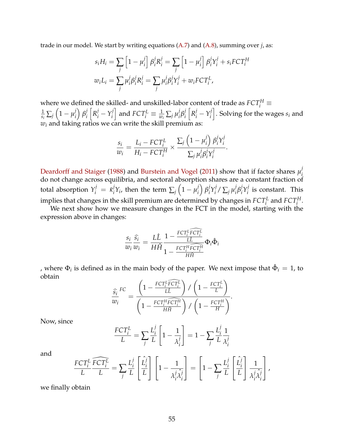trade in our model. We start by writing equations [\(A.7\)](#page-49-1) and [\(A.8\)](#page-49-1), summing over *j*, as:

$$
s_i H_i = \sum_j \left[1 - \mu_i^j\right] \beta_i^j R_i^j = \sum_j \left[1 - \mu_i^j\right] \beta_i^j Y_i^j + s_i F C T_i^H
$$
  

$$
w_i L_i = \sum_j \mu_i^j \beta_i^j R_i^j = \sum_j \mu_i^j \beta_i^j Y_i^j + w_i F C T_i^L,
$$

where we defined the skilled- and unskilled-labor content of trade as  $FCT_i^H \equiv$ 1  $\frac{1}{s_i}\sum_j \left(1-\mu_i^j\right)$ *i β j i*  $R_i^j - Y_i^j$ *i*  $\Big]$  and  $FCT^L_i \equiv \frac{1}{w_i}\sum_j \mu_i^j$ *i β j i*  $R_i^j - Y_i^j$ *i* i . Solving for the wages *s<sup>i</sup>* and  $w_i$  and taking ratios we can write the skill premium as:

$$
\frac{s_i}{w_i} = \frac{L_i - FCT_i^L}{H_i - FCT_i^H} \times \frac{\sum_j \left(1 - \mu_i^j\right) \beta_i^j Y_i^j}{\sum_j \mu_i^j \beta_i^j Y_i^j}.
$$

 $\mathcal{L}$ 

[Deardorff and Staiger](#page-44-2) [\(1988\)](#page-44-2) and [Burstein and Vogel](#page-43-0) [\(2011\)](#page-43-0) show that if factor shares  $\mu_i^j$ *i* do not change across equilibria, and sectoral absorption shares are a constant fraction of total absorption  $Y_i^j = \bar{\kappa}_i^j$  $j^j_i Y_i$ , then the term  $\sum_j \left(1-\mu_i^j\right)$ *i β j*  $i^j Y_i^j$  $\int_i^j / \sum_j \mu_i^j$ *i β j*  $i^j Y_i^j$  $\int_{i}^{j}$  is constant. This implies that changes in the skill premium are determined by changes in  $FCT_i^L$  and  $FCT_i^H$ .

We next show how we measure changes in the FCT in the model, starting with the expression above in changes:

$$
\frac{s_i}{w_i} \frac{\widehat{s_i}}{w_i} = \frac{L\widehat{L}}{H\widehat{H}} \frac{1 - \frac{FCT_i^L \widehat{FCT_i^L}}{L\widehat{L}}}{1 - \frac{FCT_i^H \widehat{FCT_i^H}}{H\widehat{H}}} \Phi_i \hat{\Phi}_i
$$

, where  $\Phi_i$  is defined as in the main body of the paper. We next impose that  $\hat{\Phi}_i = 1$ , to obtain

$$
\frac{\widehat{s_i}}{w_i}^{FC} = \frac{\left(1 - \frac{FCT_i^L \widehat{FCT_i^L}}{LL}\right) / \left(1 - \frac{FCT_i^L}{L}\right)}{\left(1 - \frac{FCT_i^H \widehat{FCT_i^H}}{H\widehat{H}}\right) / \left(1 - \frac{FCT_i^H}{H}\right)}.
$$

Now, since

$$
\frac{FCT_i^L}{L} = \sum_j \frac{L_i^j}{L} \left[ 1 - \frac{1}{\lambda_i^j} \right] = 1 - \sum_j \frac{L_i^j}{L} \frac{1}{\lambda_i^j}
$$

and

$$
\frac{FCT_i^L}{L}\frac{\widehat{FCT_i^L}}{L} = \sum_j \frac{L_i^j}{L} \left[ \frac{\hat{L}_i^j}{L} \right] \left[ 1 - \frac{1}{\lambda_i^j \hat{\lambda}_i^j} \right] = \left[ 1 - \sum_j \frac{L_i^j}{L} \left[ \frac{\hat{L}_i^j}{L} \right] \frac{1}{\lambda_i^j \hat{\lambda}_i^j} \right],
$$

we finally obtain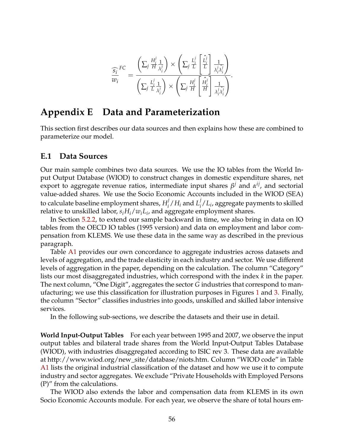$$
\frac{\widehat{s_i}}{w_i}^{FC} = \frac{\left(\sum_j \frac{H_i^j}{H} \frac{1}{\lambda_i^j}\right) \times \left(\sum_j \frac{L_i^j}{L} \left[\frac{\widehat{L}_i^j}{L}\right] \frac{1}{\lambda_i^j \lambda_i^j}\right)}{\left(\sum_j \frac{L_i^j}{L} \frac{1}{\lambda_i^j}\right) \times \left(\sum_j \frac{H_i^j}{H} \left[\frac{\widehat{H}_i^j}{H}\right] \frac{1}{\lambda_i^j \lambda_i^j}\right)}.
$$

# <span id="page-57-0"></span>**Appendix E Data and Parameterization**

This section first describes our data sources and then explains how these are combined to parameterize our model.

#### **E.1 Data Sources**

Our main sample combines two data sources. We use the IO tables from the World Input Output Database (WIOD) to construct changes in domestic expenditure shares, net export to aggregate revenue ratios, intermediate input shares  $β<sup>j</sup>$  and  $α<sup>ij</sup>$ , and sectorial value-added shares. We use the Socio Economic Accounts included in the WIOD (SEA) to calculate baseline employment shares, *H j*  $\frac{j}{i}/H_i$  and  $L_i^j$  $\int_{i}^{j}$  /  $L_{i}$ , aggregate payments to skilled relative to unskilled labor, *siHi*/*wiL<sup>i</sup>* , and aggregate employment shares.

In Section [5.2.2,](#page-37-2) to extend our sample backward in time, we also bring in data on IO tables from the OECD IO tables (1995 version) and data on employment and labor compensation from KLEMS. We use these data in the same way as described in the previous paragraph.

Table [A1](#page-64-0) provides our own concordance to aggregate industries across datasets and levels of aggregation, and the trade elasticity in each industry and sector. We use different levels of aggregation in the paper, depending on the calculation. The column "Category" lists our most disaggregated industries, which correspond with the index *k* in the paper. The next column, "One Digit", aggregates the sector *G* industries that correspond to manufacturing; we use this classification for illustration purposes in Figures [1](#page-8-0) and [3.](#page-10-0) Finally, the column "Sector" classifies industries into goods, unskilled and skilled labor intensive services.

In the following sub-sections, we describe the datasets and their use in detail.

**World Input-Output Tables** For each year between 1995 and 2007, we observe the input output tables and bilateral trade shares from the World Input-Output Tables Database (WIOD), with industries disaggregated according to ISIC rev 3. These data are available at http://www.wiod.org/new\_site/database/niots.htm. Column "WIOD code" in Table [A1](#page-64-0) lists the original industrial classification of the dataset and how we use it to compute industry and sector aggregates. We exclude "Private Households with Employed Persons (P)" from the calculations.

The WIOD also extends the labor and compensation data from KLEMS in its own Socio Economic Accounts module. For each year, we observe the share of total hours em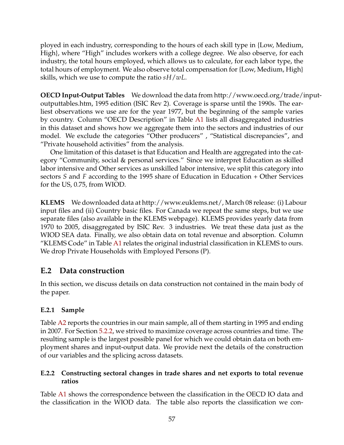ployed in each industry, corresponding to the hours of each skill type in {Low, Medium, High}, where "High" includes workers with a college degree. We also observe, for each industry, the total hours employed, which allows us to calculate, for each labor type, the total hours of employment. We also observe total compensation for {Low, Medium, High} skills, which we use to compute the ratio *sH*/*wL*.

**OECD Input-Output Tables** We download the data from http://www.oecd.org/trade/inputoutputtables.htm, 1995 edition (ISIC Rev 2). Coverage is sparse until the 1990s. The earliest observations we use are for the year 1977, but the beginning of the sample varies by country. Column "OECD Description" in Table [A1](#page-64-0) lists all disaggregated industries in this dataset and shows how we aggregate them into the sectors and industries of our model. We exclude the categories "Other producers" , "Statistical discrepancies", and "Private household activities" from the analysis.

One limitation of this dataset is that Education and Health are aggregated into the category "Community, social & personal services." Since we interpret Education as skilled labor intensive and Other services as unskilled labor intensive, we split this category into sectors *S* and *F* according to the 1995 share of Education in Education + Other Services for the US, 0.75, from WIOD.

**KLEMS** We downloaded data at http://www.euklems.net/, March 08 release: (i) Labour input files and (ii) Country basic files. For Canada we repeat the same steps, but we use separate files (also available in the KLEMS webpage). KLEMS provides yearly data from 1970 to 2005, disaggregated by ISIC Rev. 3 industries. We treat these data just as the WIOD SEA data. Finally, we also obtain data on total revenue and absorption. Column "KLEMS Code" in Table [A1](#page-64-0) relates the original industrial classification in KLEMS to ours. We drop Private Households with Employed Persons (P).

### **E.2 Data construction**

In this section, we discuss details on data construction not contained in the main body of the paper.

### **E.2.1 Sample**

Table [A2](#page-65-0) reports the countries in our main sample, all of them starting in 1995 and ending in 2007. For Section [5.2.2,](#page-37-2) we strived to maximize coverage across countries and time. The resulting sample is the largest possible panel for which we could obtain data on both employment shares and input-output data. We provide next the details of the construction of our variables and the splicing across datasets.

### **E.2.2 Constructing sectoral changes in trade shares and net exports to total revenue ratios**

Table [A1](#page-64-0) shows the correspondence between the classification in the OECD IO data and the classification in the WIOD data. The table also reports the classification we con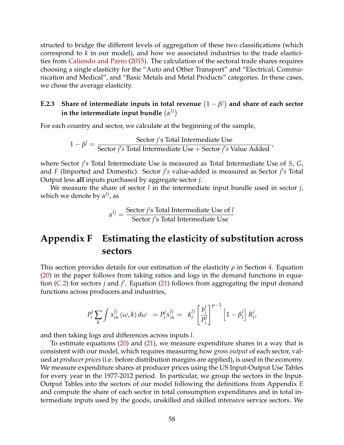structed to bridge the different levels of aggregation of these two classifications (which correspond to *k* in our model), and how we associated industries to the trade elasticities from [Caliendo and Parro](#page-43-2) [\(2015\)](#page-43-2). The calculation of the sectoral trade shares requires choosing a single elasticity for the "Auto and Other Transport" and "Electrical, Communication and Medical", and "Basic Metals and Metal Products" categories. In these cases, we chose the average elasticity.

### E.2.3 Share of intermediate inputs in total revenue  $(1 - \beta^j)$  and share of each sector in the intermediate input bundle  $\left(\alpha^{lj}\right)$

For each country and sector, we calculate at the beginning of the sample,

$$
1 - \beta^j = \frac{\text{Sector } j\text{'s Total Intermediate Use}}{\text{Sector } j\text{'s Total Intermediate Use} + \text{Sector } j\text{'s Value added}}
$$

where Sector *j's* Total Intermediate Use is measured as Total Intermediate Use of *S*, *G*, and *F* (Imported and Domestic). Sector *j's* value-added is measured as Sector *j's* Total Output less **all** inputs purchased by aggregate sector *j*.

We measure the share of sector *l* in the intermediate input bundle used in sector *j*, which we denote by *α lj*, as

$$
\alpha^{lj} = \frac{\text{Sector } j \text{'s Total Intermediate Use of } l}{\text{Sector } j \text{'s Total Intermediate Use}}
$$

# **Appendix F Estimating the elasticity of substitution across sectors**

This section provides details for our estimation of the elasticity *ρ* in Section [4.](#page-21-2) Equation [\(20\)](#page-24-0) in the paper follows from taking ratios and logs in the demand functions in equa-tion [\(C.2\)](#page-55-4) for sectors *j* and *j'*. Equation [\(21\)](#page-24-0) follows from aggregating the input demand functions across producers and industries,

$$
P_i^l \sum_k \int x_{in}^{lj} (\omega, k) d\omega = P_i^l x_{in}^{lj} = \bar{\alpha}_i^{lj} \left[ \frac{b_i^j}{P_i^l} \right]^{\rho - 1} \left[ 1 - \beta_i^j \right] R_i^j,
$$

and then taking logs and differences across inputs *l*.

To estimate equations [\(20\)](#page-24-0) and [\(21\)](#page-24-0), we measure expenditure shares in a way that is consistent with our model, which requires measuring how *gross output* of each sector, valued at *producer prices* (i.e. before distribution margins are applied), is used in the economy. We measure expenditure shares at producer prices using the US Input-Output Use Tables for every year in the 1977-2012 period. In particular, we group the sectors in the Input-Output Tables into the sectors of our model following the definitions from Appendix [E](#page-57-0) and compute the share of each sector in total consumption expenditures and in total intermediate inputs used by the goods, unskilled and skilled intensive service sectors. We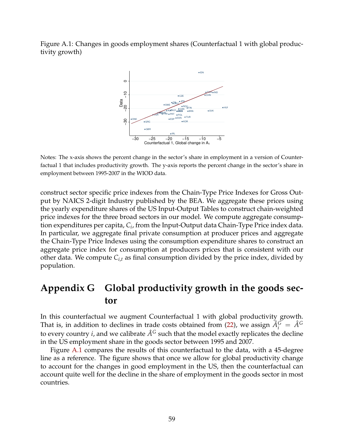<span id="page-60-0"></span>Figure A.1: Changes in goods employment shares (Counterfactual 1 with global productivity growth)



Notes: The x-axis shows the percent change in the sector's share in employment in a version of Counterfactual 1 that includes productivity growth. The y-axis reports the percent change in the sector's share in employment between 1995-2007 in the WIOD data.

construct sector specific price indexes from the Chain-Type Price Indexes for Gross Output by NAICS 2-digit Industry published by the BEA. We aggregate these prices using the yearly expenditure shares of the US Input-Output Tables to construct chain-weighted price indexes for the three broad sectors in our model. We compute aggregate consumption expenditures per capita, *C<sup>i</sup>* , from the Input-Output data Chain-Type Price index data. In particular, we aggregate final private consumption at producer prices and aggregate the Chain-Type Price Indexes using the consumption expenditure shares to construct an aggregate price index for consumption at producers prices that is consistent with our other data. We compute  $C_{i,t}$  as final consumption divided by the price index, divided by population.

# **Appendix G Global productivity growth in the goods sector**

In this counterfactual we augment Counterfactual 1 with global productivity growth. That is, in addition to declines in trade costs obtained from [\(22\)](#page-26-0), we assign  $\hat{A}_i^G = \hat{A}^G$ to every country *i*, and we calibrate  $\hat{A}^G$  such that the model exactly replicates the decline in the US employment share in the goods sector between 1995 and 2007.

Figure [A.1](#page-60-0) compares the results of this counterfactual to the data, with a 45-degree line as a reference. The figure shows that once we allow for global productivity change to account for the changes in good employment in the US, then the counterfactual can account quite well for the decline in the share of employment in the goods sector in most countries.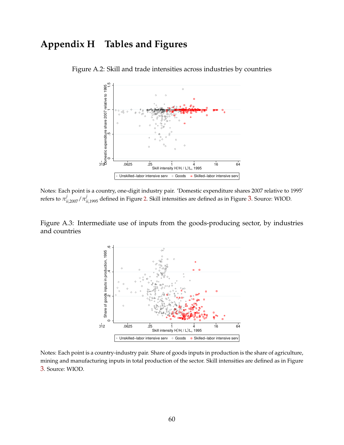# **Appendix H Tables and Figures**



Figure A.2: Skill and trade intensities across industries by countries

Notes: Each point is a country, one-digit industry pair. 'Domestic expenditure shares 2007 relative to 1995' refers to  $\pi^j_{ii,2007}/\pi^j_{ii,1995}$  defined in Figure [2.](#page-9-0) Skill intensities are defined as in Figure [3](#page-10-0). Source: WIOD.

Figure A.3: Intermediate use of inputs from the goods-producing sector, by industries and countries



Notes: Each point is a country-industry pair. Share of goods inputs in production is the share of agriculture, mining and manufacturing inputs in total production of the sector. Skill intensities are defined as in Figure [3](#page-10-0). Source: WIOD.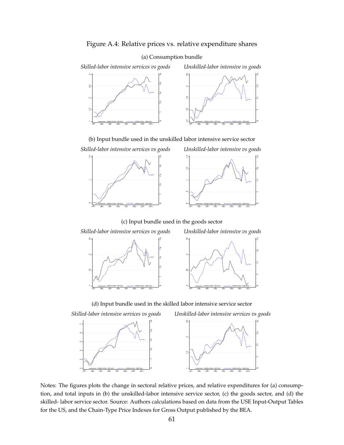

#### (a) Consumption bundle



(b) Input bundle used in the unskilled labor intensive service sector





(c) Input bundle used in the goods sector





(d) Input bundle used in the skilled labor intensive service sector

*Skilled-labor intensive services vs goods Unskilled-labor intensive services vs goods*



Notes: The figures plots the change in sectoral relative prices, and relative expenditures for (a) consumption, and total inputs in (b) the unskilled-labor intensive service sector, (c) the goods sector, and (d) the skilled- labor service sector. Source: Authors calculations based on data from the USE Input-Output Tables for the US, and the Chain-Type Price Indexes for Gross Output published by the BEA.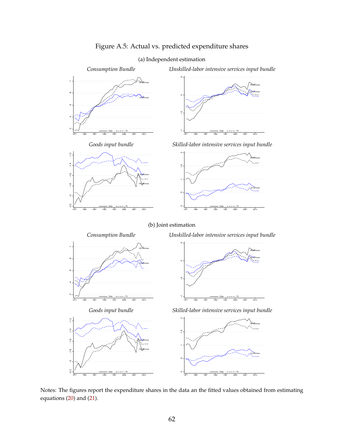



Notes: The figures report the expenditure shares in the data an the fitted values obtained from estimating equations [\(20\)](#page-24-0) and [\(21\)](#page-24-0).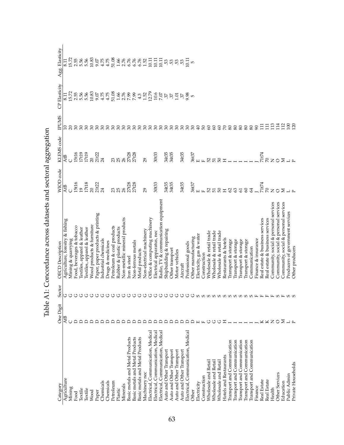<span id="page-64-0"></span>

| Category                           | One Digit             | Sector                           | <b>OECD</b> Description               | <b>WIOD</b> code                    | KLEMS code              | <b>ENUAR</b>     | CP Elasticity                                                                                                                                                                                                                                                                                                 | Agg. Elasticity                                                                                                                                                                                                                                                                    |
|------------------------------------|-----------------------|----------------------------------|---------------------------------------|-------------------------------------|-------------------------|------------------|---------------------------------------------------------------------------------------------------------------------------------------------------------------------------------------------------------------------------------------------------------------------------------------------------------------|------------------------------------------------------------------------------------------------------------------------------------------------------------------------------------------------------------------------------------------------------------------------------------|
| Agriculture                        | AtB                   | ↺                                | Agriculture, forestry & fishing       | <b>AtB</b>                          | AtB                     |                  |                                                                                                                                                                                                                                                                                                               |                                                                                                                                                                                                                                                                                    |
| Mining                             |                       | ↺                                | Mining & quarrying                    |                                     |                         |                  |                                                                                                                                                                                                                                                                                                               |                                                                                                                                                                                                                                                                                    |
| Food                               | ≏                     | ↺                                | Food, beverages & tobacco             |                                     |                         |                  |                                                                                                                                                                                                                                                                                                               |                                                                                                                                                                                                                                                                                    |
| Textile                            |                       | ↺                                | lextiles, apparel & leather           |                                     |                         |                  |                                                                                                                                                                                                                                                                                                               |                                                                                                                                                                                                                                                                                    |
| Textile                            |                       | ↺                                | Textiles, apparel & leather           |                                     | 15t16<br>17t19<br>17t19 |                  | $15.7888$<br>$28.888$                                                                                                                                                                                                                                                                                         |                                                                                                                                                                                                                                                                                    |
| Wood                               |                       | ↺                                | Wood products & furniture             | 15t16<br>19<br>17t18<br>20<br>21t22 |                         |                  |                                                                                                                                                                                                                                                                                                               |                                                                                                                                                                                                                                                                                    |
| Paper                              |                       | ↺                                | Paper, paper products & printing      |                                     | 20<br>21 t22<br>24      |                  |                                                                                                                                                                                                                                                                                                               |                                                                                                                                                                                                                                                                                    |
| Chemicals                          | ≏                     | ↺                                | Industrial chemicals                  |                                     |                         |                  |                                                                                                                                                                                                                                                                                                               |                                                                                                                                                                                                                                                                                    |
| Chemicals                          | ≏                     | ↺                                | Drugs & medicines                     |                                     |                         |                  |                                                                                                                                                                                                                                                                                                               | $\begin{array}{l} 15.55 & 0.85 & 0.85 & 0.85 \\ 15.55 & 0.85 & 0.85 & 0.85 \\ 0.95 & 0.85 & 0.85 & 0.85 \\ 0.95 & 0.85 & 0.85 & 0.85 \\ 0.95 & 0.85 & 0.85 & 0.85 \\ 0.95 & 0.85 & 0.85 & 0.85 \\ 0.95 & 0.85 & 0.85 & 0.85 \\ 0.95 & 0.85 & 0.85 & 0.85 \\ 0.95 & 0.85 & 0.85 & $ |
| Petroleum                          | ≏                     | ↺                                | Petroleum & coal products             |                                     |                         |                  |                                                                                                                                                                                                                                                                                                               |                                                                                                                                                                                                                                                                                    |
| Plastic                            | ≏                     | ↺                                | Rubber & plastic products             | ន ន                                 | <u>ន</u><br>ន           |                  |                                                                                                                                                                                                                                                                                                               |                                                                                                                                                                                                                                                                                    |
| Minerals                           | ≏                     | ↺                                | Non-metallic mineral products         |                                     | 26                      |                  |                                                                                                                                                                                                                                                                                                               |                                                                                                                                                                                                                                                                                    |
| Basic metals and Metal Products    | ≏                     | ↺                                | Iron & steel                          | 27t28<br>27t28                      | 27t28<br>27t28          |                  |                                                                                                                                                                                                                                                                                                               |                                                                                                                                                                                                                                                                                    |
| Basic metals and Metal Products    | ≏                     | ↺                                | Non-ferrous metals                    |                                     |                         |                  |                                                                                                                                                                                                                                                                                                               |                                                                                                                                                                                                                                                                                    |
| Basic metals and Metal Products    | ≏                     | ↺                                | Metal products                        |                                     |                         |                  |                                                                                                                                                                                                                                                                                                               |                                                                                                                                                                                                                                                                                    |
| Machinery nec                      | ≏                     | ↺                                | Non-electrical machinery              | 29                                  | 29                      |                  |                                                                                                                                                                                                                                                                                                               |                                                                                                                                                                                                                                                                                    |
| Electrical, Communication, Medical | ≏                     | ↺                                | Office & computing machinery          |                                     |                         |                  |                                                                                                                                                                                                                                                                                                               |                                                                                                                                                                                                                                                                                    |
| Electrical, Communication, Medical | ≏                     | ↺                                | Electrical apparatus, nec             | 30t33                               | 30t33                   |                  |                                                                                                                                                                                                                                                                                                               |                                                                                                                                                                                                                                                                                    |
| Electrical, Communication, Medical | ≏                     | ↺                                | Radio, TV & communication equipment   |                                     |                         |                  |                                                                                                                                                                                                                                                                                                               |                                                                                                                                                                                                                                                                                    |
| Auto and Other Transport           | ≏                     | ↺                                | Shipbuilding & repairing              | 34135<br>34135                      | 34135<br>34135          |                  |                                                                                                                                                                                                                                                                                                               |                                                                                                                                                                                                                                                                                    |
| Auto and Other Transport           | ≏                     | ↺                                | Other transport                       |                                     |                         |                  |                                                                                                                                                                                                                                                                                                               |                                                                                                                                                                                                                                                                                    |
| Auto and Other Transport           | ≏                     | ↺                                | Motor vehicles                        |                                     |                         |                  | $\begin{array}{l} 23.6 \\ 12.6 \\ 23.7 \\ 34.4 \\ 45.7 \\ 56.8 \\ 67.8 \\ 78.8 \\ 89.8 \\ 79.4 \\ 71.2 \\ 72.2 \\ 73.2 \\ 74.2 \\ 75.2 \\ 76.2 \\ 78.2 \\ 79.2 \\ 79.2 \\ 79.2 \\ 79.2 \\ 79.2 \\ 79.2 \\ 79.2 \\ 79.2 \\ 79.2 \\ 79.2 \\ 79.2 \\ 79.2 \\ 79.2 \\ 79.2 \\ 79.2 \\ 79.2 \\ 79.2 \\ 79.2 \\ 79$ | $\ddot{\textrm{m}}$ is in in                                                                                                                                                                                                                                                       |
| Auto and Other Transport           | ≏                     | ↺                                | Aircraft                              | 34t35                               | 34t35                   |                  |                                                                                                                                                                                                                                                                                                               |                                                                                                                                                                                                                                                                                    |
| Electrical, Communication, Medical | ≏                     | ↺                                | Professional goods                    |                                     |                         |                  |                                                                                                                                                                                                                                                                                                               | $-0.11$                                                                                                                                                                                                                                                                            |
| Other                              | ≏                     | ↺                                | Other manufacturing                   | 36t37                               | 36t37<br>E E            |                  |                                                                                                                                                                                                                                                                                                               |                                                                                                                                                                                                                                                                                    |
| Electricity                        | $\boxed{\phantom{1}}$ |                                  | Electricity, gas & water              |                                     |                         |                  |                                                                                                                                                                                                                                                                                                               |                                                                                                                                                                                                                                                                                    |
| Construction                       |                       |                                  | Construction                          |                                     |                         |                  |                                                                                                                                                                                                                                                                                                               |                                                                                                                                                                                                                                                                                    |
| Wholesale and Retail               | ↺                     |                                  | Wholesale & retail trade              |                                     |                         |                  |                                                                                                                                                                                                                                                                                                               |                                                                                                                                                                                                                                                                                    |
| Wholesale and Retail               | O                     | <b>a a a a a a a a a a a a</b> a | Wholesale & retail trade              | e<br>2223323                        |                         |                  |                                                                                                                                                                                                                                                                                                               |                                                                                                                                                                                                                                                                                    |
| Wholesale and Retail               | U                     |                                  | Wholesale & retail trade              |                                     |                         |                  |                                                                                                                                                                                                                                                                                                               |                                                                                                                                                                                                                                                                                    |
| Hotels and Restaurants             | 工                     |                                  | Restaurants & hotels                  |                                     | BII                     |                  |                                                                                                                                                                                                                                                                                                               |                                                                                                                                                                                                                                                                                    |
| Transport and Communication        |                       |                                  | Transport & storage                   |                                     |                         |                  |                                                                                                                                                                                                                                                                                                               |                                                                                                                                                                                                                                                                                    |
| <b>Iransport and Communication</b> |                       |                                  | Transport & storage                   |                                     |                         |                  |                                                                                                                                                                                                                                                                                                               |                                                                                                                                                                                                                                                                                    |
| <b>Iransport</b> and Communication |                       |                                  | Transport & storage                   |                                     |                         |                  |                                                                                                                                                                                                                                                                                                               |                                                                                                                                                                                                                                                                                    |
| Transport and Communication        |                       |                                  | Transport & storage                   |                                     |                         |                  |                                                                                                                                                                                                                                                                                                               |                                                                                                                                                                                                                                                                                    |
| Transport and Communication        |                       |                                  | Communication                         | $\mathcal{Z}$                       |                         | 88               |                                                                                                                                                                                                                                                                                                               |                                                                                                                                                                                                                                                                                    |
| Finance                            |                       |                                  | Finance & insurance                   |                                     |                         |                  |                                                                                                                                                                                                                                                                                                               |                                                                                                                                                                                                                                                                                    |
| Real Estate                        | ⊻                     | $\mathbf{L}$                     | Real estate & business services       | 71t74                               | 71t74                   | $\Xi$            |                                                                                                                                                                                                                                                                                                               |                                                                                                                                                                                                                                                                                    |
| <b>Real Estate</b>                 | ×                     | щ                                | Real estate & business services       |                                     |                         | $\Xi$            |                                                                                                                                                                                                                                                                                                               |                                                                                                                                                                                                                                                                                    |
| Health                             | $\mathsf{z}$          | $\mathbf{L}$                     | Community, social & personal services |                                     |                         | 13               |                                                                                                                                                                                                                                                                                                               |                                                                                                                                                                                                                                                                                    |
| <b>Other Services</b>              | $\circ$               | $\omega$ $\mathbb{H}$            | Community, social & personal services |                                     |                         | 114              |                                                                                                                                                                                                                                                                                                               |                                                                                                                                                                                                                                                                                    |
| Education                          | ⋝                     |                                  | Community, social & personal services |                                     |                         | 112              |                                                                                                                                                                                                                                                                                                               |                                                                                                                                                                                                                                                                                    |
| Public Admin                       | ے ب                   | თ თ                              | Producers of government services      |                                     |                         | $\frac{100}{20}$ |                                                                                                                                                                                                                                                                                                               |                                                                                                                                                                                                                                                                                    |
| Private Households                 |                       |                                  | Other producers                       |                                     |                         |                  |                                                                                                                                                                                                                                                                                                               |                                                                                                                                                                                                                                                                                    |

Table A1: Concordance across datasets and sectoral aggregation Table A1: Concordance across datasets and sectoral aggregation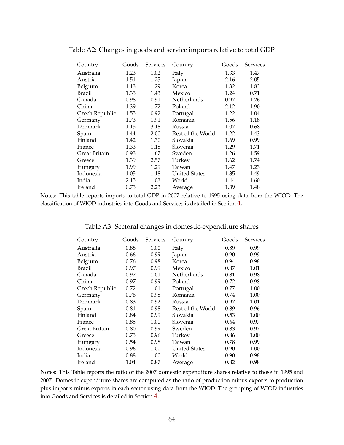| Country        | Goods | <b>Services</b> | Country           | Goods | <b>Services</b> |
|----------------|-------|-----------------|-------------------|-------|-----------------|
| Australia      | 1.23  | 1.02            | Italy             | 1.33  | 1.47            |
| Austria        | 1.51  | 1.25            | Japan             | 2.16  | 2.05            |
| Belgium        | 1.13  | 1.29            | Korea             | 1.32  | 1.83            |
| Brazil         | 1.35  | 1.43            | Mexico            | 1.24  | 0.71            |
| Canada         | 0.98  | 0.91            | Netherlands       | 0.97  | 1.26            |
| China          | 1.39  | 1.72            | Poland            | 2.12  | 1.90            |
| Czech Republic | 1.55  | 0.92            | Portugal          | 1.22  | 1.04            |
| Germany        | 1.73  | 1.91            | Romania           | 1.56  | 1.18            |
| Denmark        | 1.15  | 3.18            | Russia            | 1.07  | 0.68            |
| Spain          | 1.44  | 2.00            | Rest of the World | 1.22  | 1.43            |
| Finland        | 1.42  | 1.30            | Slovakia          | 1.69  | 0.99            |
| France         | 1.33  | 1.18            | Slovenia          | 1.29  | 1.71            |
| Great Britain  | 0.93  | 1.67            | Sweden            | 1.26  | 1.59            |
| Greece         | 1.39  | 2.57            | Turkey            | 1.62  | 1.74            |
| Hungary        | 1.99  | 1.29            | Taiwan            | 1.47  | 1.23            |
| Indonesia      | 1.05  | 1.18            | United States     | 1.35  | 1.49            |
| India          | 2.15  | 1.03            | World             | 1.44  | 1.60            |
| Ireland        | 0.75  | 2.23            | Average           | 1.39  | 1.48            |

<span id="page-65-0"></span>Table A2: Changes in goods and service imports relative to total GDP

Notes: This table reports imports to total GDP in 2007 relative to 1995 using data from the WIOD. The classification of WIOD industries into Goods and Services is detailed in Section [4.](#page-21-2)

Table A3: Sectoral changes in domestic-expenditure shares

| Country        | Goods | <b>Services</b> | Country              | Goods | <b>Services</b> |
|----------------|-------|-----------------|----------------------|-------|-----------------|
| Australia      | 0.88  | 1.00            | Italy                | 0.89  | 0.99            |
| Austria        | 0.66  | 0.99            | Japan                | 0.90  | 0.99            |
| Belgium        | 0.76  | 0.98            | Korea                | 0.94  | 0.98            |
| Brazil         | 0.97  | 0.99            | Mexico               | 0.87  | 1.01            |
| Canada         | 0.97  | 1.01            | Netherlands          | 0.81  | 0.98            |
| China          | 0.97  | 0.99            | Poland               | 0.72  | 0.98            |
| Czech Republic | 0.72  | 1.01            | Portugal             | 0.77  | 1.00            |
| Germany        | 0.76  | 0.98            | Romania              | 0.74  | 1.00            |
| Denmark        | 0.83  | 0.92            | Russia               | 0.97  | 1.01            |
| Spain          | 0.81  | 0.98            | Rest of the World    | 0.89  | 0.96            |
| Finland        | 0.84  | 0.99            | Slovakia             | 0.53  | 1.00            |
| France         | 0.85  | 1.00            | Slovenia             | 0.64  | 0.97            |
| Great Britain  | 0.80  | 0.99            | Sweden               | 0.83  | 0.97            |
| Greece         | 0.75  | 0.96            | Turkey               | 0.86  | 1.00            |
| Hungary        | 0.54  | 0.98            | Taiwan               | 0.78  | 0.99            |
| Indonesia      | 0.96  | 1.00            | <b>United States</b> | 0.90  | 1.00            |
| India          | 0.88  | 1.00            | World                | 0.90  | 0.98            |
| Ireland        | 1.04  | 0.87            | Average              | 0.82  | 0.98            |

Notes: This Table reports the ratio of the 2007 domestic expenditure shares relative to those in 1995 and 2007. Domestic expenditure shares are computed as the ratio of production minus exports to production plus imports minus exports in each sector using data from the WIOD. The grouping of WIOD industries into Goods and Services is detailed in Section [4.](#page-21-2)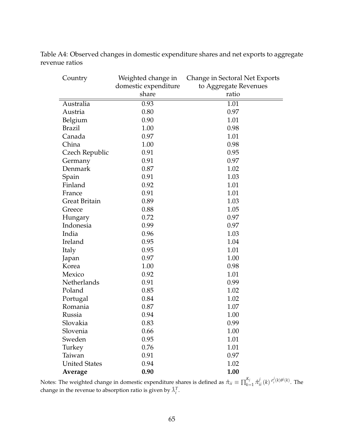Table A4: Observed changes in domestic expenditure shares and net exports to aggregate revenue ratios

| Country              | Weighted change in   | Change in Sectoral Net Exports |
|----------------------|----------------------|--------------------------------|
|                      | domestic expenditure | to Aggregate Revenues          |
|                      | share                | ratio                          |
| Australia            | 0.93                 | 1.01                           |
| Austria              | 0.80                 | 0.97                           |
| Belgium              | 0.90                 | 1.01                           |
| <b>Brazil</b>        | 1.00                 | 0.98                           |
| Canada               | 0.97                 | 1.01                           |
| China                | 1.00                 | 0.98                           |
| Czech Republic       | 0.91                 | 0.95                           |
| Germany              | 0.91                 | 0.97                           |
| Denmark              | 0.87                 | 1.02                           |
| Spain                | 0.91                 | 1.03                           |
| Finland              | 0.92                 | 1.01                           |
| France               | 0.91                 | 1.01                           |
| <b>Great Britain</b> | 0.89                 | 1.03                           |
| Greece               | 0.88                 | 1.05                           |
| Hungary              | 0.72                 | 0.97                           |
| Indonesia            | 0.99                 | 0.97                           |
| India                | 0.96                 | 1.03                           |
| Ireland              | 0.95                 | 1.04                           |
| Italy                | 0.95                 | 1.01                           |
| Japan                | 0.97                 | 1.00                           |
| Korea                | 1.00                 | 0.98                           |
| Mexico               | 0.92                 | 1.01                           |
| Netherlands          | 0.91                 | 0.99                           |
| Poland               | 0.85                 | 1.02                           |
| Portugal             | 0.84                 | 1.02                           |
| Romania              | 0.87                 | 1.07                           |
| Russia               | 0.94                 | 1.00                           |
| Slovakia             | 0.83                 | 0.99                           |
| Slovenia             | 0.66                 | 1.00                           |
| Sweden               | 0.95                 | 1.01                           |
| Turkey               | 0.76                 | 1.01                           |
| Taiwan               | 0.91                 | 0.97                           |
| <b>United States</b> | 0.94                 | 1.02                           |
| Average              | 0.90                 | 1.00                           |

Notes: The weighted change in domestic expenditure shares is defined as  $\hat{\pi}_{ii} \equiv \prod_{k=1}^{K_j}$  $\sum_{k=1}^{K_j} \hat{\pi}_{ii}^j(k) \frac{\sigma_i^j(k) \theta^j(k)}{k}$ . The change in the revenue to absorption ratio is given by  $\hat{\lambda}_i^T$ .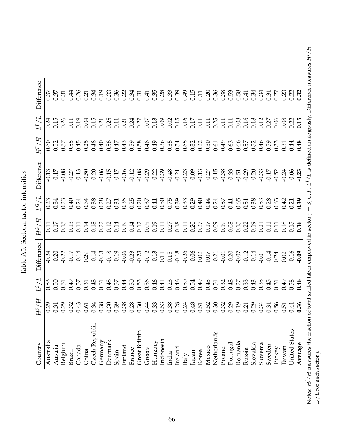| $\frac{1}{2}$<br>i |
|--------------------|
|                    |
| ï                  |
| ・ヘークーー<br>l        |
| 1                  |
| こうしょう<br>č<br>t    |
|                    |
|                    |

| Difference        | $\overline{0.37}$ |                  |         |        |        |       |                |         |         |       |         |        |                      |        |         |           |       |         |       |       |       |        |             |        |          |         |        |          |          |        |        |        | $\begin{array}{cccccccccccccc} \mathbb{R} & \mathbb{H} & \mathbb{H} & \mathbb{R} & \mathbb{H} & \mathbb{H} & \mathbb{H} & \mathbb{H} & \mathbb{H} & \mathbb{H} & \mathbb{H} & \mathbb{H} & \mathbb{H} & \mathbb{H} & \mathbb{H} & \mathbb{H} & \mathbb{H} & \mathbb{H} & \mathbb{H} & \mathbb{H} & \mathbb{H} & \mathbb{H} & \mathbb{H} & \mathbb{H} & \mathbb{H} & \mathbb{H} & \mathbb{H} & \mathbb{H} & \mathbb{H} & \mathbb{H} &$ |                                       |
|-------------------|-------------------|------------------|---------|--------|--------|-------|----------------|---------|---------|-------|---------|--------|----------------------|--------|---------|-----------|-------|---------|-------|-------|-------|--------|-------------|--------|----------|---------|--------|----------|----------|--------|--------|--------|---------------------------------------------------------------------------------------------------------------------------------------------------------------------------------------------------------------------------------------------------------------------------------------------------------------------------------------------------------------------------------------------------------------------------------------|---------------------------------------|
| $L_F/L$           |                   |                  |         |        |        |       |                |         |         |       |         |        |                      |        |         |           |       |         |       |       |       |        |             |        |          |         |        |          |          |        |        |        |                                                                                                                                                                                                                                                                                                                                                                                                                                       |                                       |
| $H^F/H$           | 0.60              |                  |         |        |        |       |                |         |         |       |         |        |                      |        |         |           |       |         |       |       |       |        |             |        |          |         |        |          |          |        |        |        |                                                                                                                                                                                                                                                                                                                                                                                                                                       |                                       |
| <b>Difference</b> |                   |                  |         |        |        |       |                |         |         |       |         |        |                      |        |         |           |       |         |       |       |       |        |             |        |          |         |        |          |          |        |        |        |                                                                                                                                                                                                                                                                                                                                                                                                                                       |                                       |
| 1/5               |                   |                  |         |        |        |       |                |         |         |       |         |        |                      |        |         |           |       |         |       |       |       |        |             |        |          |         |        |          |          |        |        |        |                                                                                                                                                                                                                                                                                                                                                                                                                                       |                                       |
| $H^G/H$           |                   |                  |         |        |        |       |                |         |         |       |         |        |                      |        |         |           |       |         |       |       |       |        |             |        |          |         |        |          |          |        |        |        |                                                                                                                                                                                                                                                                                                                                                                                                                                       |                                       |
| <b>Difference</b> |                   |                  |         |        |        |       |                |         |         |       |         |        |                      |        |         |           |       |         |       |       |       |        |             |        |          |         |        |          |          |        |        |        |                                                                                                                                                                                                                                                                                                                                                                                                                                       |                                       |
| $L^S/L$           |                   | $0.50$<br>$0.51$ |         | 649    |        |       |                |         |         |       |         |        |                      |        |         |           |       |         |       |       |       |        |             |        |          |         |        |          |          |        |        |        | $\begin{array}{c} \texttt{b} \ \texttt{c} \ \texttt{d} \ \texttt{d} \ \texttt{d} \ \texttt{d} \ \texttt{d} \ \texttt{d} \ \texttt{d} \ \texttt{d} \ \texttt{d} \ \texttt{d} \ \texttt{d} \ \texttt{d} \ \texttt{d} \ \texttt{d} \ \texttt{d} \ \texttt{d} \ \texttt{d} \ \texttt{d} \ \texttt{d} \ \texttt{d} \ \texttt{d} \ \texttt{d} \ \texttt{d} \ \texttt{d} \ \texttt{d} \ \texttt{d} \ \texttt{d} \ \texttt{d} \ \texttt$      |                                       |
| $H^S/H$           |                   |                  |         |        |        |       |                |         |         |       |         |        |                      |        |         |           |       |         |       |       |       |        |             |        |          |         |        |          |          |        |        |        | $\begin{array}{l} \mathbf{23} \ \mathbf{54} \ \mathbf{65} \ \mathbf{75} \ \mathbf{86} \ \mathbf{87} \ \mathbf{88} \ \mathbf{88} \ \mathbf{89} \ \mathbf{89} \ \mathbf{89} \ \mathbf{89} \ \mathbf{89} \ \mathbf{89} \ \mathbf{89} \ \mathbf{89} \ \mathbf{89} \ \mathbf{89} \ \mathbf{89} \ \mathbf{89} \ \mathbf{89} \ \mathbf{89} \ \mathbf{89} \ \mathbf{89} \ \mathbf{89} \ \mathbf{89} \ \mathbf{8$                              |                                       |
| Country           | Australia         | Austria          | Belgium | Brazil | Canada | China | Czech Republic | Germany | Denmark | Spain | Finland | France | <b>Great Britain</b> | Greece | Hungary | Indonesia | India | Ireland | Italy | Japan | Korea | Mexico | Netherlands | Poland | Portugal | Romania | Russia | Slovakia | Slovenia | Sweden | Turkey | Taiwan | United States                                                                                                                                                                                                                                                                                                                                                                                                                         | $H/H$ magnume the function<br>Average |

Notes:  $H^j/H$  measures the fraction of total skilled labor employed in sector  $j = S$ ,  $G$ ,  $F$ .  $L^1/L$  is defined analogously. Difference measures  $H^j/H - L^j/L$  for each sector  $j$ . Notes: H<sup>1</sup>/H measures the fraction of total skilled labor employed in sector  $j = S$ , G, F. L<sup>1</sup>/L is defined analogously. Difference measures H<sup>1</sup>/H – L<sup>3</sup>/L for each sector  $j$ .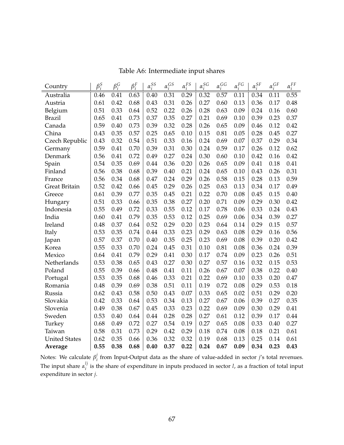| Country              | $\beta_i^S$ | $\beta_i^G$ | $\beta_i^F$ | $\alpha_i^{SS}$ | $\alpha_i^{GS}$ | $\alpha_1^{FS}$ | $\alpha_i^{SG}$ | $\alpha^{GG}_{\cdot}$ | $\alpha_i^{FG}$ | $\alpha_i^{SF}$ | $\underline{\alpha}_i^{GF}$ | $\alpha^{FF}$ |
|----------------------|-------------|-------------|-------------|-----------------|-----------------|-----------------|-----------------|-----------------------|-----------------|-----------------|-----------------------------|---------------|
| Australia            | 0.46        | 0.41        | 0.63        | 0.40            | 0.31            | 0.29            | 0.32            | 0.57                  | 0.11            | 0.34            | 0.11                        | 0.55          |
| Austria              | 0.61        | 0.42        | 0.68        | 0.43            | 0.31            | 0.26            | 0.27            | 0.60                  | 0.13            | 0.36            | 0.17                        | 0.48          |
| Belgium              | 0.51        | 0.33        | 0.64        | 0.52            | 0.22            | 0.26            | 0.28            | 0.63                  | 0.09            | 0.24            | 0.16                        | 0.60          |
| <b>Brazil</b>        | 0.65        | 0.41        | 0.73        | 0.37            | 0.35            | 0.27            | 0.21            | 0.69                  | 0.10            | 0.39            | 0.23                        | 0.37          |
| Canada               | 0.59        | 0.40        | 0.73        | 0.39            | 0.32            | 0.28            | 0.26            | 0.65                  | 0.09            | 0.46            | 0.12                        | 0.42          |
| China                | 0.43        | 0.35        | 0.57        | 0.25            | 0.65            | 0.10            | 0.15            | 0.81                  | 0.05            | 0.28            | 0.45                        | 0.27          |
| Czech Republic       | 0.43        | 0.32        | 0.54        | 0.51            | 0.33            | 0.16            | 0.24            | 0.69                  | 0.07            | 0.37            | 0.29                        | 0.34          |
| Germany              | 0.59        | 0.41        | 0.70        | 0.39            | 0.31            | 0.30            | 0.24            | 0.59                  | 0.17            | 0.26            | 0.12                        | 0.62          |
| Denmark              | 0.56        | 0.41        | 0.72        | 0.49            | 0.27            | 0.24            | 0.30            | 0.60                  | 0.10            | 0.42            | 0.16                        | 0.42          |
| Spain                | 0.54        | 0.35        | 0.69        | 0.44            | 0.36            | 0.20            | 0.26            | 0.65                  | 0.09            | 0.41            | 0.18                        | 0.41          |
| Finland              | 0.56        | 0.38        | 0.68        | 0.39            | 0.40            | 0.21            | 0.24            | 0.65                  | 0.10            | 0.43            | 0.26                        | 0.31          |
| France               | 0.56        | 0.34        | 0.68        | 0.47            | 0.24            | 0.29            | 0.26            | 0.58                  | 0.15            | 0.28            | 0.13                        | 0.59          |
| Great Britain        | 0.52        | 0.42        | 0.66        | 0.45            | 0.29            | 0.26            | 0.25            | 0.63                  | 0.13            | 0.34            | 0.17                        | 0.49          |
| Greece               | 0.61        | 0.39        | 0.77        | 0.35            | 0.45            | 0.21            | 0.22            | 0.70                  | 0.08            | 0.45            | 0.15                        | 0.40          |
| Hungary              | 0.51        | 0.33        | 0.66        | 0.35            | 0.38            | 0.27            | 0.20            | 0.71                  | 0.09            | 0.29            | 0.30                        | 0.42          |
| Indonesia            | 0.55        | 0.49        | 0.72        | 0.33            | 0.55            | 0.12            | 0.17            | 0.78                  | 0.06            | 0.33            | 0.24                        | 0.43          |
| India                | 0.60        | 0.41        | 0.79        | 0.35            | 0.53            | 0.12            | 0.25            | 0.69                  | 0.06            | 0.34            | 0.39                        | 0.27          |
| Ireland              | 0.48        | 0.37        | 0.64        | 0.52            | 0.29            | 0.20            | 0.23            | 0.64                  | 0.14            | 0.29            | 0.15                        | 0.57          |
| Italy                | 0.53        | 0.35        | 0.74        | 0.44            | 0.33            | 0.23            | 0.29            | 0.63                  | 0.08            | 0.29            | 0.16                        | 0.56          |
| Japan                | 0.57        | 0.37        | 0.70        | 0.40            | 0.35            | 0.25            | 0.23            | 0.69                  | 0.08            | 0.39            | 0.20                        | 0.42          |
| Korea                | 0.55        | 0.33        | 0.70        | 0.24            | 0.45            | 0.31            | 0.10            | 0.81                  | 0.08            | 0.36            | 0.24                        | 0.39          |
| Mexico               | 0.64        | 0.41        | 0.79        | 0.29            | 0.41            | 0.30            | 0.17            | 0.74                  | 0.09            | 0.23            | 0.26                        | 0.51          |
| Netherlands          | 0.53        | 0.38        | 0.65        | 0.43            | 0.27            | 0.30            | 0.27            | 0.57                  | 0.16            | 0.32            | 0.15                        | 0.53          |
| Poland               | 0.55        | 0.39        | 0.66        | 0.48            | 0.41            | 0.11            | 0.26            | 0.67                  | 0.07            | 0.38            | 0.22                        | 0.40          |
| Portugal             | 0.53        | 0.35        | 0.68        | 0.46            | 0.33            | 0.21            | 0.22            | 0.69                  | 0.10            | 0.33            | 0.20                        | 0.47          |
| Romania              | 0.48        | 0.39        | 0.69        | 0.38            | 0.51            | 0.11            | 0.19            | 0.72                  | 0.08            | 0.29            | 0.53                        | 0.18          |
| Russia               | 0.62        | 0.43        | 0.58        | 0.50            | 0.43            | 0.07            | 0.33            | 0.65                  | 0.02            | 0.51            | 0.29                        | 0.20          |
| Slovakia             | 0.42        | 0.33        | 0.64        | 0.53            | 0.34            | 0.13            | 0.27            | 0.67                  | 0.06            | 0.39            | 0.27                        | 0.35          |
| Slovenia             | 0.49        | 0.38        | 0.67        | 0.45            | 0.33            | 0.23            | 0.22            | 0.69                  | 0.09            | 0.30            | 0.29                        | 0.41          |
| Sweden               | 0.53        | 0.40        | 0.64        | 0.44            | 0.28            | 0.28            | 0.27            | 0.61                  | 0.12            | 0.39            | 0.17                        | 0.44          |
| Turkey               | 0.68        | 0.49        | 0.72        | 0.27            | 0.54            | 0.19            | 0.27            | 0.65                  | 0.08            | 0.33            | 0.40                        | 0.27          |
| Taiwan               | 0.58        | 0.31        | 0.73        | 0.29            | 0.42            | 0.29            | 0.18            | 0.74                  | 0.08            | 0.18            | 0.21                        | 0.61          |
| <b>United States</b> | 0.62        | 0.35        | 0.66        | 0.36            | 0.32            | 0.32            | 0.19            | 0.68                  | 0.13            | 0.25            | 0.14                        | 0.61          |
| Average              | 0.55        | 0.38        | 0.68        | 0.40            | 0.37            | 0.22            | 0.24            | 0.67                  | 0.09            | 0.34            | 0.23                        | 0.43          |

Table A6: Intermediate input shares

Notes: We calculate *β j i* from Input-Output data as the share of value-added in sector *j*'s total revenues. The input share  $\alpha_i^{lj}$  $\sum_{i}^{t}$  is the share of expenditure in inputs produced in sector *l*, as a fraction of total input expenditure in sector *j*.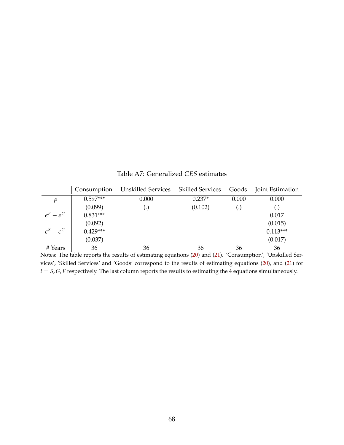<span id="page-69-0"></span>Consumption Unskilled Services Skilled Services Goods Joint Estimation *ρ* || 0.597\*\*\* 0.000 0.237\* 0.000 0.000  $(0.099)$  (.)  $(0.102)$  (.) (.)  $\epsilon^F - \epsilon$  $G \parallel 0.831***$  0.917  $(0.092)$  (0.015)  $\epsilon^S - \epsilon$  $G \parallel 0.429***$  0.113\*\*\*  $(0.037)$  (0.017)

# Years || 36 36 36 36 36 36

Table A7: Generalized *CES* estimates

Notes: The table reports the results of estimating equations [\(20\)](#page-24-0) and [\(21\)](#page-24-0). 'Consumption', 'Unskilled Services', 'Skilled Services' and 'Goods' correspond to the results of estimating equations [\(20\)](#page-24-0), and [\(21\)](#page-24-0) for  $l = S$ , *G*, *F* respectively. The last column reports the results to estimating the 4 equations simultaneously.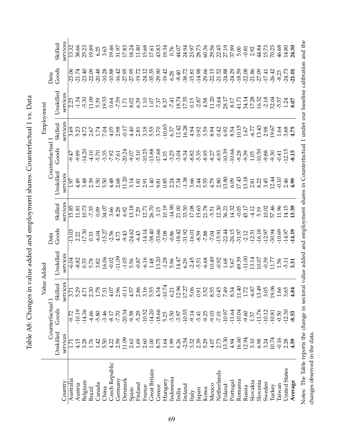Table A8: Changes in value added and employment shares: Counterfactual 1 vs. Data Table A8: Changes in value added and employment shares: Counterfactual 1 vs. Data

| Counterfactual 1<br>${\rm Goods}$<br>Unskilled                                  |  | Value Added<br>Skilled | Unskilled | Goods<br>Data | Skilled                                                                                  | Jnskilled | Counterfactua<br>Goods | Employment<br>Skilled | Jnskilled                                                                                                                                  | Goods<br>Data | Skilled  |
|---------------------------------------------------------------------------------|--|------------------------|-----------|---------------|------------------------------------------------------------------------------------------|-----------|------------------------|-----------------------|--------------------------------------------------------------------------------------------------------------------------------------------|---------------|----------|
| services<br>services<br>services                                                |  |                        |           |               | ervice                                                                                   | services  |                        | services              | services                                                                                                                                   |               | services |
| 3.71<br>5.29<br>$-10.19$<br>-9.72                                               |  |                        |           |               |                                                                                          |           |                        |                       |                                                                                                                                            |               |          |
| 4.71<br>$-14.36$                                                                |  |                        |           |               | 。<br>「おばい。」 のいいのといいかい。 このことのでは、 このことのかいは、 このことには このことの いっと さんのいい こうしょう こうじょう こうじょう こうしょう |           |                        |                       | ゟヸ゚ゔゔゔゔ゙ヹゕ゚ヹヷゟゔヷヷヹヸヸゖヹヹゟゟゟヹヷヷヹヸ゚゚゚゚゚ゟ゙ヹヹヸゟヿ<br>ヿ゚ヸゖヹゖゔヹゕヹヹゟゔヹヷゕ゙ゕヸヹ゙ゖ゚ヹゕ゚ゟ゙ヹヹヷヹヹ゚ゟ゚ゖ゚ヹヷ゚<br>゚゚゚゚゚ゖヸゖヹゟゕヹゟゟヹヿ゚ヹゟゕヹヹ゠゚ヹ゚ヹヹヹ゚ヹヹゟゕ゚ゖヸ <b>ゞ</b> |               |          |
| 2.30<br>$-4.66$<br>3.28<br>1.76                                                 |  |                        |           |               |                                                                                          |           |                        |                       |                                                                                                                                            |               |          |
| 1.78<br>$-5.80$                                                                 |  |                        |           |               |                                                                                          |           |                        |                       |                                                                                                                                            |               |          |
| 7.31<br>$-3.46$                                                                 |  |                        |           |               |                                                                                          |           |                        |                       |                                                                                                                                            |               |          |
| $4.07$<br>2.96<br>$-8.17$<br>$1.5020$<br>$1.5040$                               |  |                        |           |               |                                                                                          |           |                        |                       |                                                                                                                                            |               |          |
| $-7.70$                                                                         |  |                        |           |               |                                                                                          |           |                        |                       |                                                                                                                                            |               |          |
| $-0.11$<br>$-20.34$<br>11.09                                                    |  |                        |           |               |                                                                                          |           |                        |                       |                                                                                                                                            |               |          |
| 4.57<br>$-9.58$<br>2.63                                                         |  |                        |           |               |                                                                                          |           |                        |                       |                                                                                                                                            |               |          |
| 2.86<br>$-5.29$<br>$1.69\,$                                                     |  |                        |           |               |                                                                                          |           |                        |                       |                                                                                                                                            |               |          |
| $-10.52$<br>2.60                                                                |  |                        |           |               |                                                                                          |           |                        |                       |                                                                                                                                            |               |          |
| 3.15<br>5.54<br>4.54<br>$-14.20$<br>$\begin{array}{c} 1.00 \\ 8.75 \end{array}$ |  |                        |           |               |                                                                                          |           |                        |                       |                                                                                                                                            |               |          |
| $-18.66$                                                                        |  |                        |           |               |                                                                                          |           |                        |                       |                                                                                                                                            |               |          |
| $-10.7$<br>5.25                                                                 |  |                        |           |               |                                                                                          |           |                        |                       |                                                                                                                                            |               |          |
| 6.21<br>$-3.50$                                                                 |  |                        |           |               |                                                                                          |           |                        |                       |                                                                                                                                            |               |          |
| $-3.97$                                                                         |  |                        |           |               |                                                                                          |           |                        |                       |                                                                                                                                            |               |          |
| $\frac{12.96}{17.27}$<br>$-10.55$                                               |  |                        |           |               |                                                                                          |           |                        |                       |                                                                                                                                            |               |          |
| $-9.14$<br>$1.698878888557$                                                     |  |                        |           |               |                                                                                          |           |                        |                       |                                                                                                                                            |               |          |
| 0.91                                                                            |  |                        |           |               |                                                                                          |           |                        |                       |                                                                                                                                            |               |          |
| 3.52<br>$-5.41$<br>$-9.25$                                                      |  |                        |           |               |                                                                                          |           |                        |                       |                                                                                                                                            |               |          |
| 8.55<br>$-9.03$                                                                 |  |                        |           |               |                                                                                          |           |                        |                       |                                                                                                                                            |               |          |
| 0.45<br>$-7.01$                                                                 |  |                        |           |               |                                                                                          |           |                        |                       |                                                                                                                                            |               |          |
| 7.34<br>8.34<br>$-10.97$<br>13.30                                               |  |                        |           |               |                                                                                          |           |                        |                       |                                                                                                                                            |               |          |
| $-11.64$<br>4.94                                                                |  |                        |           |               |                                                                                          |           |                        |                       |                                                                                                                                            |               |          |
| 11.72<br>$-10.04$<br>16.60                                                      |  |                        |           |               |                                                                                          |           |                        |                       |                                                                                                                                            |               |          |
| $-9.60$<br>12.94                                                                |  |                        |           |               |                                                                                          |           |                        |                       |                                                                                                                                            |               |          |
| $-6.87$<br>1.37                                                                 |  |                        |           |               |                                                                                          |           |                        |                       |                                                                                                                                            |               |          |
| $13.49$<br>$3.05$<br>$-11.76$<br>3.324                                          |  |                        |           |               |                                                                                          |           |                        |                       |                                                                                                                                            |               |          |
| $-10.12$                                                                        |  |                        |           |               |                                                                                          |           |                        |                       |                                                                                                                                            |               |          |
| 19.06<br>10.81<br>10.74                                                         |  |                        |           |               |                                                                                          |           |                        |                       |                                                                                                                                            |               |          |
| 1.66<br>$-0.50$<br>$-0.16$                                                      |  |                        |           |               |                                                                                          |           |                        |                       |                                                                                                                                            |               |          |
| 3.65<br>$-12.30$<br>$2.28$<br>4.59                                              |  |                        |           |               |                                                                                          |           |                        |                       |                                                                                                                                            |               |          |
| 4.84<br>$-8.53$                                                                 |  |                        |           |               |                                                                                          |           |                        |                       |                                                                                                                                            |               |          |
|                                                                                 |  |                        |           |               |                                                                                          |           |                        |                       |                                                                                                                                            |               |          |

Notes: The Table reports the change in sectoral value added and employment shares in Counterfactual 1 under our baseline calibration and the Notes: The Table reports the change in sectoral value added and employment shares in Counterfactual 1 under our baseline calibration and the changes observed in the data. changes observed in the data.